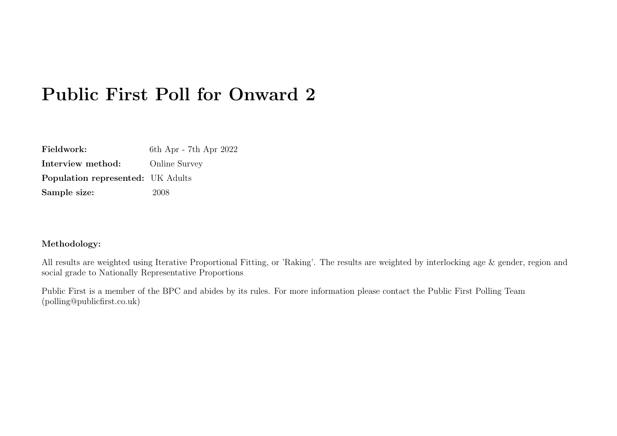# Public First Poll for Onward 2

| Fieldwork:                               | 6th Apr - 7th Apr 2022 |
|------------------------------------------|------------------------|
| Interview method:                        | <b>Online Survey</b>   |
| <b>Population represented:</b> UK Adults |                        |
| Sample size:                             | 2008                   |

#### Methodology:

All results are weighted using Iterative Proportional Fitting, or 'Raking'. The results are weighted by interlocking age & gender, region and social grade to Nationally Representative Proportions

Public First is a member of the BPC and abides by its rules. For more information please contact the Public First Polling Team (polling@publicfirst.co.uk)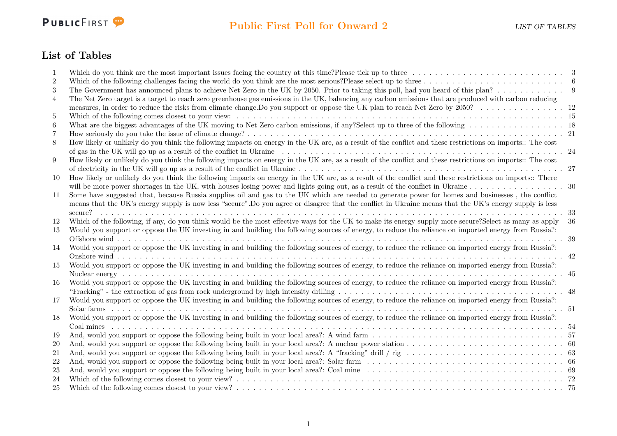

## List of Tables

|                | Which do you think are the most important issues facing the country at this time? Please tick up to three $\ldots \ldots \ldots \ldots \ldots \ldots \ldots$     |      |
|----------------|------------------------------------------------------------------------------------------------------------------------------------------------------------------|------|
| $\overline{2}$ |                                                                                                                                                                  |      |
| 3              | The Government has announced plans to achieve Net Zero in the UK by 2050. Prior to taking this poll, had you heard of this plan? 9                               |      |
| 4              | The Net Zero target is a target to reach zero greenhouse gas emissions in the UK, balancing any carbon emissions that are produced with carbon reducing          |      |
|                |                                                                                                                                                                  |      |
| 5              | Which of the following comes closest to your view: $\dots \dots \dots \dots \dots \dots \dots$                                                                   |      |
| 6              |                                                                                                                                                                  |      |
| 7              |                                                                                                                                                                  |      |
| 8              | How likely or unlikely do you think the following impacts on energy in the UK are, as a result of the conflict and these restrictions on imports:: The cost      |      |
|                |                                                                                                                                                                  | - 24 |
| 9              | How likely or unlikely do you think the following impacts on energy in the UK are, as a result of the conflict and these restrictions on imports:: The cost      |      |
|                | of electricity in the UK will go up as a result of the conflict in Ukraine $\dots \dots \dots \dots \dots \dots \dots \dots \dots \dots \dots \dots \dots \dots$ | - 27 |
| 10             | How likely or unlikely do you think the following impacts on energy in the UK are, as a result of the conflict and these restrictions on imports:: There         |      |
|                |                                                                                                                                                                  |      |
| 11             | Some have suggested that, because Russia supplies oil and gas to the UK which are needed to generate power for homes and businesses, the conflict                |      |
|                | means that the UK's energy supply is now less "secure". Do you agree or disagree that the conflict in Ukraine means that the UK's energy supply is less          |      |
|                | secure?                                                                                                                                                          | 33   |
| 12             | Which of the following, if any, do you think would be the most effective ways for the UK to make its energy supply more secure? Select as many as apply          | 36   |
| 13             | Would you support or oppose the UK investing in and building the following sources of energy, to reduce the reliance on imported energy from Russia?:            |      |
|                | Offshore wind                                                                                                                                                    | -39  |
| 14             | Would you support or oppose the UK investing in and building the following sources of energy, to reduce the reliance on imported energy from Russia?:            |      |
|                | Onshore wind $\ldots$ $\ldots$ $\ldots$                                                                                                                          | .42  |
| 15             | Would you support or oppose the UK investing in and building the following sources of energy, to reduce the reliance on imported energy from Russia?:            |      |
|                | $\ldots$ 45                                                                                                                                                      |      |
| 16             | Would you support or oppose the UK investing in and building the following sources of energy, to reduce the reliance on imported energy from Russia?:            |      |
|                |                                                                                                                                                                  |      |
| 17             | Would you support or oppose the UK investing in and building the following sources of energy, to reduce the reliance on imported energy from Russia?:            |      |
|                | . 51                                                                                                                                                             |      |
| 18             | Would you support or oppose the UK investing in and building the following sources of energy, to reduce the reliance on imported energy from Russia?:            |      |
|                | $Coal$ mines                                                                                                                                                     |      |
| 19             |                                                                                                                                                                  |      |
| <b>20</b>      |                                                                                                                                                                  |      |
| 21             |                                                                                                                                                                  |      |
| 22             |                                                                                                                                                                  |      |
| 23             |                                                                                                                                                                  |      |
| 24             |                                                                                                                                                                  |      |
| 25             |                                                                                                                                                                  | -75  |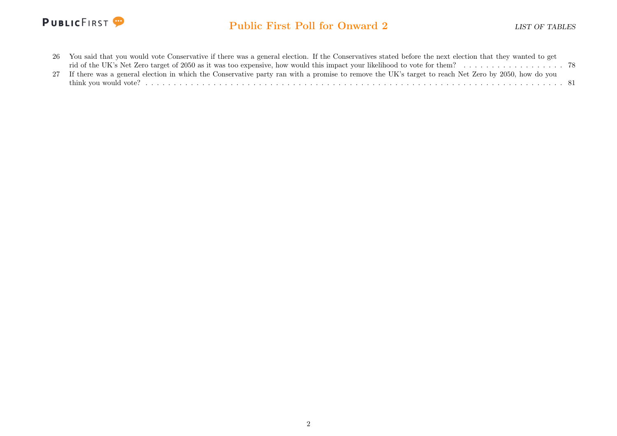

| 26 You said that you would vote Conservative if there was a general election. If the Conservatives stated before the next election that they wanted to get |  |
|------------------------------------------------------------------------------------------------------------------------------------------------------------|--|
|                                                                                                                                                            |  |
| 27 If there was a general election in which the Conservative party ran with a promise to remove the UK's target to reach Net Zero by 2050, how do you      |  |
|                                                                                                                                                            |  |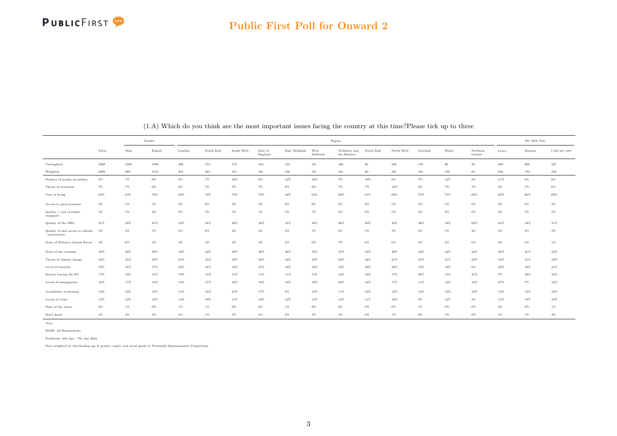

<span id="page-3-0"></span>

|                                                    |        | Gender |        |                    |            |            |                    |               | Region           |                             |            |                    |          |        |                     |        | $\mathop{\rm EU}$ 2016 Vote |                |
|----------------------------------------------------|--------|--------|--------|--------------------|------------|------------|--------------------|---------------|------------------|-----------------------------|------------|--------------------|----------|--------|---------------------|--------|-----------------------------|----------------|
|                                                    | Total  | Male   | Female | London             | South East | South West | East of<br>England | East Midlands | West<br>Midlands | Yorkshire and<br>the Humber | North East | North West         | Scotland | Wales  | Northern<br>Ireland | Leave  | Remain                      | I did not vote |
| Unweighted                                         | 2008   | 1000   | 1002   | $\boldsymbol{298}$ | 274        | 172        | 163                | 152           | 181              | 168                         | 86         | $\boldsymbol{238}$ | 150      | $96\,$ | $30\,$              | 840    | $800\,$                     | $\bf 227$      |
| Weighted                                           | 2008   | 989    | 1013   | 281                | 261        | 161        | 181                | 140           | 181              | 161                         | 80         | 221                | 181      | 100    | $60\,$              | 836    | 794                         | 239            |
| Number of people on welfare                        | $8\%$  | 7%     | $9\%$  | $9\%$              | $7\%$      | 10%        | $6\%$              | 12%           | 10%              | 7%                          | 10%        | $6\%$              | $7\%$    | 12%    | $8\%$               | 11%    | $6\%$                       | $6\%$          |
| Threat of terrorism                                | 7%     | 7%     | $6\%$  | 8%                 | 5%         | 5%         | $7\%$              | 8%            | $6\%$            | 7%                          | $7\%$      | 10%                | $4\%$    | 7%     | $3\%$               | $8\%$  | $5\%$                       | $6\%$          |
| Cost of living                                     | 68%    | 63%    | 72%    | 60%                | 72%        | 73%        | 73%                | $64\%$        | 63%              | 66%                         | 61%        | 68%                | 75%      | 75%    | 68%                 | 69%    | 66%                         | 69%            |
| Access to good pensions                            | 5%     | 5%     | 5%     | 5%                 | $6\%$      | 4%         | $3\%$              | $6\%$         | $6\%$            | 6%                          | $4\%$      | $5\%$              | $3\%$    | 5%     | $0\%$               | $4\%$  | $6\%$                       | $4\%$          |
| Quality / cost of public<br>transport              | 5%     | 5%     | $4\%$  | $9\%$              | $3\%$      | 3%         | $1\%$              | 5%            | $7\%$            | 4%                          | $6\%$      | $5\%$              | $4\%$    | 2%     | $0\%$               | $4\%$  | 5%                          | $5\%$          |
| Quality of the NHS                                 | 41%    | 38%    | 45%    | 33%                | 36%        | 40%        | 38%                | 35%           | 44%              | 46%                         | 40%        | 42%                | 48%      | 54%    | 69%                 | 43%    | 44%                         | 31%            |
| Quality of and access to schools<br>/ universities | 4%     | $4\%$  | 5%     | 8%                 | 6%         | 4%         | $2\%$              | $4\%$         | 5%               | 6%                          | $5\%$      | $3\%$              | $3\%$    | 1%     | $4\%$               | 5%     | 4%                          | 3%             |
| State of Britain's Armed Forces                    | 4%     | 6%     | $3\%$  | $4\%$              | $3\%$      | $4\%$      | $3\%$              | $2\%$         | $6\%$            | $7\%$                       | $6\%$      | $6\%$              | $3\%$    | $2\%$  | $6\%$               | $6\%$  | $3\%$                       | $1\%$          |
| State of the economy                               | 39%    | 40%    | 39%    | 34%                | 42%        | 38%        | 38%                | 46%           | 35%              | 37%                         | 43%        | 40%                | 42%      | 42%    | 44%                 | 38%    | $41\%$                      | 43%            |
| Threat of climate change                           | $24\%$ | 25%    | 23%    | 23%                | 25%        | 30%        | 28%                | $24\%$        | 23%              | 20%                         | $24\%$     | 21%                | 25%      | 21%    | 28%                 | 18%    | 31%                         | 19%            |
| Level of taxation                                  | 19%    | 21%    | 17%    | 22%                | 21%        | 14%        | 25%                | 23%           | 16%              | 16%                         | 20%        | 20%                | 18%      | 13%    | $6\%$               | 20%    | 16%                         | 21%            |
| Britain leaving the EU                             | 17%    | 19%    | 15%    | 19%                | 15%        | 15%        | 11%                | 11%           | 15%              | 14%                         | 16%        | 17%                | 26%      | 15%    | 41%                 | $7\%$  | 28%                         | 16%            |
| Levels of immigration                              | 16%    | 17%    | 15%    | 13%                | 17%        | 16%        | 18%                | 19%           | 19%              | 20%                         | 18%        | 17%                | 11%      | 13%    | 10%                 | 27%    | $7\%$                       | 12%            |
| Availability of housing                            | 14%    | $12\%$ | 16%    | 15%                | 16%        | $21\%$     | 17%                | $8\%$         | 14%              | 11%                         | 16%        | $12\%$             | $12\%$   | $12\%$ | 10%                 | $14\%$ | $12\%$                      | 19%            |
| Levels of crime                                    | 12%    | 12%    | 12%    | 14%                | 10%        | 11%        | 10%                | $12\%$        | $13\%$           | 14%                         | 11%        | 16%                | $9\%$    | 12%    | $3\%$               | 13%    | 10%                         | 10%            |
| None of the above                                  | $0\%$  | 1%     | $0\%$  | 1%                 | $1\%$      | 0%         | $0\%$              | $1\%$         | $0\%$            | 0%                          | $0\%$      | $0\%$              | $1\%$    | $0\%$  | $0\%$               | $0\%$  | $0\%$                       | $1\%$          |
| Don't know                                         | $2\%$  | $2\%$  | $2\%$  | $2\%$              | $1\%$      | 3%         | $2\%$              | $0\%$         | $3\%$            | 3%                          | $0\%$      | 1%                 | $0\%$    | 1%     | $0\%$               | $1\%$  | $1\%$                       | $4\%$          |

(1.A) Which do you think are the most important issues facing the country at this time?Please tick up to three

Note:

BASE: All Respondents

Fieldwork: 6th Apr - 7th Apr 2022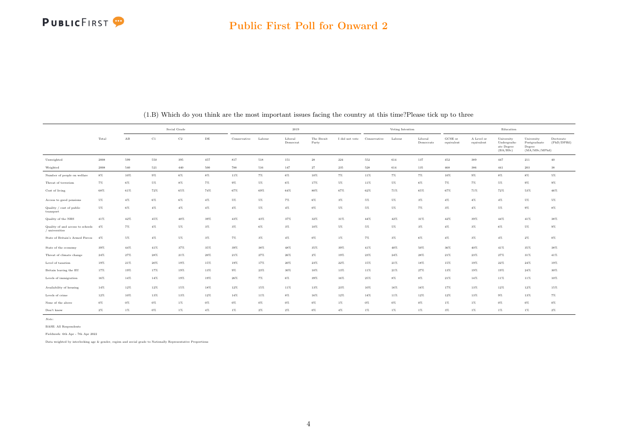

#### Public First Poll for Onward 2

|                                                    |       |             |             | Social Grade |           |              |        | 2019                |                     |                |              | Voting Intention |                      |                       |                          | Education                                           |                                                        |                          |
|----------------------------------------------------|-------|-------------|-------------|--------------|-----------|--------------|--------|---------------------|---------------------|----------------|--------------|------------------|----------------------|-----------------------|--------------------------|-----------------------------------------------------|--------------------------------------------------------|--------------------------|
|                                                    | Total | $_{\rm AB}$ | $_{\rm C1}$ | C2           | $\rm{DE}$ | Conservative | Labour | Liberal<br>Democrat | The Brexit<br>Party | I did not vote | Conservative | Labour           | Liberal<br>Democrats | GCSE or<br>equivalent | A Level or<br>equivalent | University<br>Undergradu-<br>ate Degree<br>(BA/BSc) | University<br>Postgraduate<br>Degree<br>(MA/MSc/MPhil) | Doctorate<br>(PhD/DPHil) |
| Unweighted                                         | 2008  | 599         | 550         | 395          | 457       | 817          | 518    | 151                 | 28                  | 224            | 552          | 614              | 137                  | 452                   | 389                      | $447\,$                                             | 211                                                    | $40\,$                   |
| Weighted                                           | 2008  | 540         | 521         | 440          | 500       | 788          | 516    | 147                 | $27\,$              | 235            | 528          | 614              | 135                  | $468\,$               | $386\,$                  | 441                                                 | 203                                                    | $38\,$                   |
| Number of people on welfare                        | $8\%$ | 10%         | $9\%$       | $6\%$        | $8\%$     | 11%          | 7%     | 6%                  | 10%                 | 7%             | 11%          | 7%               | 7%                   | $10\%$                | $9\%$                    | $8\%$                                               | $8\%$                                                  | 5%                       |
| Threat of terrorism                                | $7\%$ | 6%          | 5%          | $8\%$        | $7\%$     | $9\%$        | $5\%$  | 6%                  | 17%                 | 5%             | 11%          | 5%               | $6\%$                | 7%                    | $7\%$                    | 5%                                                  | $9\%$                                                  | $9\%$                    |
| Cost of living                                     | 68%   | 61%         | 72%         | 65%          | 74%       | 67%          | 69%    | 64%                 | 80%                 | 67%            | 62%          | 71%              | 65%                  | 67%                   | 71%                      | 72%                                                 | 53%                                                    | 46%                      |
| Access to good pensions                            | 5%    | $4\%$       | 6%          | $6\%$        | $4\%$     | $5\%$        | $5\%$  | $7\%$               | $6\%$               | $3\%$          | $5\%$        | 5%               | $3\%$                | $4\%$                 | $4\%$                    | $4\%$                                               | 5%                                                     | 5%                       |
| Quality / cost of public<br>transport              | 5%    | 6%          | 4%          | $4\%$        | $4\%$     | $4\%$        | 5%     | $4\%$               | $0\%$               | 5%             | $5\%$        | $5\%$            | 7%                   | $3\%$                 | $4\%$                    | 5%                                                  | $9\%$                                                  | 8%                       |
| Quality of the NHS                                 | 41%   | 42%         | 45%         | 40%          | 39%       | 43%          | 43%    | 37%                 | 32%                 | 31%            | 44%          | 42%              | 31%                  | 42%                   | 39%                      | $44\%$                                              | 41%                                                    | 38%                      |
| Quality of and access to schools<br>/ universities | 4%    | $7\%$       | 4%          | $5\%$        | $3\%$     | $3\%$        | 6%     | $3\%$               | 10%                 | 5%             | $5\%$        | $5\%$            | $3\%$                | $4\%$                 | $3\%$                    | $6\%$                                               | 5%                                                     | $9\%$                    |
| State of Britain's Armed Forces                    | 4%    | 5%          | $4\%$       | $5\%$        | $3\%$     | $7\%$        | $3\%$  | $4\%$               | $0\%$               | $1\%$          | $7\%$        | $3\%$            | $6\%$                | $4\%$                 | $3\%$                    | $4\%$                                               | $2\%$                                                  | $0\%$                    |
| State of the economy                               | 39%   | $44\%$      | 41%         | 37%          | 35%       | 39%          | 38%    | 48%                 | 35%                 | 39%            | 41%          | 40%              | 50%                  | 36%                   | 40%                      | 41%                                                 | 35%                                                    | 38%                      |
| Threat of climate change                           | 24%   | 27%         | 28%         | 21%          | 20%       | 21%          | 27%    | 26%                 | $2\%$               | 19%            | 23%          | 24%              | 28%                  | 21%                   | 23%                      | 27%                                                 | 31%                                                    | 41%                      |
| Level of taxation                                  | 19%   | 21%         | 20%         | 19%          | 15%       | 19%          | 17%    | $20\%$              | 23%                 | $22\%$         | 15%          | 21%              | 18%                  | 15%                   | 19%                      | $22\%$                                              | $24\%$                                                 | 19%                      |
| Britain leaving the EU                             | 17%   | 19%         | 17%         | 19%          | 13%       | $9\%$        | 23%    | 30%                 | 10%                 | 13%            | 11%          | 21%              | 27%                  | 13%                   | 19%                      | 19%                                                 | 24%                                                    | 30%                      |
| Levels of immigration                              | 16%   | 14%         | 14%         | 19%          | 19%       | 26%          | $7\%$  | $6\%$               | 39%                 | 16%            | 25%          | $8\%$            | $8\%$                | 21%                   | 14%                      | 11%                                                 | 11%                                                    | 10%                      |
| Availability of housing                            | 14%   | 12%         | 12%         | 15%          | 18%       | 12%          | 15%    | 11%                 | 13%                 | 23%            | 10%          | 16%              | 16%                  | 17%                   | 13%                      | $12\%$                                              | 12%                                                    | 15%                      |
| Levels of crime                                    | 12%   | $10\%$      | 13%         | 13%          | 12%       | 14%          | 11%    | $8\%$               | $16\%$              | 12%            | 14%          | 11%              | 12%                  | $12\%$                | 13%                      | $9\%$                                               | 13%                                                    | 7%                       |
| None of the above                                  | $0\%$ | $0\%$       | $0\%$       | $1\%$        | $0\%$     | $0\%$        | $0\%$  | $0\%$               | $0\%$               | 1%             | $0\%$        | $0\%$            | $0\%$                | $1\%$                 | $1\%$                    | $0\%$                                               | $0\%$                                                  | $0\%$                    |
| Don't know                                         | $2\%$ | $1\%$       | 0%          | $1\%$        | $4\%$     | $1\%$        | $2\%$  | $2\%$               | $0\%$               | $4\%$          | $1\%$        | 1%               | $1\%$                | $3\%$                 | $1\%$                    | $1\%$                                               | $1\%$                                                  | $2\%$                    |

(1.B) Which do you think are the most important issues facing the country at this time?Please tick up to three

Note:

BASE: All Respondents

Fieldwork: 6th Apr - 7th Apr 2022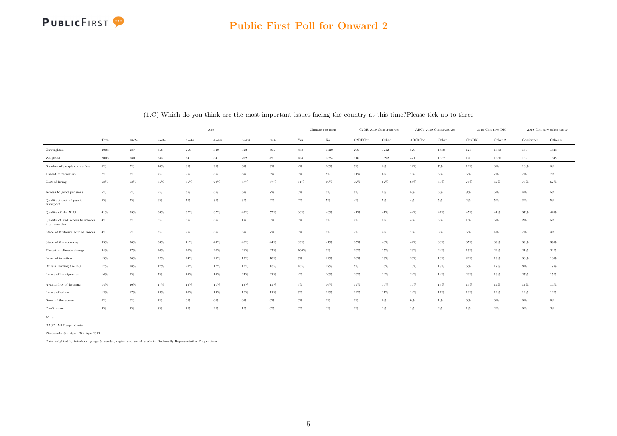#### Public First Poll for Onward 2

|                                                    |                     |           |           |           | Age       |           |       |                      | Climate top issue |         | C2DE 2019 Conservatives |         | ABC1 2019 Conservatives |                | 2019 Con now DK |           | 2019 Con now other party |
|----------------------------------------------------|---------------------|-----------|-----------|-----------|-----------|-----------|-------|----------------------|-------------------|---------|-------------------------|---------|-------------------------|----------------|-----------------|-----------|--------------------------|
|                                                    | Total               | $18 - 24$ | $25 - 34$ | $35 - 44$ | $45 - 54$ | $55 - 64$ | $65+$ | $\operatorname{Yes}$ | $_{\rm No}$       | C2DECon | Other                   | ABC1Con | Other                   | $_{\rm ConDK}$ | Other.2         | ConSwitch | Other.3                  |
| Unweighted                                         | $\boldsymbol{2008}$ | 287       | 358       | 256       | 320       | 322       | 465   | 488                  | 1520              | 296     | 1712                    | 520     | 1488                    | 125            | 1883            | 160       | 1848                     |
| Weighted                                           | 2008                | 280       | 343       | 341       | 341       | 282       | 421   | 484                  | 1524              | 316     | 1692                    | 471     | 1537                    | 120            | 1888            | 159       | 1849                     |
| Number of people on welfare                        | $8\%$               | $7\%$     | 10%       | $8\%$     | $9\%$     | $6\%$     | $9\%$ | $4\%$                | 10%               | $9\%$   | $8\%$                   | 12%     | 7%                      | 11%            | 8%              | 10%       | $8\%$                    |
| Threat of terrorism                                | $7\%$               | 7%        | 7%        | $9\%$     | 5%        | $8\%$     | 5%    | $3\%$                | $8\%$             | 11%     | $6\%$                   | 7%      | 6%                      | 5%             | 7%              | 7%        | $7\%$                    |
| Cost of living                                     | $68\%$              | 63%       | $65\%$    | 65%       | 79%       | $67\%$    | 67%   | $64\%$               | 69%               | $72\%$  | 67%                     | 64%     | 69%                     | 79%            | 67%             | 75%       | 67%                      |
| Access to good pensions                            | 5%                  | $5\%$     | $2\%$     | $3\%$     | 5%        | $6\%$     | $7\%$ | $3\%$                | $5\%$             | $6\%$   | $5\%$                   | $5\%$   | $5\%$                   | $9\%$          | 5%              | 4%        | $5\%$                    |
| Quality / cost of public<br>transport              | 5%                  | $7\%$     | $6\%$     | $7\%$     | $3\%$     | $3\%$     | $2\%$ | $2\%$                | $5\%$             | $4\%$   | $5\%$                   | $4\%$   | $5\%$                   | $2\%$          | $5\%$           | 3%        | $5\%$                    |
| Quality of the NHS                                 | 41%                 | 33%       | 36%       | 32%       | 37%       | 49%       | 57%   | 36%                  | 43%               | 41%     | 41%                     | 44%     | 41%                     | 45%            | 41%             | 37%       | 42%                      |
| Quality of and access to schools<br>/ universities | $4\%$               | $7\%$     | $6\%$     | 6%        | $3\%$     | $1\%$     | $3\%$ | $3\%$                | $5\%$             | $2\%$   | $5\%$                   | $4\%$   | $5\%$                   | $1\%$          | $5\%$           | $2\%$     | $5\%$                    |
| State of Britain's Armed Forces                    | 4%                  | $5\%$     | $3\%$     | $2\%$     | $3\%$     | $5\%$     | $7\%$ | $3\%$                | $5\%$             | $7\%$   | $4\%$                   | 7%      | $3\%$                   | $5\%$          | $4\%$           | $7\%$     | $4\%$                    |
| State of the economy                               | 39%                 | 30%       | 36%       | $41\%$    | 43%       | $40\%$    | 44%   | 33%                  | 41%               | 35%     | 40%                     | 42%     | 38%                     | 35%            | 39%             | 39%       | 39%                      |
| Threat of climate change                           | $24\%$              | 27%       | 26%       | 20%       | $20\%$    | $26\%$    | 27%   | 100%                 | $0\%$             | 19%     | 25%                     | 23%     | 24%                     | 19%            | 24%             | 21%       | $24\%$                   |
| Level of taxation                                  | 19%                 | 20%       | 22%       | 24%       | $25\%$    | 13%       | 10%   | $9\%$                | 22%               | 18%     | 19%                     | 20%     | 18%                     | 21%            | 19%             | 30%       | 18%                      |
| Britain leaving the EU                             | 17%                 | 18%       | 17%       | 20%       | 17%       | $17\%$    | 13%   | 15%                  | 17%               | $8\%$   | 18%                     | 10%     | 19%                     | $6\%$          | 17%             | 8%        | 17%                      |
| Levels of immigration                              | 16%                 | $9\%$     | $7\%$     | 16%       | $16\%$    | 24%       | 23%   | $4\%$                | 20%               | $29\%$  | 14%                     | 24%     | 14%                     | 23%            | 16%             | 27%       | 15%                      |
| Availability of housing                            | 14%                 | $20\%$    | 17%       | 15%       | 11%       | 13%       | 11%   | $9\%$                | 16%               | 14%     | 14%                     | 10%     | 15%                     | 13%            | 14%             | 17%       | $14\%$                   |
| Levels of crime                                    | 12%                 | 17%       | 12%       | 10%       | 12%       | 10%       | 11%   | $6\%$                | 14%               | $14\%$  | 11%                     | 14%     | 11%                     | 13%            | 12%             | 12%       | 12%                      |
| None of the above                                  | $0\%$               | $0\%$     | $1\%$     | $0\%$     | $0\%$     | $0\%$     | $0\%$ | $0\%$                | $1\%$             | $0\%$   | $0\%$                   | $0\%$   | $1\%$                   | $0\%$          | 0%              | 0%        | $0\%$                    |
| Don't know                                         | $2\%$               | $3\%$     | $3\%$     | 1%        | $2\%$     | $1\%$     | $0\%$ | $0\%$                | $2\%$             | $1\%$   | $2\%$                   | $1\%$   | $2\%$                   | $1\%$          | 2%              | $0\%$     | $2\%$                    |

(1.C) Which do you think are the most important issues facing the country at this time?Please tick up to three

Note:

BASE: All Respondents

Fieldwork: 6th Apr - 7th Apr 2022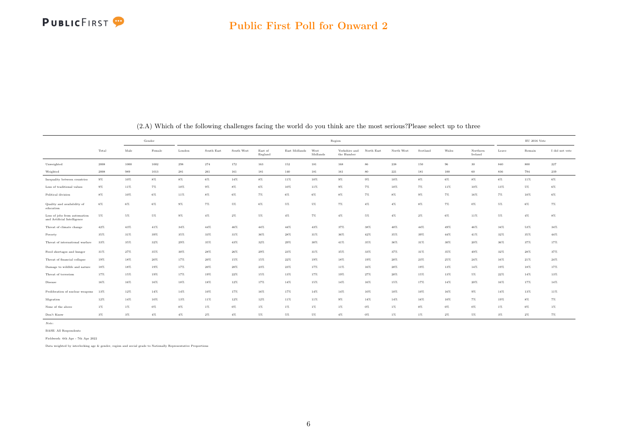

<span id="page-6-0"></span>

|                                                             |        |       | Gender |        |            |            |                    |               |                  | Region                      |            |            |          |       |                     |        | $\mathop{\rm EU}$ 2016 Vote |                |
|-------------------------------------------------------------|--------|-------|--------|--------|------------|------------|--------------------|---------------|------------------|-----------------------------|------------|------------|----------|-------|---------------------|--------|-----------------------------|----------------|
|                                                             | Total  | Male  | Female | London | South East | South West | East of<br>England | East Midlands | West<br>Midlands | Yorkshire and<br>the Humber | North East | North West | Scotland | Wales | Northern<br>Ireland | Leave  | Remain                      | I did not vote |
| Unweighted                                                  | 2008   | 1000  | 1002   | 298    | 274        | 172        | 163                | 152           | 181              | 168                         | 86         | 238        | 150      | 96    | 30                  | 840    | 800                         | 227            |
| Weighted                                                    | 2008   | 989   | 1013   | 281    | 261        | 161        | 181                | 140           | 181              | 161                         | 80         | 221        | 181      | 100   | 60                  | 836    | 794                         | 239            |
| Inequality between countries                                | $9\%$  | 10%   | $8\%$  | $8\%$  | $6\%$      | 14%        | $8\%$              | 11%           | 10%              | $9\%$                       | $9\%$      | 10%        | $8\%$    | $6\%$ | $8\%$               | $6\%$  | 11%                         | 6%             |
| Loss of traditional values                                  | $9\%$  | 11%   | $7\%$  | 10%    | $9\%$      | $8\%$      | $6\%$              | 10%           | 11%              | $9\%$                       | 7%         | 10%        | 7%       | 11%   | 10%                 | 13%    | 5%                          | 6%             |
| Political division                                          | $8\%$  | 10%   | $6\%$  | 11%    | $8\%$      | $6\%$      | $7\%$              | $6\%$         | $6\%$            | $8\%$                       | 7%         | $8\%$      | $9\%$    | $7\%$ | 16%                 | 7%     | 10%                         | 6%             |
| Quality and availability of<br>education                    | $6\%$  | $6\%$ | $6\%$  | $9\%$  | 7%         | $5\%$      | 6%                 | $5\%$         | $5\%$            | $7\%$                       | $4\%$      | $4\%$      | $8\%$    | $7\%$ | $0\%$               | 5%     | $6\%$                       | $7\%$          |
| Loss of jobs from automation<br>and Artificial Intelligence | 5%     | $5\%$ | 5%     | $9\%$  | $4\%$      | $2\%$      | 5%                 | $4\%$         | $7\%$            | $4\%$                       | $5\%$      | $4\%$      | $2\%$    | $6\%$ | 11%                 | 5%     | $4\%$                       | $8\%$          |
| Threat of climate change                                    | 42%    | 43%   | 41%    | 34%    | 44%        | 46%        | 44%                | 44%           | 43%              | 37%                         | 38%        | 40%        | 44%      | 49%   | 46%                 | 34%    | 53%                         | 34%            |
| Poverty                                                     | 35%    | 31%   | 39%    | 35%    | 33%        | 31%        | 36%                | 28%           | 31%              | 36%                         | 42%        | 35%        | 39%      | 44%   | 41%                 | 32%    | 35%                         | 44%            |
| Threat of international warfare                             | 33%    | 35%   | 32%    | 29%    | 35%        | 43%        | $32\%$             | 29%           | 30%              | 41%                         | 35%        | 36%        | 31%      | 30%   | 20%                 | 36%    | 37%                         | 17%            |
| Food shortages and hunger                                   | $31\%$ | 27%   | 35%    | 30%    | 28%        | 26%        | 29%                | 23%           | $31\%$           | 35%                         | 33%        | 37%        | 31%      | 35%   | 49%                 | $32\%$ | 28%                         | 37%            |
| Threat of financial collapse                                | 19%    | 18%   | 20%    | 17%    | 20%        | 15%        | 15%                | 22%           | 19%              | 18%                         | 19%        | 20%        | 23%      | 25%   | 24%                 | 16%    | 21%                         | $24\%$         |
| Damage to wildlife and nature                               | 18%    | 18%   | 19%    | 17%    | 20%        | 20%        | 23%                | 23%           | 17%              | 11%                         | 16%        | 20%        | 19%      | 13%   | 14%                 | 19%    | 18%                         | 17%            |
| Threat of terrorism                                         | 17%    | 15%   | 19%    | 17%    | 19%        | 22%        | 15%                | 13%           | 17%              | 19%                         | 27%        | 20%        | 15%      | 13%   | 5%                  | 22%    | $14\%$                      | 13%            |
| Disease                                                     | 16%    | 16%   | 16%    | 18%    | 18%        | 12%        | 17%                | 14%           | 15%              | 14%                         | 16%        | 15%        | 17%      | 14%   | 20%                 | 16%    | 17%                         | 14%            |
| Proliferation of nuclear weapons                            | 13%    | 12%   | 14%    | 14%    | 10%        | 17%        | 16%                | 17%           | 14%              | 14%                         | 10%        | 10%        | 10%      | 16%   | $9\%$               | 14%    | 13%                         | 11%            |
| Migration                                                   | 12%    | 14%   | 10%    | 13%    | 11%        | 12%        | 12%                | 11%           | 11%              | $9\%$                       | 14%        | 14%        | 16%      | 10%   | 7%                  | 19%    | $8\%$                       | 7%             |
| None of the above                                           | $1\%$  | $1\%$ | $0\%$  | $0\%$  | 1%         | $0\%$      | 1%                 | $1\%$         | $1\%$            | $1\%$                       | $0\%$      | $1\%$      | $0\%$    | $0\%$ | $0\%$               | $1\%$  | $0\%$                       | $1\%$          |
| Don't Know                                                  | $3\%$  | $3\%$ | $4\%$  | $4\%$  | $2\%$      | $4\%$      | 5%                 | $5\%$         | $5\%$            | $4\%$                       | $0\%$      | $1\%$      | $1\%$    | $2\%$ | 5%                  | 3%     | $2\%$                       | 7%             |

(2.A) Which of the following challenges facing the world do you think are the most serious?Please select up to three

Note:

BASE: All Respondents

Fieldwork: 6th Apr - 7th Apr 2022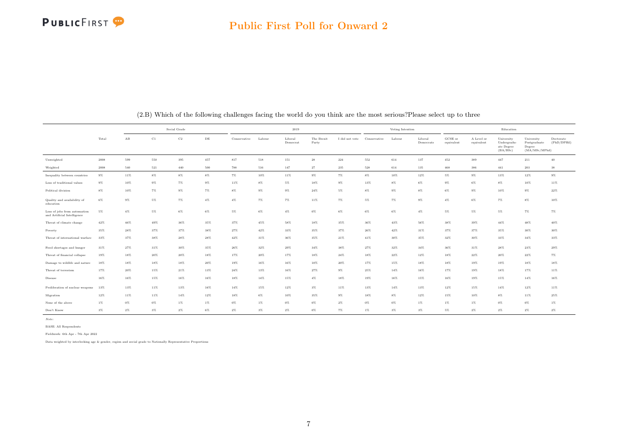

|                                                             |       |       |       | Social Grade |           |              |        | 2019                |                     |                |              | Voting Intention |                      |                       |                          | Education                                           |                                                        |                          |
|-------------------------------------------------------------|-------|-------|-------|--------------|-----------|--------------|--------|---------------------|---------------------|----------------|--------------|------------------|----------------------|-----------------------|--------------------------|-----------------------------------------------------|--------------------------------------------------------|--------------------------|
|                                                             | Total | AB    | C1    | $_{\rm C2}$  | $\rm{DE}$ | Conservative | Labour | Liberal<br>Democrat | The Brexit<br>Party | I did not vote | Conservative | Labour           | Liberal<br>Democrats | GCSE or<br>equivalent | A Level or<br>equivalent | University<br>Undergradu-<br>ate Degree<br>(BA/BSc) | University<br>Postgraduate<br>Degree<br>(MA/MSc/MPhil) | Doctorate<br>(PhD/DPHil) |
| Unweighted                                                  | 2008  | 599   | 550   | 395          | 457       | 817          | 518    | 151                 | $\bf 28$            | 224            | 552          | 614              | 137                  | 452                   | 389                      | 447                                                 | $211\,$                                                | $40\,$                   |
| Weighted                                                    | 2008  | 540   | 521   | 440          | 500       | 788          | 516    | 147                 | 27                  | 235            | 528          | 614              | 135                  | 468                   | 386                      | 441                                                 | 203                                                    | 38                       |
| Inequality between countries                                | $9\%$ | 11%   | 8%    | $8\%$        | $8\%$     | $7\%$        | 10%    | 11%                 | $9\%$               | 7%             | $8\%$        | 10%              | 12%                  | $5\%$                 | $9\%$                    | 13%                                                 | 12%                                                    | 9%                       |
| Loss of traditional values                                  | $9\%$ | 10%   | 9%    | $7\%$        | $9\%$     | 11%          | $8\%$  | $5\%$               | 18%                 | $9\%$          | 13%          | $8\%$            | 6%                   | $9\%$                 | $6\%$                    | $8\%$                                               | 10%                                                    | 11%                      |
| Political division                                          | $8\%$ | 10%   | 7%    | $9\%$        | 7%        | $8\%$        | $9\%$  | $9\%$               | 24%                 | $5\%$          | $8\%$        | $9\%$            | $8\%$                | 6%                    | $9\%$                    | 10%                                                 | $9\%$                                                  | 22%                      |
| Quality and availability of<br>education                    | $6\%$ | $9\%$ | 5%    | $7\%$        | $4\%$     | $4\%$        | $7\%$  | $7\%$               | 11%                 | 7%             | $5\%$        | $7\%$            | $9\%$                | $4\%$                 | $6\%$                    | $7\%$                                               | $8\%$                                                  | 10%                      |
| Loss of jobs from automation<br>and Artificial Intelligence | 5%    | $4\%$ | 5%    | $6\%$        | 6%        | $5\%$        | $6\%$  | $4\%$               | $0\%$               | 6%             | $6\%$        | $6\%$            | $4\%$                | $5\%$                 | $5\%$                    | $5\%$                                               | 7%                                                     | 7%                       |
| Threat of climate change                                    | 42%   | 46%   | 49%   | 36%          | 35%       | 37%          | 45%    | 58%                 | 18%                 | 35%            | 36%          | 43%              | 56%                  | 38%                   | 39%                      | $44\%$                                              | 48%                                                    | 40%                      |
| Poverty                                                     | 35%   | 28%   | 37%   | 37%          | 38%       | 27%          | 42%    | 33%                 | 35%                 | 37%            | 26%          | 42%              | 31%                  | 37%                   | 37%                      | 35%                                                 | 30%                                                    | 30%                      |
| Threat of international warfare                             | 33%   | 37%   | 38%   | 28%          | 28%       | 42%          | 31%    | 36%                 | 35%                 | 21%            | 41%          | 30%              | 35%                  | 32%                   | 30%                      | 33%                                                 | 34%                                                    | 33%                      |
| Food shortages and hunger                                   | 31%   | 27%   | 31%   | 30%          | 35%       | 26%          | 32%    | 29%                 | $34\%$              | 38%            | 27%          | 32%              | 34%                  | 36%                   | 31%                      | 28%                                                 | 23%                                                    | 29%                      |
| Threat of financial collapse                                | 19%   | 18%   | 20%   | 20%          | 18%       | 17%          | 20%    | 17%                 | 18%                 | 24%            | 18%          | 22%              | 12%                  | 18%                   | 22%                      | 20%                                                 | 22%                                                    | 7%                       |
| Damage to wildlife and nature                               | 18%   | 18%   | 18%   | 18%          | 20%       | 19%          | 16%    | 16%                 | 10%                 | 20%            | 17%          | 15%              | 18%                  | 18%                   | 19%                      | 19%                                                 | 18%                                                    | 18%                      |
| Threat of terrorism                                         | 17%   | 20%   | 15%   | 21%          | 13%       | 24%          | 13%    | 16%                 | 27%                 | $9\%$          | 25%          | 14%              | 16%                  | 17%                   | 19%                      | 18%                                                 | 17%                                                    | 11%                      |
| Disease                                                     | 16%   | 16%   | 15%   | 16%          | 16%       | 18%          | 14%    | 15%                 | $4\%$               | 18%            | 19%          | 16%              | 15%                  | 16%                   | 19%                      | 15%                                                 | 14%                                                    | 16%                      |
| Proliferation of nuclear weapons                            | 13%   | 13%   | 11%   | 13%          | 16%       | 14%          | 15%    | $12\%$              | $3\%$               | 11%            | 13%          | 14%              | 13%                  | 12%                   | 15%                      | $14\%$                                              | 12%                                                    | 11%                      |
| Migration                                                   | 12%   | 11%   | 11%   | 14%          | 12%       | 18%          | $6\%$  | 10%                 | 35%                 | $9\%$          | 18%          | $8\%$            | 12%                  | 15%                   | 10%                      | $8\%$                                               | 11%                                                    | 25%                      |
| None of the above                                           | $1\%$ | $0\%$ | $0\%$ | $1\%$        | $1\%$     | $0\%$        | 1%     | $0\%$               | $0\%$               | $2\%$          | $0\%$        | $0\%$            | $1\%$                | $1\%$                 | $1\%$                    | $0\%$                                               | $0\%$                                                  | $1\%$                    |
| Don't Know                                                  | $3\%$ | $2\%$ | 3%    | $2\%$        | $6\%$     | $2\%$        | $3\%$  | $2\%$               | $0\%$               | $7\%$          | 1%           | $3\%$            | $3\%$                | 5%                    | $2\%$                    | 2%                                                  | $2\%$                                                  | $2\%$                    |

#### (2.B) Which of the following challenges facing the world do you think are the most serious?Please select up to three

Note:

BASE: All Respondents

Fieldwork: 6th Apr - 7th Apr 2022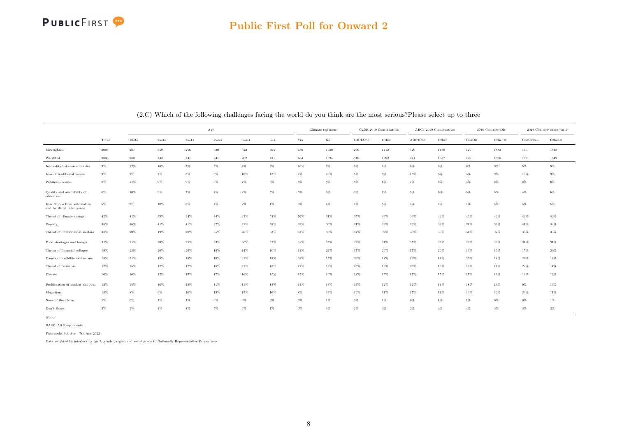#### Public First Poll for Onward 2

|                                                             |        |           |           |           | $_{\rm Age}$ |        |        |         | Climate top issue |         | C2DE 2019 Conservatives |         | ABC1 2019 Conservatives |       | 2019 Con now DK |           | 2019 Con now other party |
|-------------------------------------------------------------|--------|-----------|-----------|-----------|--------------|--------|--------|---------|-------------------|---------|-------------------------|---------|-------------------------|-------|-----------------|-----------|--------------------------|
|                                                             | Total  | $18 - 24$ | $25 - 34$ | $35 - 44$ | $45 - 54$    | 55-64  | $65+$  | Yes     | $\rm No$          | C2DECon | Other                   | ABC1Con | Other                   | ConDK | Other.2         | ConSwitch | Other.3                  |
| Unweighted                                                  | 2008   | 287       | 358       | 256       | 320          | 322    | 465    | $\!488$ | 1520              | 296     | 1712                    | 520     | 1488                    | 125   | 1883            | 160       | 1848                     |
| Weighted                                                    | 2008   | 280       | 343       | 341       | 341          | 282    | 421    | 484     | 1524              | 316     | 1692                    | 471     | 1537                    | 120   | 1888            | 159       | 1849                     |
| Inequality between countries                                | $9\%$  | 12%       | $10\%$    | $7\%$     | $9\%$        | 8%     | $8\%$  | 10%     | $9\%$             | $6\%$   | $9\%$                   | $8\%$   | 9%                      | $8\%$ | $9\%$           | $5\%$     | $9\%$                    |
| Loss of traditional values                                  | $9\%$  | $9\%$     | $7\%$     | $8\%$     | 6%           | $10\%$ | 12%    | $4\%$   | 10%               | $8\%$   | $9\%$                   | 13%     | $8\%$                   | $5\%$ | 9%              | 10%       | $9\%$                    |
| Political division                                          | 8%     | 11%       | $9\%$     | $9\%$     | 6%           | 7%     | $8\%$  | $8\%$   | $8\%$             | $8\%$   | $8\%$                   | $7\%$   | 9%                      | $5\%$ | 8%              | 8%        | $8\%$                    |
| Quality and availability of<br>education                    | 6%     | 10%       | $9\%$     | 7%        | $4\%$        | $2\%$  | $5\%$  | $5\%$   | $6\%$             | $3\%$   | $7\%$                   | $5\%$   | 6%                      | $5\%$ | 6%              | 4%        | $6\%$                    |
| Loss of jobs from automation<br>and Artificial Intelligence | $5\%$  | $9\%$     | $10\%$    | $6\%$     | $4\%$        | $2\%$  | $1\%$  | $3\%$   | $6\%$             | $5\%$   | $5\%$                   | $5\%$   | $5\%$                   | $1\%$ | $5\%$           | $5\%$     | $5\%$                    |
| Threat of climate change                                    | 42%    | $41\%$    | 35%       | $34\%$    | $44\%$       | 43%    | 51%    | 76%     | $31\%$            | 35%     | 43%                     | 39%     | 42%                     | 43%   | 42%             | 43%       | 42%                      |
| Poverty                                                     | 35%    | 36%       | 41%       | 41%       | 37%          | 31%    | 25%    | 33%     | 36%               | 31%     | $36\%$                  | 26%     | 38%                     | 21%   | 36%             | 41%       | 34%                      |
| Threat of international warfare                             | 33%    | $20\%$    | 19%       | 20%       | 35%          | $46\%$ | 53%    | 33%     | 33%               | 37%     | 32%                     | 45%     | 30%                     | 54%   | 32%             | 30%       | $33\%$                   |
| Food shortages and hunger                                   | 31%    | 31%       | 30%       | 29%       | $34\%$       | $30\%$ | $32\%$ | 28%     | $32\%$            | $29\%$  | $31\%$                  | 25%     | 33%                     | 23%   | 32%             | 31%       | 31%                      |
| Threat of financial collapse                                | 19%    | 23%       | $26\%$    | 26%       | 18%          | 14%    | 10%    | 11%     | 22%               | 17%     | 20%                     | 17%     | 20%                     | 16%   | 19%             | 15%       | 20%                      |
| Damage to wildlife and nature                               | 18%    | 21%       | 15%       | 18%       | 19%          | 21%    | 18%    | 28%     | 15%               | 20%     | 18%                     | 19%     | 18%                     | 23%   | 18%             | 24%       | 18%                      |
| Threat of terrorism                                         | 17%    | $15\%$    | $17\%$    | 17%       | $15\%$       | $21\%$ | $18\%$ | $12\%$  | 19%               | 25%     | 16%                     | 23%     | 16%                     | 19%   | 17%             | 22%       | 17%                      |
| Disease                                                     | $16\%$ | $16\%$    | $12\%$    | $19\%$    | 17%          | $16\%$ | $15\%$ | 15%     | $16\%$            | $18\%$  | 15%                     | 17%     | 15%                     | 17%   | $16\%$          | $14\%$    | $16\%$                   |
| Proliferation of nuclear weapons                            | 13%    | 15%       | 16%       | 13%       | 11%          | 11%    | 13%    | 14%     | 13%               | 17%     | 12%                     | 12%     | 14%                     | 18%   | 13%             | $9\%$     | 13%                      |
| Migration                                                   | 12%    | $8\%$     | $9\%$     | 10%       | 13%          | 15%    | 16%    | $8\%$   | 13%               | 19%     | 11%                     | 17%     | 11%                     | 13%   | 12%             | 20%       | 11%                      |
| None of the above                                           | $1\%$  | $0\%$     | $1\%$     | $1\%$     | $0\%$        | $0\%$  | $0\%$  | $0\%$   | $1\%$             | $0\%$   | $1\%$                   | 0%      | $1\%$                   | $1\%$ | $0\%$           | 0%        | $1\%$                    |
| Don't Know                                                  | $3\%$  | $2\%$     | $4\%$     | $4\%$     | $5\%$        | $3\%$  | $1\%$  | $0\%$   | $4\%$             | $2\%$   | $3\%$                   | $2\%$   | $3\%$                   | $4\%$ | $3\%$           | 3%        | $3\%$                    |

(2.C) Which of the following challenges facing the world do you think are the most serious?Please select up to three

Note:

BASE: All Respondents

Fieldwork: 6th Apr - 7th Apr 2022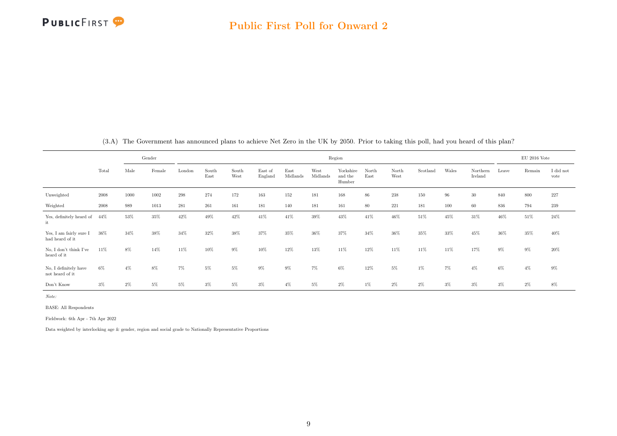

<span id="page-9-0"></span>

|                                            |            |        | Gender |        |               |               |                    |                  |                  | Region                         |               |               |          |       |                     |       | EU 2016 Vote |                   |
|--------------------------------------------|------------|--------|--------|--------|---------------|---------------|--------------------|------------------|------------------|--------------------------------|---------------|---------------|----------|-------|---------------------|-------|--------------|-------------------|
|                                            | Total      | Male   | Female | London | South<br>East | South<br>West | East of<br>England | East<br>Midlands | West<br>Midlands | Yorkshire<br>and the<br>Humber | North<br>East | North<br>West | Scotland | Wales | Northern<br>Ireland | Leave | Remain       | I did not<br>vote |
| Unweighted                                 | $\,2008\,$ | 1000   | 1002   | 298    | 274           | 172           | 163                | 152              | 181              | 168                            | 86            | 238           | 150      | 96    | 30                  | 840   | 800          | 227               |
| Weighted                                   | 2008       | 989    | 1013   | 281    | 261           | 161           | 181                | 140              | 181              | 161                            | 80            | 221           | 181      | 100   | 60                  | 836   | 794          | 239               |
| Yes, definitely heard of<br>it             | 44%        | 53%    | 35%    | 42%    | 49%           | 42%           | 41%                | 41%              | 39%              | 43%                            | 41%           | 46%           | 51%      | 45%   | 31%                 | 46%   | 51%          | $24\%$            |
| Yes, I am fairly sure I<br>had heard of it | 36%        | $34\%$ | 38%    | 34%    | 32%           | 38%           | 37%                | 35%              | 36%              | 37%                            | 34%           | 36%           | 35%      | 33%   | 45%                 | 36%   | 35%          | 40%               |
| No. I don't think I've<br>heard of it      | 11%        | 8%     | 14%    | 11%    | 10%           | $9\%$         | 10%                | 12%              | 13%              | 11%                            | 12%           | 11%           | 11%      | 11%   | 17%                 | $9\%$ | $9\%$        | $20\%$            |
| No, I definitely have<br>not heard of it   | $6\%$      | $4\%$  | 8%     | 7%     | 5%            | $5\%$         | 9%                 | 9%               | 7%               | 6%                             | 12%           | 5%            | $1\%$    | $7\%$ | $4\%$               | $6\%$ | $4\%$        | $9\%$             |
| Don't Know                                 | $3\%$      | $2\%$  | 5%     | 5%     | $3\%$         | $5\%$         | 3%                 | $4\%$            | $5\%$            | $2\%$                          | $1\%$         | $2\%$         | $2\%$    | $3\%$ | $3\%$               | $3\%$ | $2\%$        | $8\%$             |

(3.A) The Government has announced plans to achieve Net Zero in the UK by 2050. Prior to taking this poll, had you heard of this plan?

Note:

BASE: All Respondents

Fieldwork: 6th Apr - 7th Apr 2022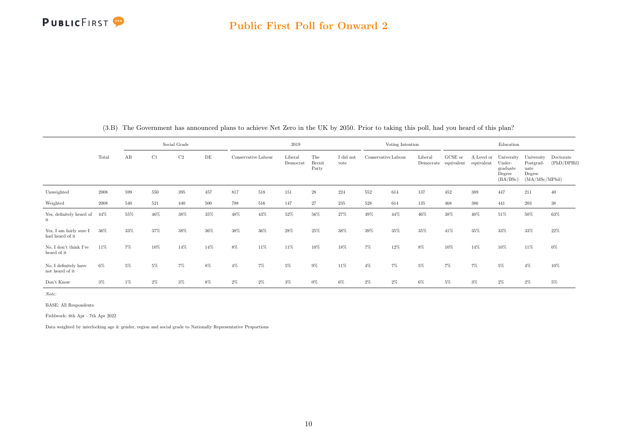|                                            |       |       |       | Social Grade |       |                     |        | 2019                |                               |                   |                     | Voting Intention |         |                                 |                          | Education                                              |                                                             |                          |
|--------------------------------------------|-------|-------|-------|--------------|-------|---------------------|--------|---------------------|-------------------------------|-------------------|---------------------|------------------|---------|---------------------------------|--------------------------|--------------------------------------------------------|-------------------------------------------------------------|--------------------------|
|                                            | Total | AB    | C1    | C2           | DE    | Conservative Labour |        | Liberal<br>Democrat | The<br><b>Brexit</b><br>Party | I did not<br>vote | Conservative Labour |                  | Liberal | GCSE or<br>Democrats equivalent | A Level or<br>equivalent | University<br>Under-<br>graduate<br>Degree<br>(BA/BSc) | University<br>Postgrad-<br>uate<br>Degree<br>(MA/MSc/MPhil) | Doctorate<br>(PhD/DPHil) |
| Unweighted                                 | 2008  | 599   | 550   | 395          | 457   | 817                 | 518    | 151                 | $\bf 28$                      | 224               | 552                 | 614              | 137     | 452                             | 389                      | 447                                                    | 211                                                         | 40                       |
| Weighted                                   | 2008  | 540   | 521   | 440          | 500   | 788                 | 516    | 147                 | 27                            | 235               | 528                 | 614              | 135     | 468                             | 386                      | 441                                                    | 203                                                         | $38\,$                   |
| Yes, definitely heard of<br>it             | 44%   | 55%   | 46%   | 38%          | 35%   | 48%                 | $43\%$ | 52%                 | $56\%$                        | 27%               | 49%                 | 44%              | 46%     | $38\%$                          | 40%                      | 51%                                                    | $50\%$                                                      | $63\%$                   |
| Yes, I am fairly sure I<br>had heard of it | 36%   | 33%   | 37%   | 38%          | 36%   | 38%                 | $36\%$ | 28%                 | 25%                           | 38%               | $39\%$              | 35%              | 35%     | 41%                             | 35%                      | 33%                                                    | $33\%$                                                      | 22%                      |
| No. I don't think I've<br>heard of it      | 11%   | 7%    | 10%   | 14%          | 14%   | $8\%$               | 11%    | 11%                 | 10%                           | 18%               | $7\%$               | $12\%$           | $8\%$   | 10%                             | 14%                      | 10%                                                    | 11%                                                         | $0\%$                    |
| No, I definitely have<br>not heard of it   | 6%    | $5\%$ | 5%    | 7%           | 8%    | $4\%$               | 7%     | $5\%$               | $9\%$                         | 11%               | $4\%$               | 7%               | 5%      | $7\%$                           | $7\%$                    | $5\%$                                                  | $4\%$                                                       | 10%                      |
| Don't Know                                 | $3\%$ | $1\%$ | $2\%$ | $3\%$        | $8\%$ | $2\%$               | $2\%$  | $3\%$               | $0\%$                         | 6%                | $2\%$               | $2\%$            | 6%      | 5%                              | $3\%$                    | $2\%$                                                  | 2%                                                          | $5\%$                    |

(3.B) The Government has announced plans to achieve Net Zero in the UK by 2050. Prior to taking this poll, had you heard of this plan?

Note:

BASE: All Respondents

Fieldwork: 6th Apr - 7th Apr 2022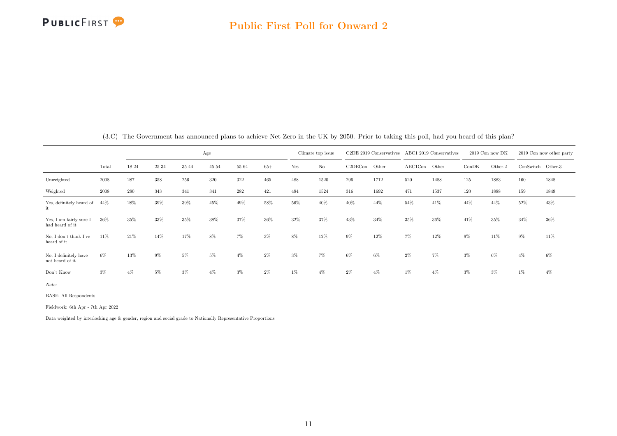

|                                            |       |       |           |       | Age   |       |       | Climate top issue |          |         | C <sub>2</sub> DE 2019 Conservatives |         | ABC1 2019 Conservatives | $2019$ Con now DK |         |           | 2019 Con now other party |
|--------------------------------------------|-------|-------|-----------|-------|-------|-------|-------|-------------------|----------|---------|--------------------------------------|---------|-------------------------|-------------------|---------|-----------|--------------------------|
|                                            | Total | 18-24 | $25 - 34$ | 35-44 | 45-54 | 55-64 | $65+$ | Yes               | $\rm No$ | C2DECon | Other                                | ABC1Con | Other                   | ConDK             | Other.2 | ConSwitch | Other.3                  |
| Unweighted                                 | 2008  | 287   | 358       | 256   | 320   | 322   | 465   | 488               | 1520     | 296     | 1712                                 | 520     | 1488                    | 125               | 1883    | 160       | 1848                     |
| Weighted                                   | 2008  | 280   | 343       | 341   | 341   | 282   | 421   | 484               | 1524     | 316     | 1692                                 | 471     | 1537                    | 120               | 1888    | 159       | 1849                     |
| Yes, definitely heard of<br>it             | 44%   | 28%   | 39%       | 39%   | 45%   | 49%   | 58%   | 56%               | 40%      | 40%     | 44%                                  | 54%     | 41%                     | 44%               | 44%     | 52%       | 43%                      |
| Yes, I am fairly sure I<br>had heard of it | 36%   | 35%   | 33%       | 35%   | 38%   | 37%   | 36%   | 32%               | 37%      | 43%     | 34%                                  | 35%     | 36%                     | 41%               | 35%     | 34%       | 36%                      |
| No, I don't think I've<br>heard of it      | 11%   | 21%   | 14%       | 17%   | 8%    | 7%    | $3\%$ | 8%                | 12%      | 9%      | 12%                                  | 7%      | 12%                     | 9%                | 11%     | 9%        | 11%                      |
| No, I definitely have<br>not heard of it   | $6\%$ | 13%   | 9%        | 5%    | 5%    | $4\%$ | $2\%$ | $3\%$             | 7%       | 6%      | 6%                                   | $2\%$   | 7%                      | $3\%$             | 6%      | 4%        | 6%                       |
| Don't Know                                 | 3%    | $4\%$ | 5%        | 3%    | $4\%$ | 3%    | $2\%$ | 1%                | $4\%$    | $2\%$   | 4%                                   | 1%      | $4\%$                   | $3\%$             | $3\%$   | $1\%$     | $4\%$                    |

(3.C) The Government has announced plans to achieve Net Zero in the UK by 2050. Prior to taking this poll, had you heard of this plan?

Note:

BASE: All Respondents

Fieldwork: 6th Apr - 7th Apr 2022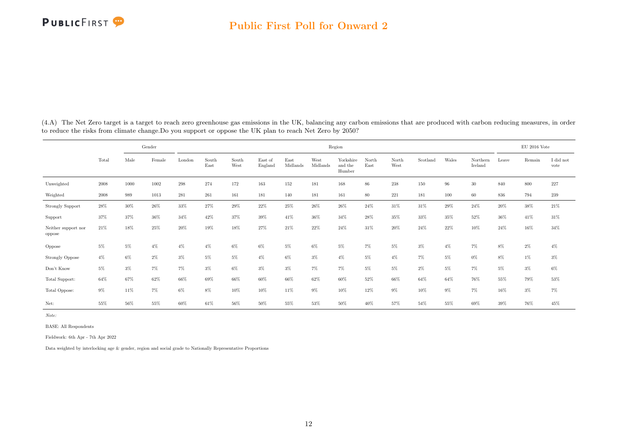<span id="page-12-0"></span>(4.A) The Net Zero target is a target to reach zero greenhouse gas emissions in the UK, balancing any carbon emissions that are produced with carbon reducing measures, in order to reduce the risks from climate change.Do you support or oppose the UK plan to reach Net Zero by 2050?

|                               |       |        | Gender |        |               |               |                    |                  |                  | Region                         |               |               |          |       |                     |        | EU 2016 Vote |                   |
|-------------------------------|-------|--------|--------|--------|---------------|---------------|--------------------|------------------|------------------|--------------------------------|---------------|---------------|----------|-------|---------------------|--------|--------------|-------------------|
|                               | Total | Male   | Female | London | South<br>East | South<br>West | East of<br>England | East<br>Midlands | West<br>Midlands | Yorkshire<br>and the<br>Humber | North<br>East | North<br>West | Scotland | Wales | Northern<br>Ireland | Leave  | Remain       | I did not<br>vote |
| Unweighted                    | 2008  | 1000   | 1002   | 298    | 274           | 172           | 163                | 152              | 181              | 168                            | 86            | 238           | 150      | 96    | 30                  | 840    | 800          | 227               |
| Weighted                      | 2008  | 989    | 1013   | 281    | 261           | 161           | 181                | 140              | 181              | 161                            | 80            | 221           | 181      | 100   | 60                  | 836    | 794          | 239               |
| Strongly Support              | 28%   | $30\%$ | 26%    | 33%    | 27%           | $29\%$        | 22%                | $25\%$           | 26%              | 26%                            | 24%           | 31%           | 31%      | 29%   | 24%                 | 20%    | 38%          | 21%               |
| Support                       | 37%   | 37%    | $36\%$ | 34%    | 42%           | 37%           | 39%                | 41%              | 36%              | 34%                            | 28%           | 35%           | $33\%$   | 35%   | 52%                 | 36%    | 41%          | 31%               |
| Neither support nor<br>oppose | 21%   | 18%    | 25%    | $20\%$ | 19%           | 18%           | 27%                | 21%              | 22%              | 24%                            | 31%           | $20\%$        | 24%      | 22%   | 10%                 | 24%    | 16%          | 34%               |
| Oppose                        | $5\%$ | $5\%$  | $4\%$  | $4\%$  | $4\%$         | 6%            | $6\%$              | 5%               | $6\%$            | 5%                             | $7\%$         | 5%            | $3\%$    | $4\%$ | $7\%$               | 8%     | $2\%$        | $4\%$             |
| <b>Strongly Oppose</b>        | $4\%$ | $6\%$  | $2\%$  | $3\%$  | 5%            | $5\%$         | $4\%$              | 6%               | $3\%$            | $4\%$                          | $5\%$         | $4\%$         | $7\%$    | $5\%$ | $0\%$               | $8\%$  | $1\%$        | $3\%$             |
| Don't Know                    | $5\%$ | $3\%$  | 7%     | 7%     | $3\%$         | $6\%$         | $3\%$              | $3\%$            | $7\%$            | $7\%$                          | $5\%$         | $5\%$         | $2\%$    | $5\%$ | $7\%$               | $5\%$  | $3\%$        | $6\%$             |
| Total Support:                | 64%   | 67%    | 62%    | 66%    | 69%           | 66%           | 60%                | 66%              | 62%              | 60%                            | 52%           | 66%           | 64%      | 64%   | 76%                 | $55\%$ | 79%          | 53%               |
| Total Oppose:                 | $9\%$ | 11%    | 7%     | 6%     | $8\%$         | 10%           | 10%                | 11%              | $9\%$            | 10%                            | 12%           | $9\%$         | 10%      | 9%    | $7\%$               | 16%    | $3\%$        | $7\%$             |
| Net:                          | 55%   | 56%    | 55%    | 60%    | 61%           | 56%           | 50%                | 55%              | $53\%$           | $50\%$                         | 40%           | 57%           | 54%      | 55%   | 69%                 | 39%    | $76\%$       | 45%               |

Note:

BASE: All Respondents

Fieldwork: 6th Apr - 7th Apr 2022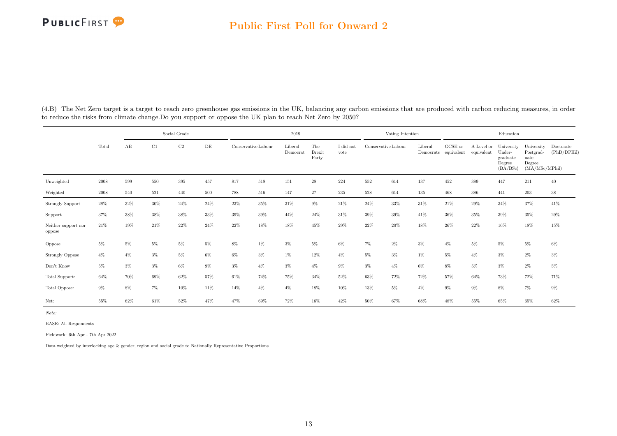#### Public First Poll for Onward 2

|                               |        |       |        | Social Grade |     |        |                     | 2019                |                               |                   |       | Voting Intention    |                      |                       |                          | Education                                              |                                                             |                          |
|-------------------------------|--------|-------|--------|--------------|-----|--------|---------------------|---------------------|-------------------------------|-------------------|-------|---------------------|----------------------|-----------------------|--------------------------|--------------------------------------------------------|-------------------------------------------------------------|--------------------------|
|                               | Total  | AB    | C1     | C2           | DE  |        | Conservative Labour | Liberal<br>Democrat | The<br><b>Brexit</b><br>Party | I did not<br>vote |       | Conservative Labour | Liberal<br>Democrats | GCSE or<br>equivalent | A Level or<br>equivalent | University<br>Under-<br>graduate<br>Degree<br>(BA/BSc) | University<br>Postgrad-<br>uate<br>Degree<br>(MA/MSc/MPhil) | Doctorate<br>(PhD/DPHil) |
| Unweighted                    | 2008   | 599   | 550    | 395          | 457 | 817    | 518                 | 151                 | $\sqrt{28}$                   | 224               | 552   | 614                 | 137                  | 452                   | 389                      | 447                                                    | 211                                                         | 40                       |
| Weighted                      | 2008   | 540   | 521    | 440          | 500 | 788    | 516                 | 147                 | 27                            | 235               | 528   | 614                 | 135                  | 468                   | 386                      | 441                                                    | 203                                                         | $38\,$                   |
| <b>Strongly Support</b>       | 28%    | 32%   | 30%    | 24%          | 24% | $23\%$ | 35%                 | 31%                 | $9\%$                         | $21\%$            | 24%   | 33%                 | 31%                  | 21%                   | 29%                      | 34%                                                    | 37%                                                         | $41\%$                   |
| Support                       | 37%    | 38%   | 38%    | 38%          | 33% | 39%    | 39%                 | 44%                 | 24%                           | 31%               | 39%   | 39%                 | 41\%                 | 36%                   | 35%                      | 39%                                                    | 35%                                                         | 29%                      |
| Neither support nor<br>oppose | 21%    | 19%   | $21\%$ | 22%          | 24% | 22%    | 18%                 | 18%                 | 45%                           | 29%               | 22%   | 20%                 | 18%                  | 26%                   | 22%                      | 16%                                                    | $18\%$                                                      | $15\%$                   |
| Oppose                        | 5%     | $5\%$ | 5%     | $5\%$        | 5%  | 8%     | 1%                  | $3\%$               | 5%                            | 6%                | $7\%$ | 2%                  | $3\%$                | $4\%$                 | 5%                       | $5\%$                                                  | $5\%$                                                       | $6\%$                    |
| <b>Strongly Oppose</b>        | $4\%$  | $4\%$ | 3%     | 5%           | 6%  | 6%     | $3\%$               | $1\%$               | 12%                           | $4\%$             | 5%    | 3%                  | $1\%$                | $5\%$                 | $4\%$                    | $3\%$                                                  | $2\%$                                                       | $3\%$                    |
| Don't Know                    | $5\%$  | $3\%$ | $3\%$  | $6\%$        | 9%  | $3\%$  | $4\%$               | $3\%$               | $4\%$                         | $9\%$             | $3\%$ | $4\%$               | 6%                   | 8%                    | 5%                       | $3\%$                                                  | $2\%$                                                       | $5\%$                    |
| Total Support:                | $64\%$ | 70%   | 69%    | 62%          | 57% | 61%    | 74%                 | 75%                 | 34%                           | 52%               | 63%   | 72%                 | 72%                  | 57%                   | 64%                      | 73%                                                    | 72%                                                         | 71%                      |
| Total Oppose:                 | $9\%$  | 8%    | 7%     | 10%          | 11% | 14%    | $4\%$               | $4\%$               | 18%                           | 10%               | 13%   | 5%                  | 4%                   | $9\%$                 | $9\%$                    | $8\%$                                                  | $7\%$                                                       | $9\%$                    |
| Net:                          | 55%    | 62%   | $61\%$ | 52%          | 47% | 47%    | 69%                 | 72%                 | 16%                           | 42%               | 50%   | 67%                 | 68%                  | 48%                   | 55%                      | 65%                                                    | 65%                                                         | 62%                      |

(4.B) The Net Zero target is a target to reach zero greenhouse gas emissions in the UK, balancing any carbon emissions that are produced with carbon reducing measures, in order to reduce the risks from climate change.Do you support or oppose the UK plan to reach Net Zero by 2050?

Note:

BASE: All Respondents

Fieldwork: 6th Apr - 7th Apr 2022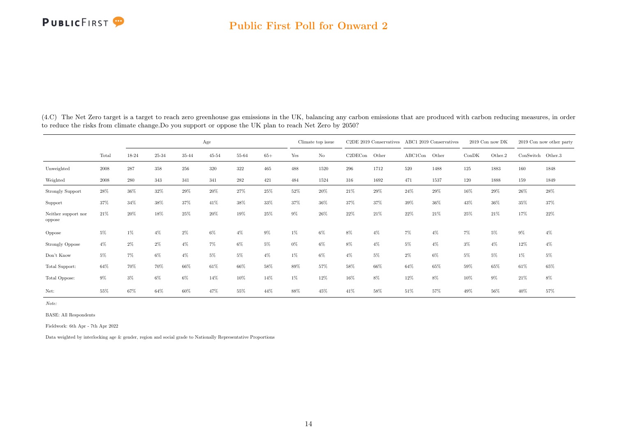|                               |        |       |       |       | Age       |       |       |       | Climate top issue |         | C2DE 2019 Conservatives |         | ABC1 2019 Conservatives |       | $2019$ Con now DK |                   | 2019 Con now other party |
|-------------------------------|--------|-------|-------|-------|-----------|-------|-------|-------|-------------------|---------|-------------------------|---------|-------------------------|-------|-------------------|-------------------|--------------------------|
|                               | Total  | 18-24 | 25-34 | 35-44 | $45 - 54$ | 55-64 | $65+$ | Yes   | $\rm No$          | C2DECon | Other                   | ABC1Con | Other                   | ConDK | Other.2           | ConSwitch Other.3 |                          |
| Unweighted                    | 2008   | 287   | 358   | 256   | 320       | 322   | 465   | 488   | 1520              | 296     | 1712                    | 520     | 1488                    | 125   | 1883              | 160               | 1848                     |
| Weighted                      | 2008   | 280   | 343   | 341   | 341       | 282   | 421   | 484   | 1524              | 316     | 1692                    | 471     | 1537                    | 120   | 1888              | 159               | 1849                     |
| <b>Strongly Support</b>       | $28\%$ | 36%   | 32%   | 29%   | 20%       | 27%   | 25%   | 52%   | 20%               | 21\%    | 29%                     | 24%     | 29%                     | 16%   | 29%               | 26%               | 28%                      |
| Support                       | 37%    | 34%   | 38%   | 37%   | 41%       | 38%   | 33%   | 37%   | 36%               | 37%     | 37%                     | 39%     | 36%                     | 43%   | 36%               | 35%               | 37%                      |
| Neither support nor<br>oppose | 21%    | 20%   | 18%   | 25%   | 20%       | 19%   | 25%   | $9\%$ | 26%               | 22%     | 21%                     | 22%     | 21%                     | 25%   | 21\%              | 17%               | 22%                      |
| Oppose                        | 5%     | $1\%$ | $4\%$ | $2\%$ | $6\%$     | $4\%$ | 9%    | $1\%$ | $6\%$             | 8%      | $4\%$                   | $7\%$   | $4\%$                   | $7\%$ | $5\%$             | $9\%$             | $4\%$                    |
| <b>Strongly Oppose</b>        | $4\%$  | $2\%$ | $2\%$ | $4\%$ | 7%        | 6%    | 5%    | $0\%$ | $6\%$             | 8%      | $4\%$                   | 5%      | $4\%$                   | $3\%$ | $4\%$             | 12%               | $4\%$                    |
| Don't Know                    | 5%     | 7%    | $6\%$ | $4\%$ | 5%        | 5%    | $4\%$ | $1\%$ | $6\%$             | $4\%$   | 5%                      | $2\%$   | 6%                      | 5%    | $5\%$             | 1%                | 5%                       |
| Total Support:                | 64%    | 70%   | 70%   | 66%   | 61%       | 66%   | 58%   | 89%   | 57%               | 58%     | 66%                     | 64%     | 65%                     | 59%   | 65%               | 61%               | 65%                      |
| Total Oppose:                 | 9%     | $3\%$ | $6\%$ | 6%    | 14%       | 10%   | 14%   | $1\%$ | 12%               | 16%     | 8%                      | 12%     | 8%                      | 10%   | 9%                | 21%               | 8%                       |
| Net:                          | 55%    | 67%   | 64%   | 60%   | 47%       | 55%   | 44%   | 88%   | 45%               | 41%     | 58%                     | 51%     | 57%                     | 49%   | 56%               | 40%               | 57%                      |

(4.C) The Net Zero target is a target to reach zero greenhouse gas emissions in the UK, balancing any carbon emissions that are produced with carbon reducing measures, in order to reduce the risks from climate change.Do you support or oppose the UK plan to reach Net Zero by 2050?

Note:

BASE: All Respondents

Fieldwork: 6th Apr - 7th Apr 2022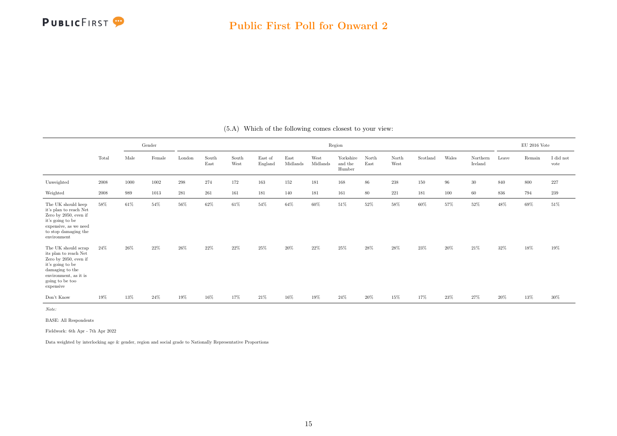

<span id="page-15-0"></span>

|                                                                                                                                                                       |       |      | Gender |        |               |               |                    |                  |                  | Region                         |               |               |          |       |                     |        | $\rm EU$ 2016 Vote |                   |
|-----------------------------------------------------------------------------------------------------------------------------------------------------------------------|-------|------|--------|--------|---------------|---------------|--------------------|------------------|------------------|--------------------------------|---------------|---------------|----------|-------|---------------------|--------|--------------------|-------------------|
|                                                                                                                                                                       | Total | Male | Female | London | South<br>East | South<br>West | East of<br>England | East<br>Midlands | West<br>Midlands | Yorkshire<br>and the<br>Humber | North<br>East | North<br>West | Scotland | Wales | Northern<br>Ireland | Leave  | Remain             | I did not<br>vote |
| Unweighted                                                                                                                                                            | 2008  | 1000 | 1002   | 298    | 274           | 172           | 163                | 152              | 181              | 168                            | 86            | $238\,$       | 150      | 96    | $30\,$              | 840    | 800                | $227\,$           |
| Weighted                                                                                                                                                              | 2008  | 989  | 1013   | 281    | 261           | 161           | 181                | 140              | 181              | 161                            | 80            | 221           | 181      | 100   | 60                  | 836    | 794                | 239               |
| The UK should keep<br>it's plan to reach Net<br>Zero by 2050, even if<br>it's going to be<br>expensive, as we need<br>to stop damaging the<br>environment             | 58%   | 61%  | 54%    | 56%    | $62\%$        | 61%           | 54%                | $64\%$           | 60%              | 51%                            | 52%           | 58%           | 60%      | 57%   | 52%                 | $48\%$ | 69%                | $51\%$            |
| The UK should scrap<br>its plan to reach Net<br>Zero by 2050, even if<br>it's going to be<br>damaging to the<br>environment, as it is<br>going to be too<br>expensive | 24%   | 26%  | $22\%$ | 26%    | 22%           | 22%           | 25%                | $20\%$           | 22%              | 25%                            | 28%           | 28%           | 23%      | 20%   | 21%                 | 32%    | $18\%$             | 19%               |
| Don't Know                                                                                                                                                            | 19%   | 13%  | 24%    | 19%    | 16%           | 17%           | 21%                | 16%              | $19\%$           | 24%                            | 20%           | 15%           | 17%      | 23%   | 27%                 | 20%    | 13%                | $30\%$            |

(5.A) Which of the following comes closest to your view:

Note:

BASE: All Respondents

Fieldwork: 6th Apr - 7th Apr 2022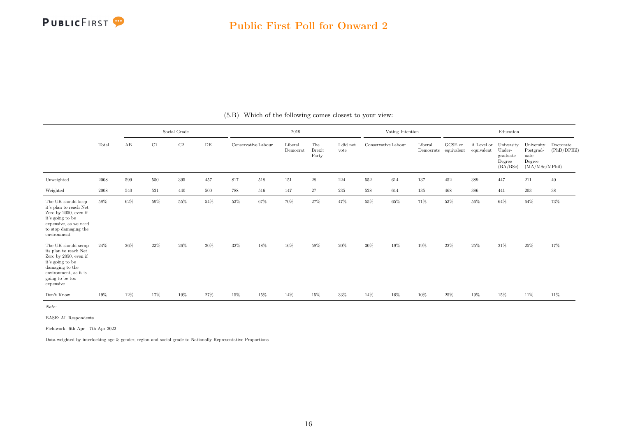|                                                                                                                                                                       |            |     |     | Social Grade |     |                     |     | 2019                |                               |                   |                     | Voting Intention |         |                                 |            | Education                                                         |                                                                              |                          |
|-----------------------------------------------------------------------------------------------------------------------------------------------------------------------|------------|-----|-----|--------------|-----|---------------------|-----|---------------------|-------------------------------|-------------------|---------------------|------------------|---------|---------------------------------|------------|-------------------------------------------------------------------|------------------------------------------------------------------------------|--------------------------|
|                                                                                                                                                                       | Total      | AB  | C1  | $\rm{C2}$    | DE  | Conservative Labour |     | Liberal<br>Democrat | The<br><b>Brexit</b><br>Party | I did not<br>vote | Conservative Labour |                  | Liberal | GCSE or<br>Democrats equivalent | equivalent | A Level or University<br>Under-<br>graduate<br>Degree<br>(BA/BSc) | University<br>$\operatorname{Postgrad-}$<br>uate<br>Degree<br>(MA/MSc/MPhil) | Doctorate<br>(PhD/DPHil) |
| Unweighted                                                                                                                                                            | 2008       | 599 | 550 | 395          | 457 | 817                 | 518 | 151                 | $\sqrt{28}$                   | 224               | 552                 | 614              | 137     | 452                             | 389        | 447                                                               | 211                                                                          | 40                       |
| Weighted                                                                                                                                                              | $\,2008\,$ | 540 | 521 | 440          | 500 | 788                 | 516 | 147                 | 27                            | 235               | 528                 | 614              | 135     | 468                             | 386        | 441                                                               | 203                                                                          | $38\,$                   |
| The UK should keep<br>it's plan to reach Net<br>Zero by 2050, even if<br>it's going to be<br>expensive, as we need<br>to stop damaging the<br>environment             | 58%        | 62% | 59% | 55%          | 54% | $53\%$              | 67% | 70%                 | 27%                           | 47%               | 55%                 | 65%              | 71%     | $53\%$                          | 56%        | 64%                                                               | 64%                                                                          | 73%                      |
| The UK should scrap<br>its plan to reach Net<br>Zero by 2050, even if<br>it's going to be<br>damaging to the<br>environment, as it is<br>going to be too<br>expensive | 24%        | 26% | 23% | 26%          | 20% | 32%                 | 18% | 16%                 | 58%                           | 20%               | 30%                 | 19%              | 19%     | 22%                             | 25%        | 21%                                                               | 25%                                                                          | 17%                      |
| Don't Know                                                                                                                                                            | 19%        | 12% | 17% | 19%          | 27% | $15\%$              | 15% | 14%                 | 15%                           | $33\%$            | 14%                 | 16%              | 10%     | 25%                             | $19\%$     | 15%                                                               | 11%                                                                          | 11%                      |

(5.B) Which of the following comes closest to your view:

Note:

BASE: All Respondents

Fieldwork: 6th Apr - 7th Apr 2022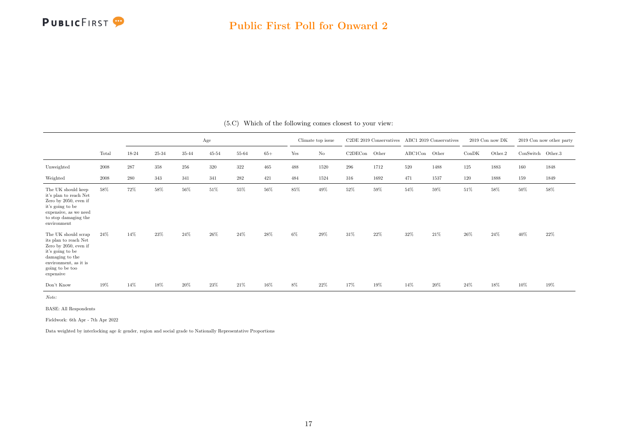

|                                                                                                                                                                                        |       |         |         |       | Age       |       |       |     | Climate top issue |         | C2DE 2019 Conservatives |         | ABC1 2019 Conservatives |       | 2019 Con now DK |                   | 2019 Con now other party |
|----------------------------------------------------------------------------------------------------------------------------------------------------------------------------------------|-------|---------|---------|-------|-----------|-------|-------|-----|-------------------|---------|-------------------------|---------|-------------------------|-------|-----------------|-------------------|--------------------------|
|                                                                                                                                                                                        | Total | 18-24   | 25-34   | 35-44 | $45 - 54$ | 55-64 | $65+$ | Yes | $\rm No$          | C2DECon | Other                   | ABC1Con | Other                   | ConDK | Other.2         | ConSwitch Other.3 |                          |
| Unweighted                                                                                                                                                                             | 2008  | $287\,$ | $358\,$ | 256   | 320       | 322   | 465   | 488 | 1520              | 296     | 1712                    | 520     | 1488                    | 125   | 1883            | 160               | 1848                     |
| Weighted                                                                                                                                                                               | 2008  | 280     | 343     | 341   | 341       | 282   | 421   | 484 | 1524              | 316     | 1692                    | 471     | 1537                    | 120   | 1888            | 159               | 1849                     |
| The UK should keep<br>it's plan to reach Net<br>Zero by 2050, even if<br>it's going to be<br>expensive, as we need<br>to stop damaging the<br>environment                              | 58%   | 72%     | 58%     | 56%   | 51%       | 55%   | 56%   | 85% | 49%               | 52%     | 59%                     | 54%     | 59%                     | 51%   | 58%             | $50\%$            | 58%                      |
| The UK should scrap<br>its plan to reach $\operatorname{Net}$<br>Zero by 2050, even if<br>it's going to be<br>damaging to the<br>environment, as it is<br>going to be too<br>expensive | 24%   | 14%     | 23%     | 24%   | 26%       | 24%   | 28%   | 6%  | 29%               | $31\%$  | $22\%$                  | 32%     | 21%                     | 26%   | 24%             | 40%               | 22%                      |
| Don't Know                                                                                                                                                                             | 19%   | 14%     | 18%     | 20%   | 23%       | 21%   | 16%   | 8%  | 22%               | 17%     | 19%                     | 14%     | 20%                     | 24%   | 18%             | 10%               | 19%                      |

(5.C) Which of the following comes closest to your view:

Note:

BASE: All Respondents

Fieldwork: 6th Apr - 7th Apr 2022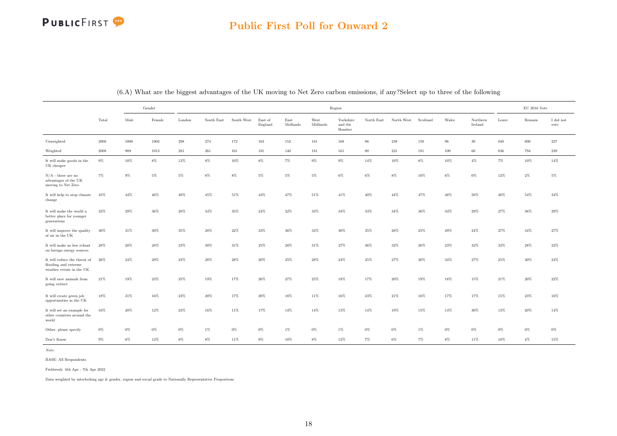<span id="page-18-0"></span>

|                                                                                  |        |        | Gender |        |            |            |                    |                  |                  | Region                         |            |            |          |        |                     |       | $\rm EU$ 2016 Vote |                   |
|----------------------------------------------------------------------------------|--------|--------|--------|--------|------------|------------|--------------------|------------------|------------------|--------------------------------|------------|------------|----------|--------|---------------------|-------|--------------------|-------------------|
|                                                                                  | Total  | Male   | Female | London | South East | South West | East of<br>England | East<br>Midlands | West<br>Midlands | Yorkshire<br>and the<br>Humber | North East | North West | Scotland | Wales  | Northern<br>Ireland | Leave | Remain             | I did not<br>vote |
| Unweighted                                                                       | 2008   | 1000   | 1002   | 298    | 274        | 172        | 163                | 152              | 181              | 168                            | 86         | 238        | 150      | 96     | 30                  | 840   | 800                | 227               |
| Weighted                                                                         | 2008   | 989    | 1013   | 281    | 261        | 161        | 181                | 140              | 181              | 161                            | 80         | $221\,$    | 181      | 100    | 60                  | 836   | 794                | $239\,$           |
| It will make goods in the<br>UK cheaper                                          | $9\%$  | $10\%$ | $8\%$  | $12\%$ | $8\%$      | 10%        | $8\%$              | $7\%$            | $9\%$            | $9\%$                          | 14%        | 10%        | $8\%$    | $10\%$ | $4\%$               | $7\%$ | $10\%$             | $14\%$            |
| $N/A$ - there are no<br>advantages of the UK<br>moving to Net Zero               | $7\%$  | $9\%$  | $5\%$  | $5\%$  | $8\%$      | $8\%$      | $5\%$              | $5\%$            | $5\%$            | $6\%$                          | 6%         | 8%         | 10%      | $6\%$  | $0\%$               | 12%   | $2\%$              | $5\%$             |
| It will help to stop climate<br>change                                           | 45%    | 44%    | 46%    | 40%    | 45%        | 51%        | 43%                | 47%              | $51\%$           | 41%                            | 40%        | 44%        | 47%      | 48%    | 56%                 | 40%   | 54%                | 34%               |
| It will make the world a<br>better place for younger<br>generations              | $32\%$ | 29%    | 36%    | 28%    | 34%        | 35%        | $24\%$             | 32%              | $33\%$           | $34\%$                         | $33\%$     | $34\%$     | $36\%$   | 33%    | 29%                 | 27%   | 36%                | $29\%$            |
| It will improve the quality<br>of air in the UK                                  | $30\%$ | 31%    | 30%    | $35\%$ | 28%        | 22%        | 33%                | 36%              | $34\%$           | $30\%$                         | $35\%$     | 28%        | 25%      | 29%    | 24%                 | 27%   | $34\%$             | 27%               |
| It will make us less reliant<br>on foreign energy sources                        | 28%    | 28%    | 28%    | 23%    | 30%        | 31%        | 25%                | 28%              | 31%              | 27%                            | 36%        | 32%        | 26%      | 23%    | 32%                 | 32%   | 28%                | $22\%$            |
| It will reduce the threat of<br>flooding and extreme<br>weather events in the UK | 26%    | 24%    | 29%    | 23%    | 28%        | 28%        | 20%                | 25%              | 28%              | 24%                            | 25%        | 27%        | 30%      | 34%    | 27%                 | 25%   | 30%                | $24\%$            |
| It will save animals from<br>going extinct                                       | 21%    | 19%    | 23%    | 25%    | 19%        | 17%        | 26%                | 27%              | 25%              | 18%                            | 17%        | 20%        | 19%      | 18%    | 15%                 | 21%   | 20%                | 22%               |
| It will create green job<br>opportunities in the UK                              | 18%    | 21%    | 16%    | 23%    | 20%        | 17%        | 20%                | 18%              | 11%              | 16%                            | 23%        | 21%        | 16%      | 17%    | 17%                 | 15%   | 23%                | 16%               |
| It will set an example for<br>other countries around the<br>world                | $16\%$ | 20%    | 12%    | 23%    | 16%        | 11%        | 17%                | $14\%$           | $14\%$           | 13%                            | 14%        | 19%        | 15%      | 14%    | 30%                 | 13%   | 20%                | 14%               |
| Other, please specify                                                            | $0\%$  | $0\%$  | $0\%$  | $0\%$  | $1\%$      | $0\%$      | $0\%$              | $1\%$            | $0\%$            | $1\%$                          | $0\%$      | $0\%$      | $1\%$    | $0\%$  | $0\%$               | $0\%$ | $0\%$              | $0\%$             |
| Don't Know                                                                       | $9\%$  | $6\%$  | $12\%$ | $8\%$  | $8\%$      | 11%        | $9\%$              | 10%              | $8\%$            | 12%                            | 7%         | $6\%$      | $7\%$    | $8\%$  | 11%                 | 10%   | $4\%$              | 15%               |

(6.A) What are the biggest advantages of the UK moving to Net Zero carbon emissions, if any?Select up to three of the following

Note:

BASE: All Respondents

Fieldwork: 6th Apr - 7th Apr 2022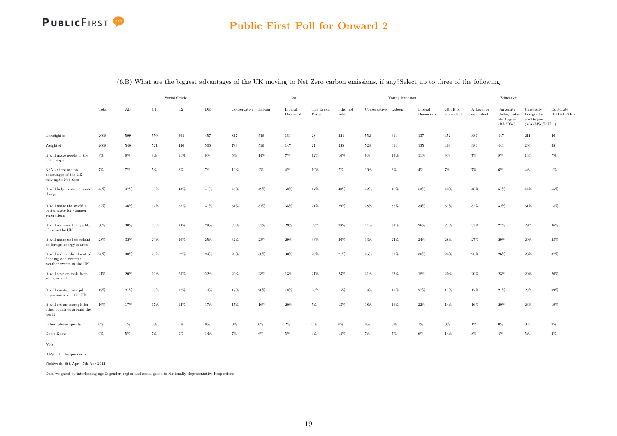|                                                                                  |        |       |       | Social Grade |       |                     |         | 2019                |                     |                               |                     | Voting Intention |                      |                               |                          | Education                                           |                                                          |                          |
|----------------------------------------------------------------------------------|--------|-------|-------|--------------|-------|---------------------|---------|---------------------|---------------------|-------------------------------|---------------------|------------------|----------------------|-------------------------------|--------------------------|-----------------------------------------------------|----------------------------------------------------------|--------------------------|
|                                                                                  | Total  | AB    | C1    | $\rm{C2}$    | DE    | Conservative Labour |         | Liberal<br>Democrat | The Brexit<br>Party | $\rm I$ did $\rm not$<br>vote | Conservative Labour |                  | Liberal<br>Democrats | ${\rm GCSE}$ or<br>equivalent | A Level or<br>equivalent | University<br>Undergradu-<br>ate Degree<br>(BA/BSc) | University<br>Postgradu-<br>ate Degree<br>(MA/MSc/MPhil) | Doctorate<br>(PhD/DPHil) |
| Unweighted                                                                       | 2008   | 599   | 550   | 395          | 457   | $817\,$             | $518\,$ | 151                 | 28                  | 224                           | 552                 | 614              | 137                  | 452                           | 389                      | 447                                                 | 211                                                      | 40                       |
| Weighted                                                                         | 2008   | 540   | 521   | 440          | 500   | 788                 | 516     | 147                 | 27                  | $235\,$                       | 528                 | 614              | 135                  | 468                           | $386\,$                  | 441                                                 | 203                                                      | $38\,$                   |
| It will make goods in the<br>UK cheaper                                          | $9\%$  | $9\%$ | 8%    | 11%          | $9\%$ | $6\%$               | 14%     | $7\%$               | $12\%$              | 10%                           | $9\%$               | 13%              | 11%                  | $9\%$                         | $7\%$                    | $9\%$                                               | 13%                                                      | $7\%$                    |
| $N/A$ - there are no<br>advantages of the UK<br>moving to Net Zero               | 7%     | 7%    | $5\%$ | $8\%$        | 7%    | 10%                 | $2\%$   | $4\%$               | 19%                 | $7\%$                         | 10%                 | $3\%$            | $4\%$                | 7%                            | $7\%$                    | $6\%$                                               | $4\%$                                                    | $1\%$                    |
| It will help to stop climate<br>change                                           | 45%    | 47%   | 50%   | 43%          | 41%   | 43%                 | 49%     | 58%                 | 17%                 | 40%                           | $42\%$              | 48%              | 53%                  | 40%                           | 46%                      | $51\%$                                              | 44%                                                      | 55%                      |
| It will make the world a<br>better place for younger<br>generations              | 32%    | 36%   | 32%   | 28%          | 31%   | 31%                 | 37%     | 35%                 | 21%                 | 29%                           | 28%                 | 36%              | 34%                  | 31%                           | 32%                      | 32%                                                 | 31%                                                      | 18%                      |
| It will improve the quality<br>of air in the UK                                  | $30\%$ | 30%   | 30%   | 33%          | 29%   | 30%                 | 33%     | $29\%$              | $39\%$              | $28\%$                        | $31\%$              | $33\%$           | 26%                  | 27%                           | 33%                      | $27\%$                                              | $29\%$                                                   | 36%                      |
| It will make us less reliant<br>on foreign energy sources                        | 28%    | 32%   | 29%   | 26%          | 25%   | 32%                 | 23%     | 29%                 | 33%                 | 26%                           | 33%                 | 24%              | 24%                  | 28%                           | 27%                      | 29%                                                 | 29%                                                      | 28%                      |
| It will reduce the threat of<br>flooding and extreme<br>weather events in the UK | 26%    | 30%   | 29%   | 22%          | 24%   | 25%                 | 30%     | 30%                 | 20%                 | 21%                           | 25%                 | 31%              | 30%                  | 23%                           | 28%                      | 26%                                                 | 28%                                                      | 37%                      |
| It will save animals from<br>going extinct                                       | 21%    | 20%   | 19%   | 25%          | 22%   | 20%                 | 23%     | 13%                 | 21%                 | 23%                           | 21%                 | 23%              | 18%                  | 20%                           | 20%                      | 23%                                                 | 29%                                                      | 20%                      |
| It will create green job<br>opportunities in the UK                              | 18%    | 21%   | 20%   | 17%          | 14%   | 18%                 | 20%     | 18%                 | 26%                 | 15%                           | 18%                 | 19%              | 27%                  | 17%                           | 17%                      | 21%                                                 | 23%                                                      | 29%                      |
| It will set an example for<br>other countries around the<br>world                | $16\%$ | 17%   | 17%   | 14%          | 17%   | 17%                 | 16%     | $20\%$              | $5\%$               | 13%                           | 18%                 | 16%              | $22\%$               | 14%                           | $16\%$                   | $20\%$                                              | $23\%$                                                   | $19\%$                   |
| Other, please specify                                                            | $0\%$  | $1\%$ | $0\%$ | $0\%$        | $0\%$ | $0\%$               | $0\%$   | $2\%$               | $0\%$               | $0\%$                         | $0\%$               | $0\%$            | 1%                   | $0\%$                         | 1%                       | $0\%$                                               | $0\%$                                                    | $2\%$                    |
| Don't Know                                                                       | $9\%$  | $5\%$ | 7%    | $9\%$        | 14%   | $7\%$               | $6\%$   | $5\%$               | $4\%$               | 15%                           | 7%                  | $7\%$            | $6\%$                | 14%                           | $8\%$                    | $4\%$                                               | $5\%$                                                    | $2\%$                    |

(6.B) What are the biggest advantages of the UK moving to Net Zero carbon emissions, if any?Select up to three of the following

Note:

BASE: All Respondents

Fieldwork: 6th Apr - 7th Apr 2022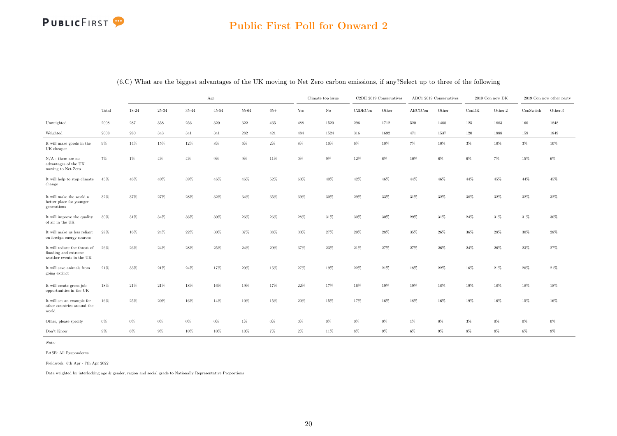|                                                                                  |        |           |        |         | Age       |           |        |        | Climate top issue |         | C2DE 2019 Conservatives |         | ABC1 2019 Conservatives |         | 2019 Con now DK |           | 2019 Con now other party |
|----------------------------------------------------------------------------------|--------|-----------|--------|---------|-----------|-----------|--------|--------|-------------------|---------|-------------------------|---------|-------------------------|---------|-----------------|-----------|--------------------------|
|                                                                                  | Total  | 18-24     | 25-34  | 35-44   | $45 - 54$ | 55-64     | $65+$  | Yes    | $\rm No$          | C2DECon | Other                   | ABC1Con | Other                   | ConDK   | Other.2         | ConSwitch | Other.3                  |
| Unweighted                                                                       | 2008   | $\bf 287$ | 358    | $256\,$ | $320\,$   | $322\,$   | 465    | 488    | 1520              | 296     | 1712                    | 520     | 1488                    | $125\,$ | 1883            | 160       | 1848                     |
| Weighted                                                                         | 2008   | $\,280$   | 343    | 341     | 341       | $\bf 282$ | 421    | 484    | 1524              | 316     | 1692                    | 471     | 1537                    | 120     | 1888            | 159       | 1849                     |
| It will make goods in the<br>UK cheaper                                          | $9\%$  | $14\%$    | $15\%$ | $12\%$  | $8\%$     | $6\%$     | $2\%$  | $8\%$  | 10%               | $6\%$   | $10\%$                  | $7\%$   | 10%                     | $3\%$   | $10\%$          | $3\%$     | $10\%$                   |
| $N/A$ - there are no<br>advantages of the UK<br>moving to Net Zero               | $7\%$  | $1\%$     | $4\%$  | $4\%$   | $9\%$     | $9\%$     | $11\%$ | $0\%$  | $9\%$             | $12\%$  | $6\%$                   | $10\%$  | $6\%$                   | $6\%$   | $7\%$           | $15\%$    | $6\%$                    |
| It will help to stop climate<br>change                                           | 45%    | $46\%$    | 40%    | 39%     | 46%       | 46%       | 52%    | $63\%$ | 40%               | 42%     | 46%                     | 44%     | 46%                     | 44%     | 45%             | 44%       | $45\%$                   |
| It will make the world a<br>better place for younger<br>generations              | 32%    | $37\%$    | 27%    | 28%     | 32%       | 34%       | $35\%$ | 39%    | $30\%$            | 29%     | 33%                     | 31%     | $32\%$                  | 38%     | 32%             | $32\%$    | 32%                      |
| It will improve the quality<br>of air in the UK                                  | 30%    | $31\%$    | 34%    | $36\%$  | 30%       | $26\%$    | $26\%$ | 28%    | $31\%$            | 30%     | $30\%$                  | 29%     | $31\%$                  | $24\%$  | 31%             | $31\%$    | 30%                      |
| It will make us less reliant<br>on foreign energy sources                        | 28%    | $16\%$    | 24%    | $22\%$  | $30\%$    | 37%       | $38\%$ | $33\%$ | $27\%$            | 29%     | 28%                     | 35%     | $26\%$                  | 36%     | 28%             | 30%       | 28%                      |
| It will reduce the threat of<br>flooding and extreme<br>weather events in the UK | 26%    | $26\%$    | $24\%$ | $28\%$  | 25%       | $24\%$    | $29\%$ | 37%    | 23%               | $21\%$  | 27%                     | $27\%$  | $26\%$                  | 24%     | $26\%$          | $23\%$    | 27%                      |
| It will save animals from<br>going extinct                                       | $21\%$ | $33\%$    | $21\%$ | $24\%$  | 17%       | $20\%$    | 15%    | $27\%$ | 19%               | $22\%$  | $21\%$                  | $18\%$  | $22\%$                  | 16%     | $21\%$          | $20\%$    | $21\%$                   |
| It will create green job<br>opportunities in the UK                              | $18\%$ | $21\%$    | $21\%$ | 18%     | 16%       | 19%       | 17%    | $22\%$ | 17%               | $16\%$  | 19%                     | $19\%$  | $18\%$                  | $19\%$  | 18%             | $18\%$    | 18%                      |
| It will set an example for<br>other countries around the<br>world                | 16%    | 25%       | 20%    | 16%     | 14%       | 10%       | 15%    | 20%    | 15%               | 17%     | 16%                     | 18%     | 16%                     | 19%     | 16%             | 15%       | 16%                      |
| Other, please specify                                                            | $0\%$  | $0\%$     | $0\%$  | $0\%$   | $0\%$     | $1\%$     | $0\%$  | $0\%$  | $0\%$             | $0\%$   | $0\%$                   | $1\%$   | $0\%$                   | $3\%$   | $0\%$           | $0\%$     | $0\%$                    |
| Don't Know                                                                       | $9\%$  | $6\%$     | $9\%$  | $10\%$  | $10\%$    | $10\%$    | $7\%$  | $2\%$  | $11\%$            | $8\%$   | $9\%$                   | $6\%$   | $9\%$                   | $8\%$   | $9\%$           | $6\%$     | $9\%$                    |

(6.C) What are the biggest advantages of the UK moving to Net Zero carbon emissions, if any?Select up to three of the following

Note:

BASE: All Respondents

Fieldwork: 6th Apr - 7th Apr 2022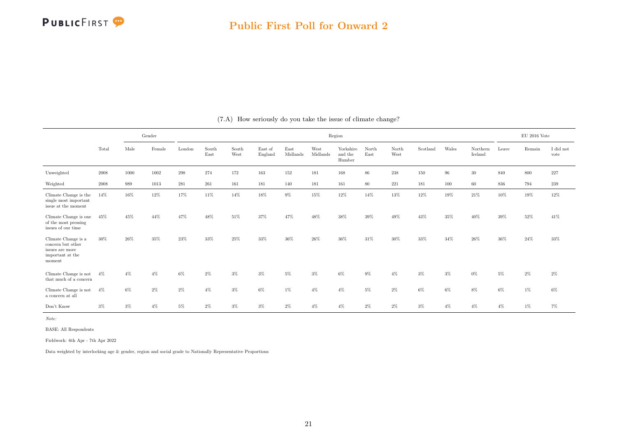<span id="page-21-0"></span>

|                                                                                           |            | Gender |        |        |               |               |                    |                  |                  | Region                         |               |               |          |       |                     |       | $EU$ 2016 Vote |                   |
|-------------------------------------------------------------------------------------------|------------|--------|--------|--------|---------------|---------------|--------------------|------------------|------------------|--------------------------------|---------------|---------------|----------|-------|---------------------|-------|----------------|-------------------|
|                                                                                           | Total      | Male   | Female | London | South<br>East | South<br>West | East of<br>England | East<br>Midlands | West<br>Midlands | Yorkshire<br>and the<br>Humber | North<br>East | North<br>West | Scotland | Wales | Northern<br>Ireland | Leave | Remain         | I did not<br>vote |
| Unweighted                                                                                | $\,2008\,$ | 1000   | 1002   | 298    | 274           | 172           | 163                | 152              | 181              | 168                            | $86\,$        | 238           | 150      | 96    | $30\,$              | 840   | 800            | 227               |
| Weighted                                                                                  | 2008       | 989    | 1013   | 281    | 261           | 161           | 181                | 140              | 181              | 161                            | 80            | 221           | 181      | 100   | 60                  | 836   | 794            | 239               |
| Climate Change is the<br>single most important<br>issue at the moment                     | 14%        | 16%    | 12%    | 17%    | 11%           | 14%           | 18%                | 9%               | 15%              | 12%                            | 14%           | 13%           | 12%      | 19%   | 21%                 | 10%   | 19%            | 12%               |
| Climate Change is one<br>of the most pressing<br>issues of our time                       | 45%        | 45%    | 44%    | 47%    | 48%           | 51%           | 37%                | 47%              | 48%              | 38%                            | $39\%$        | 49%           | 43%      | 35%   | 40%                 | 39%   | 52%            | 41%               |
| Climate Change is a<br>concern but other<br>issues are more<br>important at the<br>moment | $30\%$     | 26%    | 35%    | 23%    | 33%           | 25%           | 33%                | 36%              | 26%              | 36%                            | 31%           | 30%           | 33%      | 34%   | 26%                 | 36%   | 24%            | 33%               |
| Climate Change is not<br>that much of a concern                                           | $4\%$      | $4\%$  | $4\%$  | $6\%$  | $2\%$         | $3\%$         | $3\%$              | $5\%$            | $3\%$            | 6%                             | $9\%$         | $4\%$         | $3\%$    | $3\%$ | $0\%$               | $5\%$ | $2\%$          | $2\%$             |
| Climate Change is not<br>a concern at all                                                 | $4\%$      | 6%     | $2\%$  | $2\%$  | $4\%$         | $3\%$         | $6\%$              | $1\%$            | $4\%$            | $4\%$                          | $5\%$         | $2\%$         | $6\%$    | 6%    | $8\%$               | $6\%$ | $1\%$          | $6\%$             |
| Don't Know                                                                                | $3\%$      | $3\%$  | $4\%$  | $5\%$  | $2\%$         | $3\%$         | $3\%$              | $2\%$            | $4\%$            | $4\%$                          | $2\%$         | $2\%$         | $3\%$    | $4\%$ | $4\%$               | $4\%$ | $1\%$          | $7\%$             |

#### (7.A) How seriously do you take the issue of climate change?

Note:

BASE: All Respondents

Fieldwork: 6th Apr - 7th Apr 2022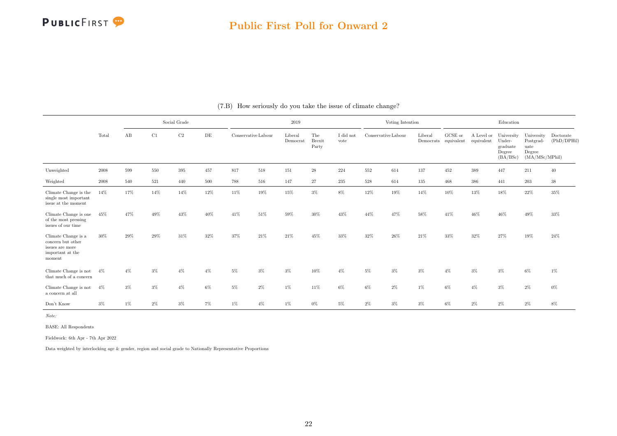|                                                                                           |            |       |       | Social Grade   |           |                     |        | $2019\,$            |                               |                   |                     | Voting Intention |                      |                       |                          | Education                                              |                                                             |                          |
|-------------------------------------------------------------------------------------------|------------|-------|-------|----------------|-----------|---------------------|--------|---------------------|-------------------------------|-------------------|---------------------|------------------|----------------------|-----------------------|--------------------------|--------------------------------------------------------|-------------------------------------------------------------|--------------------------|
|                                                                                           | Total      | AB    | C1    | C <sub>2</sub> | $\rm{DE}$ | Conservative Labour |        | Liberal<br>Democrat | The<br><b>Brexit</b><br>Party | I did not<br>vote | Conservative Labour |                  | Liberal<br>Democrats | GCSE or<br>equivalent | A Level or<br>equivalent | University<br>Under-<br>graduate<br>Degree<br>(BA/BSc) | University<br>Postgrad-<br>uate<br>Degree<br>(MA/MSc/MPhil) | Doctorate<br>(PhD/DPHil) |
| Unweighted                                                                                | $\,2008\,$ | 599   | 550   | 395            | 457       | 817                 | 518    | 151                 | $\sqrt{28}$                   | 224               | 552                 | 614              | 137                  | 452                   | 389                      | 447                                                    | 211                                                         | 40                       |
| Weighted                                                                                  | $\,2008\,$ | 540   | 521   | 440            | 500       | 788                 | 516    | 147                 | 27                            | 235               | 528                 | 614              | 135                  | 468                   | 386                      | 441                                                    | 203                                                         | $38\,$                   |
| Climate Change is the<br>single most important<br>issue at the moment                     | 14%        | 17%   | 14%   | 14%            | 12%       | 11%                 | $19\%$ | 15%                 | $3\%$                         | 8%                | 12%                 | 19%              | 14%                  | 10%                   | 13%                      | 18%                                                    | $22\%$                                                      | 35%                      |
| Climate Change is one<br>of the most pressing<br>issues of our time                       | 45%        | 47%   | 49%   | 43%            | 40%       | 41%                 | $51\%$ | 59%                 | $30\%$                        | $43\%$            | 44%                 | 47%              | 58%                  | 41%                   | 46%                      | $46\%$                                                 | $49\%$                                                      | $33\%$                   |
| Climate Change is a<br>concern but other<br>issues are more<br>important at the<br>moment | 30%        | 29%   | 29%   | 31%            | 32%       | 37%                 | 21%    | 21%                 | 45%                           | 33%               | 32%                 | 26%              | 21%                  | 33%                   | 32%                      | 27%                                                    | 19%                                                         | 24%                      |
| Climate Change is not<br>that much of a concern                                           | $4\%$      | $4\%$ | $3\%$ | $4\%$          | $4\%$     | $5\%$               | 3%     | $3\%$               | 10%                           | $4\%$             | 5%                  | $3\%$            | $3\%$                | $4\%$                 | $3\%$                    | $3\%$                                                  | $6\%$                                                       | $1\%$                    |
| Climate Change is not<br>a concern at all                                                 | $4\%$      | $3\%$ | $3\%$ | $4\%$          | $6\%$     | $5\%$               | $2\%$  | $1\%$               | 11%                           | 6%                | $6\%$               | $2\%$            | 1%                   | 6%                    | $4\%$                    | $3\%$                                                  | 2%                                                          | $0\%$                    |
| Don't Know                                                                                | $3\%$      | $1\%$ | $2\%$ | $3\%$          | 7%        | $1\%$               | $4\%$  | $1\%$               | $0\%$                         | $5\%$             | $2\%$               | $3\%$            | $3\%$                | $6\%$                 | $2\%$                    | $2\%$                                                  | 2%                                                          | $8\%$                    |

(7.B) How seriously do you take the issue of climate change?

Note:

BASE: All Respondents

Fieldwork: 6th Apr - 7th Apr 2022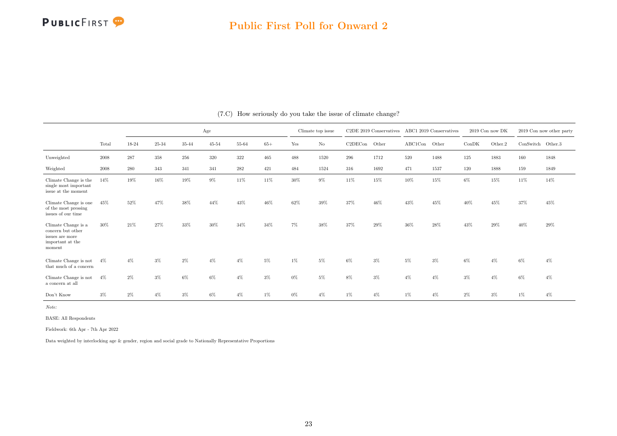

#### Public First Poll for Onward 2

|                                                                                           |       |       |           |       | Age       |       |       |       | Climate top issue |         | C2DE 2019 Conservatives |         | ABC1 2019 Conservatives |       | 2019 Con now DK |                     | 2019 Con now other party |
|-------------------------------------------------------------------------------------------|-------|-------|-----------|-------|-----------|-------|-------|-------|-------------------|---------|-------------------------|---------|-------------------------|-------|-----------------|---------------------|--------------------------|
|                                                                                           | Total | 18-24 | $25 - 34$ | 35-44 | $45 - 54$ | 55-64 | $65+$ | Yes   | $\rm No$          | C2DECon | Other                   | ABC1Con | Other                   | ConDK | Other.2         | $ConSwitch$ Other.3 |                          |
| Unweighted                                                                                | 2008  | 287   | 358       | 256   | 320       | 322   | 465   | 488   | 1520              | 296     | 1712                    | 520     | 1488                    | 125   | 1883            | 160                 | 1848                     |
| Weighted                                                                                  | 2008  | 280   | 343       | 341   | 341       | 282   | 421   | 484   | 1524              | 316     | 1692                    | 471     | 1537                    | 120   | 1888            | 159                 | 1849                     |
| Climate Change is the<br>single most important<br>issue at the moment                     | 14%   | 19%   | 16%       | 19%   | $9\%$     | 11%   | 11%   | 30%   | $9\%$             | 11%     | 15%                     | 10%     | 15%                     | 6%    | 15%             | 11%                 | 14%                      |
| Climate Change is one<br>of the most pressing<br>issues of our time                       | 45%   | 52%   | 47%       | 38%   | 44%       | 43%   | 46%   | 62%   | 39%               | 37%     | 46%                     | 43%     | 45%                     | 40%   | 45%             | 37%                 | 45%                      |
| Climate Change is a<br>concern but other<br>issues are more<br>important at the<br>moment | 30%   | 21%   | 27%       | 33%   | 30%       | 34%   | 34%   | $7\%$ | 38%               | 37%     | 29%                     | 36%     | 28%                     | 43%   | 29%             | 40%                 | 29%                      |
| Climate Change is not<br>that much of a concern                                           | $4\%$ | $4\%$ | $3\%$     | 2%    | $4\%$     | $4\%$ | 5%    | 1%    | 5%                | 6%      | $3\%$                   | 5%      | $3\%$                   | 6%    | $4\%$           | 6%                  | $4\%$                    |
| Climate Change is not<br>a concern at all                                                 | $4\%$ | $2\%$ | $3\%$     | 6%    | $6\%$     | $4\%$ | $3\%$ | $0\%$ | 5%                | 8%      | $3\%$                   | $4\%$   | $4\%$                   | $3\%$ | $4\%$           | 6%                  | $4\%$                    |
| Don't Know                                                                                | $3\%$ | $2\%$ | $4\%$     | 3%    | $6\%$     | $4\%$ | 1%    | $0\%$ | 4%                | 1%      | $4\%$                   | $1\%$   | $4\%$                   | 2%    | 3%              | 1%                  | $4\%$                    |

(7.C) How seriously do you take the issue of climate change?

Note:

BASE: All Respondents

Fieldwork: 6th Apr - 7th Apr 2022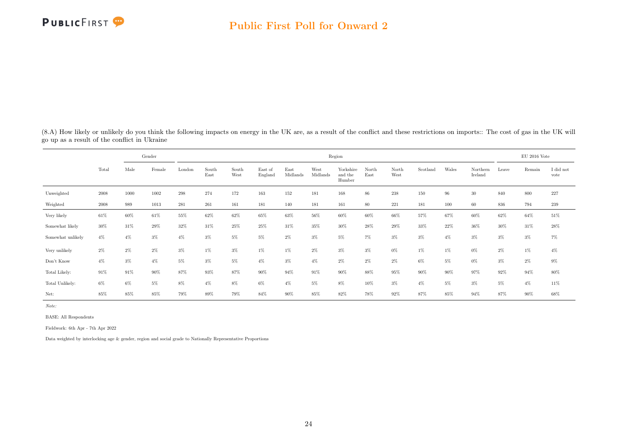<span id="page-24-0"></span>(8.A) How likely or unlikely do you think the following impacts on energy in the UK are, as a result of the conflict and these restrictions on imports:: The cost of gas in the UK will go up as a result of the conflict in Ukraine

|                   |            |       | Gender |        |               |               |                    |                  |                  | Region                         |               |               |          |       |                     |       | $EU$ 2016 Vote |                   |
|-------------------|------------|-------|--------|--------|---------------|---------------|--------------------|------------------|------------------|--------------------------------|---------------|---------------|----------|-------|---------------------|-------|----------------|-------------------|
|                   | Total      | Male  | Female | London | South<br>East | South<br>West | East of<br>England | East<br>Midlands | West<br>Midlands | Yorkshire<br>and the<br>Humber | North<br>East | North<br>West | Scotland | Wales | Northern<br>Ireland | Leave | Remain         | I did not<br>vote |
| Unweighted        | 2008       | 1000  | 1002   | 298    | 274           | 172           | 163                | 152              | 181              | 168                            | 86            | 238           | 150      | 96    | 30                  | 840   | 800            | 227               |
| Weighted          | $\,2008\,$ | 989   | 1013   | 281    | 261           | 161           | 181                | 140              | 181              | 161                            | 80            | 221           | 181      | 100   | 60                  | 836   | 794            | $239\,$           |
| Very likely       | $61\%$     | 60%   | 61%    | 55%    | 62%           | 62%           | 65%                | 63%              | 56%              | $60\%$                         | 60%           | 66%           | 57%      | 67%   | 60%                 | 62%   | $64\%$         | $51\%$            |
| Somewhat likely   | 30%        | 31%   | 29%    | 32%    | 31%           | 25%           | 25%                | 31%              | 35%              | $30\%$                         | 28%           | 29%           | 33%      | 22%   | 36%                 | 30%   | 31%            | $28\%$            |
| Somewhat unlikely | $4\%$      | $4\%$ | $3\%$  | $4\%$  | $3\%$         | 5%            | 5%                 | 2%               | $3\%$            | $5\%$                          | $7\%$         | $3\%$         | $3\%$    | $4\%$ | $3\%$               | $3\%$ | $3\%$          | $7\%$             |
| Very unlikely     | $2\%$      | $2\%$ | $2\%$  | $3\%$  | 1%            | $3\%$         | $1\%$              | 1%               | 2%               | $3\%$                          | $3\%$         | $0\%$         | $1\%$    | 1%    | $0\%$               | $2\%$ | $1\%$          | $4\%$             |
| Don't Know        | $4\%$      | $3\%$ | $4\%$  | 5%     | $3\%$         | 5%            | $4\%$              | $3\%$            | $4\%$            | $2\%$                          | $2\%$         | $2\%$         | 6%       | 5%    | 0%                  | $3\%$ | $2\%$          | $9\%$             |
| Total Likely:     | $91\%$     | 91%   | 90%    | 87%    | 93%           | 87%           | 90%                | 94%              | 91%              | 90%                            | 88%           | 95%           | 90%      | 90%   | 97%                 | 92%   | 94%            | 80%               |
| Total Unlikely:   | $6\%$      | $6\%$ | $5\%$  | 8%     | $4\%$         | 8%            | 6%                 | $4\%$            | 5%               | 8%                             | 10%           | $3\%$         | $4\%$    | $5\%$ | $3\%$               | $5\%$ | $4\%$          | 11%               |
| Net:              | 85%        | 85%   | 85%    | 79%    | 89%           | 79%           | 84%                | 90%              | 85%              | 82%                            | 78%           | 92%           | 87%      | 85%   | 94%                 | 87%   | 90%            | 68%               |

Note:

BASE: All Respondents

Fieldwork: 6th Apr - 7th Apr 2022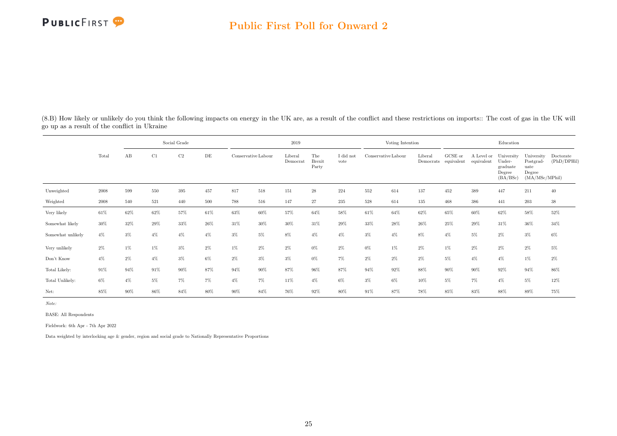(8.B) How likely or unlikely do you think the following impacts on energy in the UK are, as a result of the conflict and these restrictions on imports:: The cost of gas in the UK will go up as a result of the conflict in Ukraine

|                   |        |       |       | Social Grade   |           |                     |        | 2019                |                               |                   |                     | Voting Intention |                      |                       |                          | Education                                              |                                                             |                          |
|-------------------|--------|-------|-------|----------------|-----------|---------------------|--------|---------------------|-------------------------------|-------------------|---------------------|------------------|----------------------|-----------------------|--------------------------|--------------------------------------------------------|-------------------------------------------------------------|--------------------------|
|                   | Total  | AB    | C1    | C <sub>2</sub> | $\rm{DE}$ | Conservative Labour |        | Liberal<br>Democrat | The<br><b>Brexit</b><br>Party | I did not<br>vote | Conservative Labour |                  | Liberal<br>Democrats | GCSE or<br>equivalent | A Level or<br>equivalent | University<br>Under-<br>graduate<br>Degree<br>(BA/BSc) | University<br>Postgrad-<br>uate<br>Degree<br>(MA/MSc/MPhil) | Doctorate<br>(PhD/DPHil) |
| Unweighted        | 2008   | 599   | 550   | 395            | 457       | 817                 | 518    | 151                 | $\sqrt{28}$                   | 224               | 552                 | 614              | 137                  | 452                   | 389                      | 447                                                    | 211                                                         | 40                       |
| Weighted          | 2008   | 540   | 521   | 440            | 500       | 788                 | 516    | 147                 | 27                            | 235               | 528                 | 614              | 135                  | 468                   | 386                      | 441                                                    | 203                                                         | $38\,$                   |
| Very likely       | $61\%$ | 62%   | 62%   | 57%            | 61%       | 63%                 | 60%    | 57%                 | 64%                           | 58%               | 61%                 | 64%              | 62%                  | 65%                   | 60%                      | 62%                                                    | 58%                                                         | $52\%$                   |
| Somewhat likely   | 30%    | 32%   | 29%   | 33%            | 26%       | 31%                 | $30\%$ | 30%                 | 31%                           | 29%               | 33%                 | 28%              | $26\%$               | 25%                   | 29%                      | 31%                                                    | 36%                                                         | 34%                      |
| Somewhat unlikely | $4\%$  | $3\%$ | $4\%$ | $4\%$          | $4\%$     | $3\%$               | $5\%$  | $8\%$               | $4\%$                         | $4\%$             | $3\%$               | $4\%$            | $8\%$                | $4\%$                 | $5\%$                    | $2\%$                                                  | $3\%$                                                       | $6\%$                    |
| Very unlikely     | $2\%$  | $1\%$ | 1%    | $3\%$          | $2\%$     | 1%                  | $2\%$  | $2\%$               | $0\%$                         | 2%                | $0\%$               | $1\%$            | 2%                   | $1\%$                 | $2\%$                    | $2\%$                                                  | $2\%$                                                       | $5\%$                    |
| Don't Know        | $4\%$  | $2\%$ | $4\%$ | $3\%$          | $6\%$     | $2\%$               | $3\%$  | $3\%$               | $0\%$                         | $7\%$             | $2\%$               | $2\%$            | 2%                   | 5%                    | $4\%$                    | $4\%$                                                  | $1\%$                                                       | $2\%$                    |
| Total Likely:     | 91%    | 94%   | 91%   | 90%            | 87%       | 94%                 | 90%    | 87%                 | 96%                           | 87%               | 94%                 | 92%              | 88%                  | 90%                   | $90\%$                   | 92%                                                    | 94%                                                         | 86%                      |
| Total Unlikely:   | $6\%$  | $4\%$ | 5%    | $7\%$          | 7%        | $4\%$               | 7%     | 11%                 | $4\%$                         | 6%                | $3\%$               | 6%               | 10%                  | 5%                    | $7\%$                    | $4\%$                                                  | 5%                                                          | $12\%$                   |
| Net:              | 85%    | 90%   | 86%   | 84%            | 80%       | 90%                 | 84%    | 76%                 | 92%                           | 80%               | 91%                 | 87%              | 78%                  | 85%                   | 83%                      | 88%                                                    | 89%                                                         | 75%                      |

Note:

BASE: All Respondents

Fieldwork: 6th Apr - 7th Apr 2022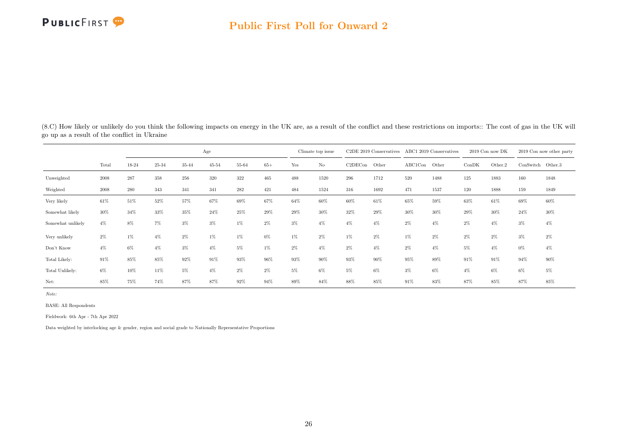

(8.C) How likely or unlikely do you think the following impacts on energy in the UK are, as a result of the conflict and these restrictions on imports:: The cost of gas in the UK will go up as a result of the conflict in Ukraine

|                   |       |           |       |        | Age       |       |        |       | Climate top issue |         | $C2DE$ 2019 Conservatives |         | ABC1 2019 Conservatives |       | $2019$ Con now DK |           | 2019 Con now other party |
|-------------------|-------|-----------|-------|--------|-----------|-------|--------|-------|-------------------|---------|---------------------------|---------|-------------------------|-------|-------------------|-----------|--------------------------|
|                   | Total | 18-24     | 25-34 | 35-44  | $45 - 54$ | 55-64 | $65+$  | Yes   | $\rm No$          | C2DECon | Other                     | ABC1Con | Other                   | ConDK | Other.2           | ConSwitch | Other.3                  |
| Unweighted        | 2008  | $\bf 287$ | 358   | 256    | 320       | 322   | 465    | 488   | 1520              | 296     | 1712                      | 520     | 1488                    | 125   | 1883              | 160       | 1848                     |
| Weighted          | 2008  | $280\,$   | 343   | 341    | 341       | 282   | 421    | 484   | 1524              | 316     | 1692                      | 471     | 1537                    | 120   | 1888              | 159       | 1849                     |
| Very likely       | 61%   | 51%       | 52%   | $57\%$ | 67%       | 69%   | 67%    | 64%   | 60%               | $60\%$  | 61%                       | 65%     | 59%                     | 63%   | 61%               | 69%       | 60%                      |
| Somewhat likely   | 30%   | 34%       | 33%   | 35%    | 24%       | 25%   | 29%    | 29%   | 30%               | 32%     | 29%                       | 30%     | 30%                     | 29%   | 30%               | 24%       | 30%                      |
| Somewhat unlikely | $4\%$ | 8%        | $7\%$ | $3\%$  | $3\%$     | $1\%$ | $2\%$  | $3\%$ | $4\%$             | $4\%$   | $4\%$                     | 2%      | $4\%$                   | 2%    | $4\%$             | 3%        | $4\%$                    |
| Very unlikely     | $2\%$ | 1%        | $4\%$ | $2\%$  | $1\%$     | $1\%$ | $0\%$  | $1\%$ | $2\%$             | $1\%$   | $2\%$                     | 1%      | $2\%$                   | 2%    | $2\%$             | $3\%$     | $2\%$                    |
| Don't Know        | $4\%$ | $6\%$     | $4\%$ | 3%     | $4\%$     | 5%    | $1\%$  | $2\%$ | $4\%$             | 2%      | $4\%$                     | 2%      | $4\%$                   | 5%    | $4\%$             | 0%        | $4\%$                    |
| Total Likely:     | 91%   | 85%       | 85%   | 92%    | 91%       | 93%   | 96%    | 93%   | 90%               | 93%     | 90%                       | 95%     | 89%                     | 91%   | 91%               | 94%       | 90%                      |
| Total Unlikely:   | $6\%$ | 10%       | 11%   | 5%     | $4\%$     | $2\%$ | $2\%$  | 5%    | $6\%$             | 5%      | $6\%$                     | $3\%$   | $6\%$                   | $4\%$ | 6%                | 6%        | 5%                       |
| Net:              | 85%   | 75%       | 74%   | 87%    | 87%       | 92%   | $94\%$ | 89%   | 84%               | 88%     | 85%                       | 91%     | 83%                     | 87%   | 85%               | 87%       | 85%                      |

Note:

BASE: All Respondents

Fieldwork: 6th Apr - 7th Apr 2022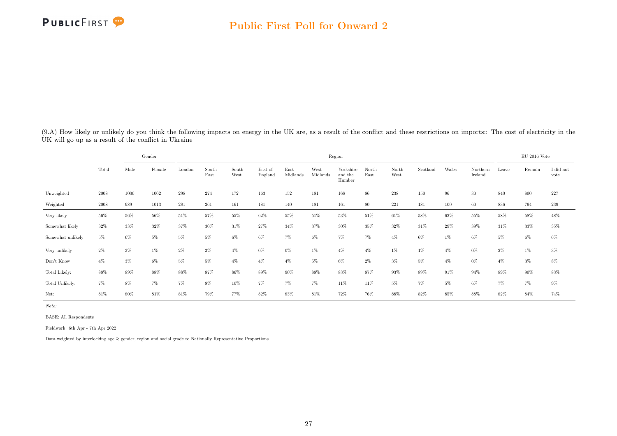<span id="page-27-0"></span>(9.A) How likely or unlikely do you think the following impacts on energy in the UK are, as a result of the conflict and these restrictions on imports:: The cost of electricity in the UK will go up as a result of the conflict in Ukraine

|                   |       |       | Gender |        |               |               |                    |                  |                  | Region                         |               |               |          |       |                     |       | EU 2016 Vote |                   |
|-------------------|-------|-------|--------|--------|---------------|---------------|--------------------|------------------|------------------|--------------------------------|---------------|---------------|----------|-------|---------------------|-------|--------------|-------------------|
|                   | Total | Male  | Female | London | South<br>East | South<br>West | East of<br>England | East<br>Midlands | West<br>Midlands | Yorkshire<br>and the<br>Humber | North<br>East | North<br>West | Scotland | Wales | Northern<br>Ireland | Leave | Remain       | I did not<br>vote |
| Unweighted        | 2008  | 1000  | 1002   | 298    | 274           | 172           | 163                | 152              | 181              | 168                            | 86            | 238           | 150      | 96    | $30\,$              | 840   | 800          | 227               |
| Weighted          | 2008  | 989   | 1013   | 281    | 261           | 161           | 181                | 140              | 181              | 161                            | 80            | 221           | 181      | 100   | 60                  | 836   | 794          | 239               |
| Very likely       | 56%   | 56%   | 56%    | 51%    | 57%           | 55%           | 62%                | $55\%$           | 51%              | 53%                            | 51%           | 61%           | 58%      | 62%   | 55%                 | 58%   | $58\%$       | 48%               |
| Somewhat likely   | 32%   | 33%   | 32%    | 37%    | 30%           | 31%           | 27%                | 34%              | 37%              | 30%                            | 35%           | 32%           | 31%      | 29%   | 39%                 | 31%   | 33%          | $35\%$            |
| Somewhat unlikely | $5\%$ | 6%    | 5%     | 5%     | 5%            | $6\%$         | 6%                 | 7%               | 6%               | $7\%$                          | 7%            | $4\%$         | 6%       | $1\%$ | $6\%$               | $5\%$ | $6\%$        | $6\%$             |
| Very unlikely     | $2\%$ | $3\%$ | 1%     | $2\%$  | $3\%$         | $4\%$         | $0\%$              | $0\%$            | $1\%$            | $4\%$                          | $4\%$         | 1%            | 1%       | $4\%$ | $0\%$               | 2%    | $1\%$        | $3\%$             |
| Don't Know        | $4\%$ | 3%    | 6%     | 5%     | $5\%$         | $4\%$         | $4\%$              | $4\%$            | $5\%$            | 6%                             | 2%            | $3\%$         | 5%       | $4\%$ | $0\%$               | $4\%$ | $3\%$        | $8\%$             |
| Total Likely:     | 88%   | 89%   | 88%    | 88%    | 87%           | 86%           | 89%                | 90%              | 88%              | 83%                            | 87%           | 93%           | 89%      | 91%   | 94%                 | 89%   | 90%          | $83\%$            |
| Total Unlikely:   | $7\%$ | 8%    | 7%     | 7%     | 8%            | 10%           | 7%                 | $7\%$            | 7%               | 11%                            | 11%           | 5%            | 7%       | $5\%$ | $6\%$               | 7%    | $7\%$        | $9\%$             |
| Net:              | 81%   | 80%   | 81%    | 81%    | 79%           | 77%           | 82%                | 83%              | 81%              | 72%                            | 76%           | 88%           | 82%      | 85%   | 88%                 | 82%   | 84%          | 74%               |

Note:

BASE: All Respondents

Fieldwork: 6th Apr - 7th Apr 2022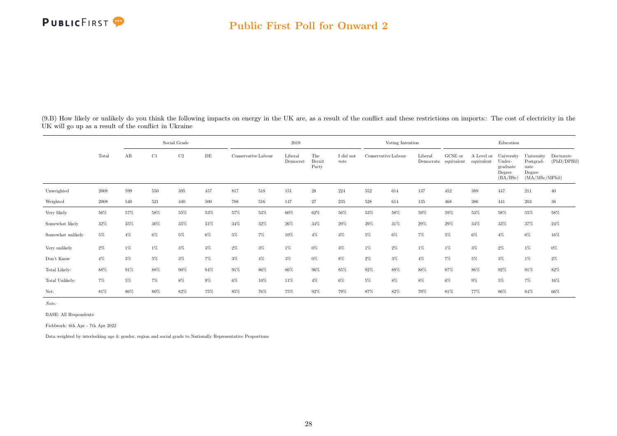(9.B) How likely or unlikely do you think the following impacts on energy in the UK are, as a result of the conflict and these restrictions on imports:: The cost of electricity in the UK will go up as a result of the conflict in Ukraine

|                   |       |       |       | Social Grade |        |                     |        | 2019                |                               |                   |                     | Voting Intention |                      |                       |                          | Education                                              |                                                             |                          |
|-------------------|-------|-------|-------|--------------|--------|---------------------|--------|---------------------|-------------------------------|-------------------|---------------------|------------------|----------------------|-----------------------|--------------------------|--------------------------------------------------------|-------------------------------------------------------------|--------------------------|
|                   | Total | AB    | C1    | C2           | DE     | Conservative Labour |        | Liberal<br>Democrat | The<br><b>Brexit</b><br>Party | I did not<br>vote | Conservative Labour |                  | Liberal<br>Democrats | GCSE or<br>equivalent | A Level or<br>equivalent | University<br>Under-<br>graduate<br>Degree<br>(BA/BSc) | University<br>Postgrad-<br>uate<br>Degree<br>(MA/MSc/MPhil) | Doctorate<br>(PhD/DPHil) |
| Unweighted        | 2008  | 599   | 550   | 395          | 457    | 817                 | 518    | 151                 | $\bf 28$                      | 224               | 552                 | 614              | 137                  | 452                   | 389                      | 447                                                    | 211                                                         | 40                       |
| Weighted          | 2008  | 540   | 521   | 440          | 500    | 788                 | 516    | 147                 | 27                            | 235               | 528                 | 614              | 135                  | 468                   | 386                      | 441                                                    | 203                                                         | $38\,$                   |
| Very likely       | 56%   | 57%   | 58%   | 55%          | $53\%$ | 57%                 | $53\%$ | $60\%$              | 62%                           | $56\%$            | 53%                 | 58%              | 59%                  | $59\%$                | 53%                      | $58\%$                                                 | 55%                                                         | 58%                      |
| Somewhat likely   | 32%   | 35%   | 30%   | 35%          | 31%    | 34%                 | 32%    | $26\%$              | 34%                           | 29%               | 39%                 | 31%              | $29\%$               | 29%                   | 34%                      | 33%                                                    | 37%                                                         | 24%                      |
| Somewhat unlikely | $5\%$ | $4\%$ | 6%    | $5\%$        | $6\%$  | 5%                  | $7\%$  | 10%                 | $4\%$                         | $3\%$             | $5\%$               | 6%               | $7\%$                | $5\%$                 | $6\%$                    | $4\%$                                                  | $6\%$                                                       | $16\%$                   |
| Very unlikely     | $2\%$ | $1\%$ | $1\%$ | $3\%$        | $3\%$  | $2\%$               | $3\%$  | $1\%$               | $0\%$                         | $3\%$             | $1\%$               | $2\%$            | $1\%$                | 1%                    | $3\%$                    | $2\%$                                                  | $1\%$                                                       | $0\%$                    |
| Don't Know        | $4\%$ | $3\%$ | 5%    | $3\%$        | 7%     | $3\%$               | $4\%$  | $3\%$               | $0\%$                         | 8%                | $2\%$               | $3\%$            | $4\%$                | $7\%$                 | 5%                       | $3\%$                                                  | $1\%$                                                       | $2\%$                    |
| Total Likely:     | 88%   | 91%   | 88%   | 90%          | 84%    | 91%                 | 86%    | 86%                 | 96%                           | 85%               | 92%                 | 89%              | 88%                  | 87%                   | 86%                      | 92%                                                    | 91%                                                         | 82%                      |
| Total Unlikely:   | 7%    | $5\%$ | $7\%$ | $8\%$        | $9\%$  | 6%                  | 10%    | 11%                 | $4\%$                         | 6%                | $5\%$               | 8%               | 8%                   | $6\%$                 | $9\%$                    | $5\%$                                                  | 7%                                                          | $16\%$                   |
| Net:              | 81%   | 86%   | 80%   | 82%          | 75%    | 85%                 | 76%    | 75%                 | 92%                           | 79%               | 87%                 | 82%              | 79%                  | 81%                   | 77%                      | 86%                                                    | 84%                                                         | 66%                      |

Note:

BASE: All Respondents

Fieldwork: 6th Apr - 7th Apr 2022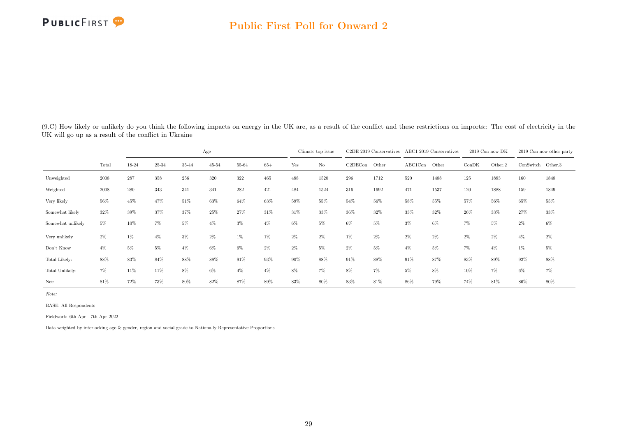

(9.C) How likely or unlikely do you think the following impacts on energy in the UK are, as a result of the conflict and these restrictions on imports:: The cost of electricity in the UK will go up as a result of the conflict in Ukraine

|                   |       |           |       |       | Age       |       |       |       | Climate top issue |         | $C2DE$ 2019 Conservatives |         | ABC1 2019 Conservatives |       | $2019$ Con now DK |           | 2019 Con now other party |
|-------------------|-------|-----------|-------|-------|-----------|-------|-------|-------|-------------------|---------|---------------------------|---------|-------------------------|-------|-------------------|-----------|--------------------------|
|                   | Total | 18-24     | 25-34 | 35-44 | $45 - 54$ | 55-64 | $65+$ | Yes   | $\rm No$          | C2DECon | Other                     | ABC1Con | Other                   | ConDK | Other.2           | ConSwitch | Other.3                  |
| Unweighted        | 2008  | $\bf 287$ | 358   | 256   | 320       | 322   | 465   | 488   | 1520              | 296     | 1712                      | 520     | 1488                    | 125   | 1883              | 160       | 1848                     |
| Weighted          | 2008  | $280\,$   | 343   | 341   | 341       | 282   | 421   | 484   | 1524              | 316     | 1692                      | 471     | 1537                    | 120   | 1888              | 159       | 1849                     |
| Very likely       | 56%   | 45%       | 47%   | 51%   | 63%       | 64%   | 63%   | 59%   | 55%               | 54%     | 56%                       | 58%     | 55%                     | 57%   | 56%               | 65%       | 55%                      |
| Somewhat likely   | 32%   | 39%       | 37%   | 37%   | 25%       | 27%   | 31%   | 31%   | 33%               | 36%     | 32%                       | 33%     | 32%                     | 26%   | 33%               | 27%       | 33%                      |
| Somewhat unlikely | 5%    | 10%       | $7\%$ | 5%    | $4\%$     | $3\%$ | $4\%$ | $6\%$ | 5%                | 6%      | 5%                        | $3\%$   | 6%                      | 7%    | 5%                | $2\%$     | 6%                       |
| Very unlikely     | $2\%$ | $1\%$     | $4\%$ | $3\%$ | $2\%$     | $1\%$ | 1%    | $2\%$ | $2\%$             | $1\%$   | $2\%$                     | 2%      | $2\%$                   | 2%    | $2\%$             | $4\%$     | $2\%$                    |
| Don't Know        | $4\%$ | 5%        | 5%    | $4\%$ | 6%        | 6%    | $2\%$ | $2\%$ | 5%                | 2%      | $5\%$                     | 4%      | 5%                      | 7%    | $4\%$             | $1\%$     | 5%                       |
| Total Likely:     | 88%   | 83%       | 84%   | 88%   | 88%       | 91%   | 93%   | 90%   | 88%               | 91%     | 88%                       | 91%     | 87%                     | 83%   | 89%               | 92%       | 88%                      |
| Total Unlikely:   | $7\%$ | 11%       | 11%   | 8%    | 6%        | $4\%$ | $4\%$ | 8%    | $7\%$             | 8%      | 7%                        | 5%      | 8%                      | 10%   | 7%                | 6%        | 7%                       |
| Net:              | 81%   | 72%       | 73%   | 80%   | 82%       | 87%   | 89%   | 83%   | 80%               | 83%     | 81%                       | 86%     | 79%                     | 74%   | 81%               | 86%       | 80%                      |

Note:

BASE: All Respondents

Fieldwork: 6th Apr - 7th Apr 2022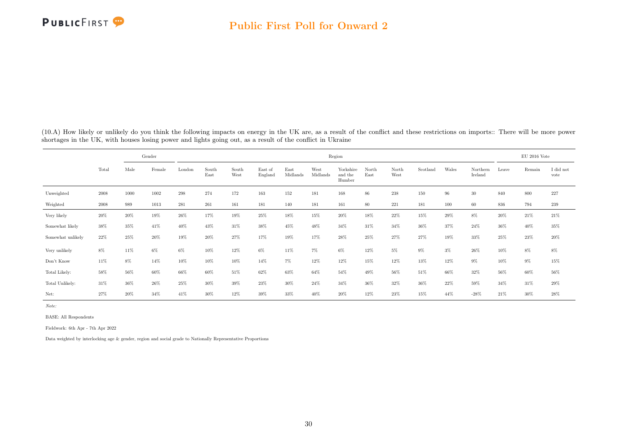

<span id="page-30-0"></span>(10.A) How likely or unlikely do you think the following impacts on energy in the UK are, as a result of the conflict and these restrictions on imports:: There will be more power shortages in the UK, with houses losing power and lights going out, as a result of the conflict in Ukraine

|                   |        |        | Gender |        |               |               |                    |                  |                  | Region                         |               |               |          |       |                     |       | $EU$ 2016 Vote |                   |
|-------------------|--------|--------|--------|--------|---------------|---------------|--------------------|------------------|------------------|--------------------------------|---------------|---------------|----------|-------|---------------------|-------|----------------|-------------------|
|                   | Total  | Male   | Female | London | South<br>East | South<br>West | East of<br>England | East<br>Midlands | West<br>Midlands | Yorkshire<br>and the<br>Humber | North<br>East | North<br>West | Scotland | Wales | Northern<br>Ireland | Leave | Remain         | I did not<br>vote |
| Unweighted        | 2008   | 1000   | 1002   | 298    | 274           | 172           | 163                | 152              | 181              | 168                            | 86            | 238           | 150      | 96    | $30\,$              | 840   | 800            | $227\,$           |
| Weighted          | 2008   | 989    | 1013   | 281    | 261           | 161           | 181                | 140              | 181              | 161                            | 80            | 221           | 181      | 100   | 60                  | 836   | 794            | 239               |
| Very likely       | $20\%$ | $20\%$ | 19%    | 26%    | 17%           | 19%           | 25%                | 18%              | 15%              | 20%                            | 18%           | $22\%$        | 15%      | 29%   | 8%                  | 20%   | 21%            | $21\%$            |
| Somewhat likely   | 38%    | 35%    | 41%    | 40%    | 43%           | 31%           | 38%                | 45%              | 48%              | 34%                            | 31%           | 34%           | 36%      | 37%   | 24%                 | 36%   | 40%            | $35\%$            |
| Somewhat unlikely | 22%    | 25%    | 20%    | 19%    | 20%           | 27%           | 17%                | 19%              | 17%              | 28%                            | 25%           | 27%           | 27%      | 19%   | 33%                 | 25%   | 23%            | 20%               |
| Very unlikely     | $8\%$  | 11%    | $6\%$  | 6%     | 10%           | 12%           | 6%                 | 11%              | 7%               | $6\%$                          | 12%           | 5%            | 9%       | $3\%$ | 26%                 | 10%   | 8%             | $8\%$             |
| Don't Know        | 11%    | 8%     | 14%    | 10%    | 10%           | 10%           | 14%                | $7\%$            | 12%              | 12%                            | 15%           | 12%           | 13%      | 12%   | $9\%$               | 10%   | $9\%$          | $15\%$            |
| Total Likely:     | 58%    | 56%    | 60%    | 66%    | 60%           | 51%           | 62%                | 63%              | 64%              | 54%                            | 49%           | 56%           | 51%      | 66%   | 32%                 | 56%   | 60%            | $56\%$            |
| Total Unlikely:   | $31\%$ | 36%    | 26%    | 25%    | 30%           | 39%           | 23%                | 30%              | 24%              | 34%                            | 36%           | 32%           | 36%      | 22%   | 59%                 | 34%   | 31%            | $29\%$            |
| Net:              | 27%    | 20%    | 34%    | 41%    | 30%           | 12%           | 39%                | 33%              | 40%              | 20%                            | 12%           | 23%           | 15%      | 44%   | $-28%$              | 21%   | 30%            | 28%               |

Note:

BASE: All Respondents

Fieldwork: 6th Apr - 7th Apr 2022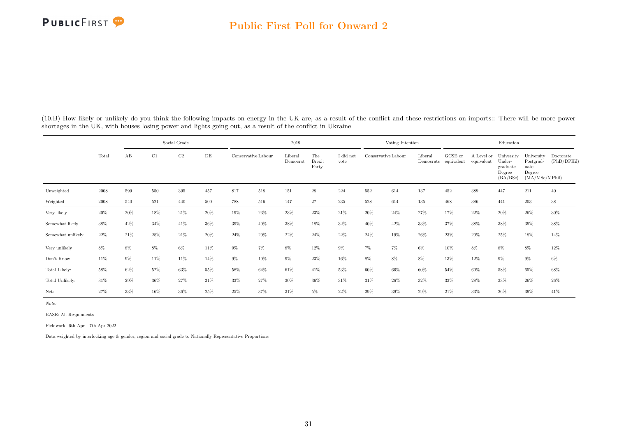(10.B) How likely or unlikely do you think the following impacts on energy in the UK are, as a result of the conflict and these restrictions on imports:: There will be more power shortages in the UK, with houses losing power and lights going out, as a result of the conflict in Ukraine

|                   |        |       |     | Social Grade   |        |                     |        | 2019                |                               |                   |                     | Voting Intention |                      |                       |                          | Education                                              |                                                             |                          |
|-------------------|--------|-------|-----|----------------|--------|---------------------|--------|---------------------|-------------------------------|-------------------|---------------------|------------------|----------------------|-----------------------|--------------------------|--------------------------------------------------------|-------------------------------------------------------------|--------------------------|
|                   | Total  | AB    | C1  | C <sub>2</sub> | DE     | Conservative Labour |        | Liberal<br>Democrat | The<br><b>Brexit</b><br>Party | I did not<br>vote | Conservative Labour |                  | Liberal<br>Democrats | GCSE or<br>equivalent | A Level or<br>equivalent | University<br>Under-<br>graduate<br>Degree<br>(BA/BSc) | University<br>Postgrad-<br>uate<br>Degree<br>(MA/MSc/MPhil) | Doctorate<br>(PhD/DPHil) |
| Unweighted        | 2008   | 599   | 550 | 395            | 457    | 817                 | 518    | 151                 | $\sqrt{28}$                   | 224               | 552                 | 614              | 137                  | 452                   | 389                      | 447                                                    | 211                                                         | 40                       |
| Weighted          | 2008   | 540   | 521 | 440            | 500    | 788                 | 516    | 147                 | 27                            | 235               | 528                 | 614              | 135                  | 468                   | 386                      | 441                                                    | 203                                                         | 38                       |
| Very likely       | $20\%$ | 20%   | 18% | 21%            | $20\%$ | 19%                 | 23%    | $23\%$              | 23%                           | $21\%$            | 20%                 | 24%              | 27%                  | 17%                   | 22%                      | 20%                                                    | $26\%$                                                      | $30\%$                   |
| Somewhat likely   | 38%    | 42%   | 34% | 41%            | 36%    | 39%                 | 40%    | 38%                 | 18%                           | 32%               | 40%                 | 42%              | 33%                  | 37%                   | 38%                      | 38%                                                    | $39\%$                                                      | 38%                      |
| Somewhat unlikely | $22\%$ | 21%   | 28% | 21%            | 20%    | $24\%$              | 20%    | 22%                 | 24%                           | 22%               | 24%                 | 19%              | 26%                  | 23%                   | $20\%$                   | 25%                                                    | 18%                                                         | 14%                      |
| Very unlikely     | $8\%$  | 8%    | 8%  | $6\%$          | 11%    | $9\%$               | 7%     | 8%                  | 12%                           | 9%                | $7\%$               | 7%               | 6%                   | 10%                   | 8%                       | 8%                                                     | $8\%$                                                       | 12%                      |
| Don't Know        | $11\%$ | $9\%$ | 11% | 11%            | 14%    | $9\%$               | $10\%$ | $9\%$               | 23%                           | 16%               | $8\%$               | 8%               | $8\%$                | $13\%$                | $12\%$                   | $9\%$                                                  | $9\%$                                                       | $6\%$                    |
| Total Likely:     | 58%    | 62%   | 52% | 63%            | 55%    | 58%                 | 64%    | 61%                 | 41%                           | 53%               | 60%                 | 66%              | 60%                  | 54%                   | 60%                      | 58%                                                    | 65%                                                         | 68%                      |
| Total Unlikely:   | 31%    | 29%   | 36% | 27%            | 31\%   | 33%                 | 27%    | $30\%$              | 36%                           | 31%               | 31%                 | 26%              | 32%                  | 33%                   | 28%                      | 33%                                                    | 26%                                                         | 26%                      |
| Net:              | 27%    | 33%   | 16% | 36%            | 25%    | 25%                 | 37%    | 31%                 | 5%                            | 22%               | 29%                 | 39%              | 29%                  | 21%                   | 33%                      | 26%                                                    | 39%                                                         | 41\%                     |

Note:

BASE: All Respondents

Fieldwork: 6th Apr - 7th Apr 2022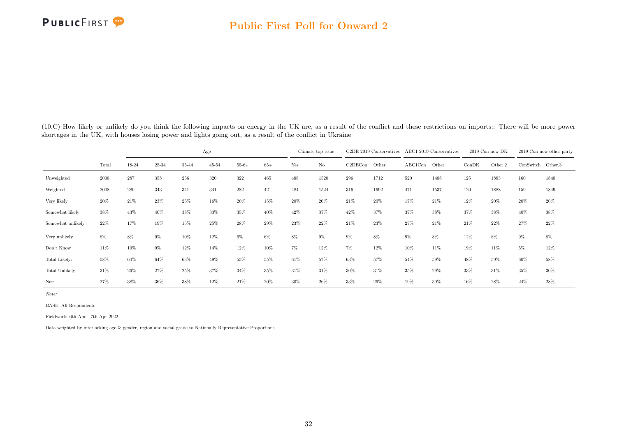

(10.C) How likely or unlikely do you think the following impacts on energy in the UK are, as a result of the conflict and these restrictions on imports:: There will be more power shortages in the UK, with houses losing power and lights going out, as a result of the conflict in Ukraine

|                   |        |       |         |       | Age       |       |       |     | Climate top issue |         | C <sub>2</sub> DE 2019 Conservatives |         | ABC1 2019 Conservatives |       | 2019 Con now DK |                   | 2019 Con now other party |
|-------------------|--------|-------|---------|-------|-----------|-------|-------|-----|-------------------|---------|--------------------------------------|---------|-------------------------|-------|-----------------|-------------------|--------------------------|
|                   | Total  | 18-24 | 25-34   | 35-44 | $45 - 54$ | 55-64 | $65+$ | Yes | $_{\rm No}$       | C2DECon | Other                                | ABC1Con | Other                   | ConDK | Other.2         | ConSwitch Other.3 |                          |
| Unweighted        | 2008   | 287   | $358\,$ | 256   | 320       | 322   | 465   | 488 | 1520              | 296     | 1712                                 | 520     | 1488                    | 125   | 1883            | 160               | 1848                     |
| Weighted          | 2008   | 280   | 343     | 341   | 341       | 282   | 421   | 484 | 1524              | 316     | 1692                                 | 471     | 1537                    | 120   | 1888            | 159               | 1849                     |
| Very likely       | 20%    | 21%   | 23%     | 25%   | 16%       | 20%   | 15%   | 20% | 20%               | 21\%    | 20%                                  | 17%     | 21%                     | 12%   | 20%             | 20%               | 20%                      |
| Somewhat likely   | 38%    | 43%   | 40%     | 38%   | 33%       | 35%   | 40%   | 42% | 37%               | 42%     | 37%                                  | 37%     | 38%                     | 37%   | 38%             | 40%               | 38%                      |
| Somewhat unlikely | $22\%$ | 17%   | 19%     | 15%   | 25%       | 28%   | 29%   | 23% | 22%               | $21\%$  | 23%                                  | 27%     | 21%                     | 21%   | 22%             | 27%               | 22%                      |
| Very unlikely     | 8%     | $8\%$ | 9%      | 10%   | 12%       | 6%    | 6%    | 8%  | 9%                | 9%      | 8%                                   | 9%      | 8%                      | 12%   | 8%              | 9%                | $8\%$                    |
| Don't Know        | 11%    | 10%   | $9\%$   | 12%   | 14%       | 12%   | 10%   | 7%  | 12%               | $7\%$   | 12%                                  | 10%     | 11%                     | 19%   | 11%             | 5%                | 12%                      |
| Total Likely:     | 58%    | 64%   | 64%     | 63%   | 49%       | 55%   | 55%   | 61% | 57%               | 63%     | 57%                                  | 54%     | 59%                     | 48%   | 59%             | 60%               | 58%                      |
| Total Unlikely:   | 31%    | 26%   | 27%     | 25%   | 37%       | 34%   | 35%   | 31% | 31%               | 30%     | 31%                                  | 35%     | 29%                     | 33%   | 31%             | 35%               | 30%                      |
| Net:              | 27%    | 38%   | 36%     | 38%   | 12%       | 21%   | 20%   | 30% | 26%               | 33%     | 26%                                  | 19%     | 30%                     | 16%   | 28%             | 24%               | 28%                      |

Note:

BASE: All Respondents

Fieldwork: 6th Apr - 7th Apr 2022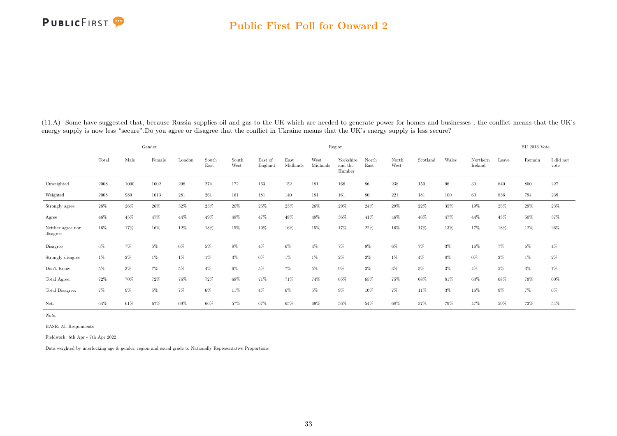<span id="page-33-0"></span>(11.A) Some have suggested that, because Russia supplies oil and gas to the UK which are needed to generate power for homes and businesses , the conflict means that the UK's energy supply is now less "secure". Do you agree or disagree that the conflict in Ukraine means that the UK's energy supply is less secure?

|                               |        |       | Gender |        |               |               |                    |                  |                  | Region                         |               |               |          |       |                     |        | $EU$ 2016 Vote |                   |
|-------------------------------|--------|-------|--------|--------|---------------|---------------|--------------------|------------------|------------------|--------------------------------|---------------|---------------|----------|-------|---------------------|--------|----------------|-------------------|
|                               | Total  | Male  | Female | London | South<br>East | South<br>West | East of<br>England | East<br>Midlands | West<br>Midlands | Yorkshire<br>and the<br>Humber | North<br>East | North<br>West | Scotland | Wales | Northern<br>Ireland | Leave  | Remain         | I did not<br>vote |
| Unweighted                    | 2008   | 1000  | 1002   | 298    | 274           | 172           | 163                | 152              | 181              | 168                            | $86\,$        | 238           | 150      | 96    | $30\,$              | 840    | 800            | 227               |
| Weighted                      | 2008   | 989   | 1013   | 281    | 261           | 161           | 181                | 140              | 181              | 161                            | 80            | 221           | 181      | 100   | 60                  | 836    | 794            | 239               |
| Strongly agree                | $26\%$ | 26%   | 26%    | 32%    | 23%           | 20%           | 25%                | $23\%$           | 26%              | 29%                            | 24%           | 29%           | 22%      | 35%   | $19\%$              | $25\%$ | $29\%$         | 23%               |
| Agree                         | 46%    | 45%   | 47%    | 44%    | 49%           | 48%           | 47%                | 48%              | 48%              | 36%                            | 41%           | $46\%$        | 46%      | 47%   | 44%                 | 43%    | 50%            | 37%               |
| Neither agree nor<br>disagree | 16%    | 17%   | 16%    | 12%    | 18%           | 15%           | 19%                | 16%              | 15%              | 17%                            | 22%           | 16%           | 17%      | 13%   | 17%                 | 18%    | $12\%$         | $26\%$            |
| Disagree                      | $6\%$  | 7%    | 5%     | 6%     | $5\%$         | 8%            | $4\%$              | 6%               | $4\%$            | $7\%$                          | $9\%$         | $6\%$         | $7\%$    | $3\%$ | 16%                 | 7%     | $6\%$          | $4\%$             |
| Strongly disagree             | $1\%$  | $2\%$ | $1\%$  | $1\%$  | $1\%$         | $3\%$         | 0%                 | $1\%$            | $1\%$            | $2\%$                          | $2\%$         | $1\%$         | $4\%$    | $0\%$ | $0\%$               | $2\%$  | $1\%$          | $2\%$             |
| Don't Know                    | $5\%$  | $3\%$ | 7%     | 5%     | $4\%$         | 6%            | 5%                 | $7\%$            | $5\%$            | $9\%$                          | $3\%$         | $3\%$         | 5%       | $3\%$ | $4\%$               | $5\%$  | $3\%$          | $7\%$             |
| Total Agree:                  | 72%    | 70%   | 72%    | 76%    | 72%           | 68%           | 71%                | 71%              | 74%              | 65%                            | 65%           | 75%           | 68%      | 81%   | 63%                 | 68%    | 79%            | 60%               |
| Total Disagree:               | $7\%$  | $9\%$ | $5\%$  | 7%     | 6%            | 11%           | $4\%$              | 6%               | 5%               | $9\%$                          | 10%           | $7\%$         | 11%      | $3\%$ | 16%                 | $9\%$  | 7%             | $6\%$             |
| Net:                          | 64%    | 61%   | 67%    | 69%    | 66%           | 57%           | 67%                | 65%              | 69%              | 56%                            | 54%           | 68%           | 57%      | 79%   | 47%                 | 59%    | 72%            | 54%               |

Note:

BASE: All Respondents

Fieldwork: 6th Apr - 7th Apr 2022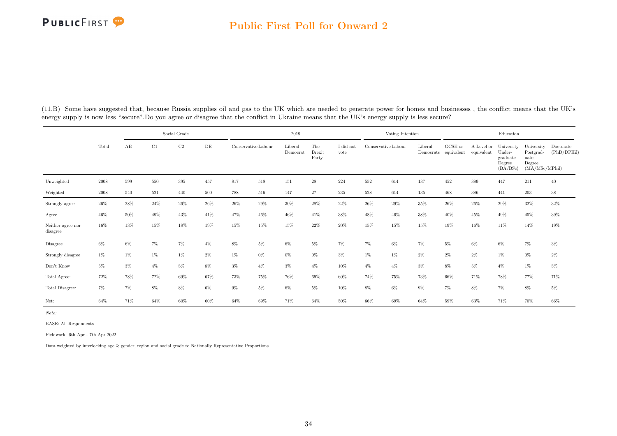#### Public First Poll for Onward 2

|                               |        |       |       | Social Grade |       |        |                     | 2019                |                               |                   |        | Voting Intention    |                      |                       |                          | Education                                              |                                                             |                          |
|-------------------------------|--------|-------|-------|--------------|-------|--------|---------------------|---------------------|-------------------------------|-------------------|--------|---------------------|----------------------|-----------------------|--------------------------|--------------------------------------------------------|-------------------------------------------------------------|--------------------------|
|                               | Total  | AB    | C1    | $\rm{C2}$    | DE    |        | Conservative Labour | Liberal<br>Democrat | The<br><b>Brexit</b><br>Party | I did not<br>vote |        | Conservative Labour | Liberal<br>Democrats | GCSE or<br>equivalent | A Level or<br>equivalent | University<br>Under-<br>graduate<br>Degree<br>(BA/BSc) | University<br>Postgrad-<br>uate<br>Degree<br>(MA/MSc/MPhil) | Doctorate<br>(PhD/DPHil) |
| Unweighted                    | 2008   | 599   | 550   | 395          | 457   | 817    | 518                 | 151                 | $\sqrt{28}$                   | 224               | 552    | 614                 | 137                  | 452                   | 389                      | 447                                                    | 211                                                         | 40                       |
| Weighted                      | 2008   | 540   | 521   | 440          | 500   | 788    | 516                 | 147                 | 27                            | 235               | 528    | 614                 | 135                  | 468                   | 386                      | 441                                                    | $\,203$                                                     | $38\,$                   |
| Strongly agree                | $26\%$ | 28%   | 24%   | 26%          | 26%   | $26\%$ | 29%                 | 30%                 | 28%                           | 22%               | $26\%$ | 29%                 | 35%                  | 26%                   | 26%                      | 29%                                                    | $32\%$                                                      | $32\%$                   |
| Agree                         | 46%    | 50%   | 49%   | 43%          | 41%   | 47%    | 46%                 | 46%                 | 41%                           | 38%               | 48%    | 46%                 | 38%                  | 40%                   | 45%                      | 49%                                                    | 45%                                                         | 39%                      |
| Neither agree nor<br>disagree | 16%    | 13%   | 15%   | 18%          | 19%   | 15%    | 15%                 | 15%                 | 22%                           | 20%               | 15%    | 15%                 | 15%                  | 19%                   | 16%                      | 11%                                                    | 14%                                                         | 19%                      |
| Disagree                      | $6\%$  | $6\%$ | 7%    | 7%           | $4\%$ | 8%     | 5%                  | $6\%$               | 5%                            | 7%                | $7\%$  | 6%                  | 7%                   | 5%                    | 6%                       | 6%                                                     | $7\%$                                                       | $3\%$                    |
| Strongly disagree             | $1\%$  | $1\%$ | 1%    | $1\%$        | 2%    | 1%     | $0\%$               | $0\%$               | $0\%$                         | 3%                | $1\%$  | 1%                  | 2%                   | $2\%$                 | $2\%$                    | $1\%$                                                  | $0\%$                                                       | $2\%$                    |
| Don't Know                    | $5\%$  | $3\%$ | $4\%$ | 5%           | $8\%$ | 3%     | $4\%$               | $3\%$               | $4\%$                         | 10%               | $4\%$  | $4\%$               | $3\%$                | $8\%$                 | $5\%$                    | $4\%$                                                  | $1\%$                                                       | $5\%$                    |
| Total Agree:                  | $72\%$ | 78%   | 72%   | 69%          | 67%   | 73%    | 75%                 | 76%                 | 69%                           | 60%               | 74%    | 75%                 | 73%                  | 66%                   | 71%                      | 78%                                                    | 77%                                                         | 71%                      |
| Total Disagree:               | 7%     | 7%    | 8%    | $8\%$        | 6%    | $9\%$  | $5\%$               | $6\%$               | 5%                            | 10%               | 8%     | 6%                  | $9\%$                | 7%                    | $8\%$                    | $7\%$                                                  | 8%                                                          | $5\%$                    |
| Net:                          | 64%    | 71%   | 64%   | 60%          | 60%   | 64%    | 69%                 | 71%                 | 64%                           | $50\%$            | 66%    | 69%                 | 64%                  | 59%                   | 63%                      | 71%                                                    | 70%                                                         | 66%                      |

(11.B) Some have suggested that, because Russia supplies oil and gas to the UK which are needed to generate power for homes and businesses , the conflict means that the UK's energy supply is now less "secure".Do you agree or disagree that the conflict in Ukraine means that the UK's energy supply is less secure?

Note:

BASE: All Respondents

Fieldwork: 6th Apr - 7th Apr 2022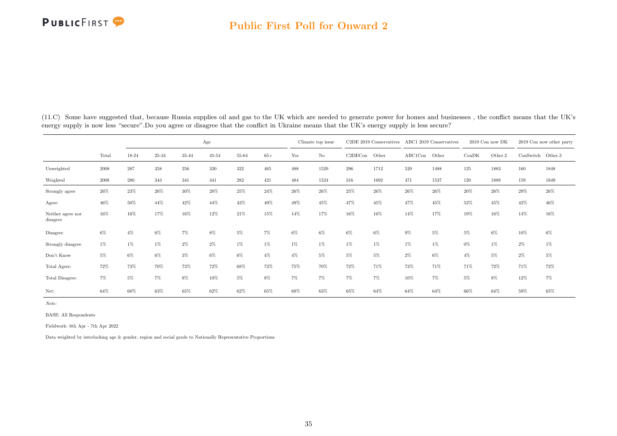|                               |       |       |       |       | Age   |       |       |       | Climate top issue |         | C2DE 2019 Conservatives |               | ABC1 2019 Conservatives |       | 2019 Con now DK |                   | 2019 Con now other party |
|-------------------------------|-------|-------|-------|-------|-------|-------|-------|-------|-------------------|---------|-------------------------|---------------|-------------------------|-------|-----------------|-------------------|--------------------------|
|                               | Total | 18-24 | 25-34 | 35-44 | 45-54 | 55-64 | $65+$ | Yes   | $\rm No$          | C2DECon | Other                   | ABC1Con Other |                         | ConDK | Other.2         | ConSwitch Other.3 |                          |
| Unweighted                    | 2008  | 287   | 358   | 256   | 320   | 322   | 465   | 488   | 1520              | 296     | 1712                    | 520           | 1488                    | 125   | 1883            | 160               | 1848                     |
| Weighted                      | 2008  | 280   | 343   | 341   | 341   | 282   | 421   | 484   | 1524              | 316     | 1692                    | 471           | 1537                    | 120   | 1888            | 159               | 1849                     |
| Strongly agree                | 26%   | 23%   | 26%   | 30%   | 28%   | 25%   | 24%   | 26%   | 26%               | 25%     | 26%                     | 26%           | 26%                     | 20%   | 26%             | 29%               | 26%                      |
| Agree                         | 46%   | 50%   | 44%   | 42%   | 44%   | 43%   | 49%   | 49%   | 45%               | 47%     | 45%                     | 47%           | 45%                     | 52%   | 45%             | 42%               | 46%                      |
| Neither agree nor<br>disagree | 16%   | 16%   | 17%   | 16%   | 12%   | 21%   | 15%   | 14%   | 17%               | 16%     | 16%                     | 14%           | 17%                     | 19%   | 16%             | 14%               | 16%                      |
| Disagree                      | 6%    | $4\%$ | $6\%$ | 7%    | 8%    | 5%    | 7%    | 6%    | 6%                | 6%      | $6\%$                   | 9%            | 5%                      | 5%    | 6%              | 10%               | 6%                       |
| Strongly disagree             | 1%    | $1\%$ | $1\%$ | 2%    | $2\%$ | $1\%$ | 1%    | 1%    | $1\%$             | 1%      | $1\%$                   | $1\%$         | $1\%$                   | $0\%$ | $1\%$           | $2\%$             | 1%                       |
| Don't Know                    | $5\%$ | $6\%$ | $6\%$ | $3\%$ | $6\%$ | 6%    | $4\%$ | $4\%$ | $5\%$             | $5\%$   | 5%                      | $2\%$         | $6\%$                   | $4\%$ | $5\%$           | $2\%$             | $5\%$                    |
| Total Agree:                  | 72%   | 73%   | 70%   | 73%   | 72%   | 68%   | 73%   | 75%   | 70%               | 72%     | 71%                     | 73%           | 71%                     | 71%   | 72%             | 71%               | 72%                      |
| Total Disagree:               | 7%    | 5%    | 7%    | 8%    | 10%   | 5%    | 8%    | 7%    | 7%                | 7%      | $7\%$                   | 10%           | 7%                      | 5%    | 8%              | 12%               | 7%                       |
| Net:                          | 64%   | 68%   | 63%   | 65%   | 62%   | 62%   | 65%   | 68%   | 63%               | 65%     | 64%                     | 64%           | 64%                     | 66%   | 64%             | 59%               | 65%                      |

(11.C) Some have suggested that, because Russia supplies oil and gas to the UK which are needed to generate power for homes and businesses , the conflict means that the UK's energy supply is now less "secure".Do you agree or disagree that the conflict in Ukraine means that the UK's energy supply is less secure?

Note:

BASE: All Respondents

Fieldwork: 6th Apr - 7th Apr 2022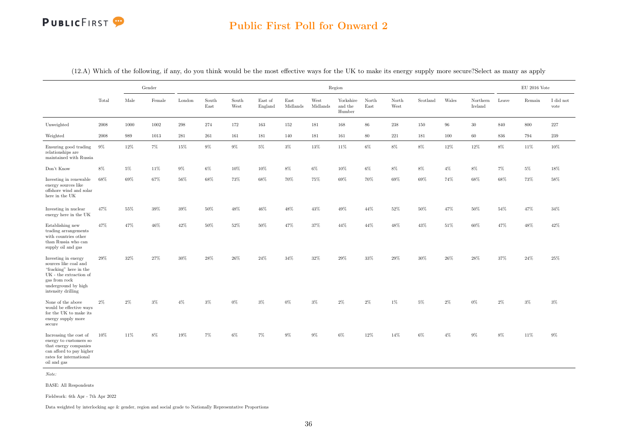### Public First Poll for Onward 2

|                                                                                                                                                                | Gender |       |        |        |               |               |                    |                  |                  | Region                         |               |               |          |        |                     |        | $\mathrm{EU}$ 2016 Vote |                   |
|----------------------------------------------------------------------------------------------------------------------------------------------------------------|--------|-------|--------|--------|---------------|---------------|--------------------|------------------|------------------|--------------------------------|---------------|---------------|----------|--------|---------------------|--------|-------------------------|-------------------|
|                                                                                                                                                                | Total  | Male  | Female | London | South<br>East | South<br>West | East of<br>England | East<br>Midlands | West<br>Midlands | Yorkshire<br>and the<br>Humber | North<br>East | North<br>West | Scotland | Wales  | Northern<br>Ireland | Leave  | Remain                  | I did not<br>vote |
| Unweighted                                                                                                                                                     | 2008   | 1000  | 1002   | 298    | 274           | 172           | 163                | 152              | 181              | 168                            | 86            | 238           | 150      | 96     | 30                  | 840    | 800                     | $227\,$           |
| Weighted                                                                                                                                                       | 2008   | 989   | 1013   | 281    | 261           | 161           | 181                | 140              | 181              | 161                            | 80            | 221           | 181      | 100    | 60                  | 836    | 794                     | 239               |
| Ensuring good trading<br>relationships are<br>maintained with Russia                                                                                           | $9\%$  | 12%   | $7\%$  | $15\%$ | $9\%$         | $9\%$         | $5\%$              | $3\%$            | $13\%$           | 11%                            | $6\%$         | $8\%$         | 8%       | $12\%$ | $12\%$              | $8\%$  | 11%                     | $10\%$            |
| Don't Know                                                                                                                                                     | $8\%$  | $5\%$ | 11%    | $9\%$  | $6\%$         | 10%           | $10\%$             | $8\%$            | $6\%$            | $10\%$                         | $6\%$         | 8%            | 8%       | $4\%$  | $8\%$               | $7\%$  | $5\%$                   | 18%               |
| Investing in renewable<br>energy sources like<br>offshore wind and solar<br>here in the UK                                                                     | 68%    | 69%   | 67%    | 56%    | 68%           | 73%           | 68%                | 70%              | $75\%$           | 69%                            | $70\%$        | 69%           | 69%      | 74%    | $68\%$              | 68%    | 73%                     | 58%               |
| Investing in nuclear<br>energy here in the UK                                                                                                                  | 47%    | 55%   | $39\%$ | $39\%$ | $50\%$        | 48%           | $46\%$             | 48%              | $43\%$           | $49\%$                         | $44\%$        | $52\%$        | $50\%$   | 47%    | $50\%$              | $54\%$ | 47%                     | 34%               |
| Establishing new<br>trading arrangements<br>with countries other<br>than Russia who can<br>supply oil and gas                                                  | 47%    | 47%   | 46%    | 42%    | 50%           | 52%           | 50%                | 47%              | $37\%$           | 44%                            | 44%           | 48%           | 43%      | 51%    | 60%                 | 47%    | 48%                     | 42%               |
| Investing in energy<br>sources like coal and<br>"fracking" here in the<br>UK - the extraction of<br>gas from rock<br>underground by high<br>intensity drilling | 29%    | 32%   | $27\%$ | 30%    | 28%           | 26%           | 24%                | $34\%$           | $32\%$           | 29%                            | $33\%$        | 29%           | 30%      | 26%    | 28%                 | 37%    | $24\%$                  | $25\%$            |
| None of the above<br>would be effective ways<br>for the UK to make its<br>energy supply more<br>secure                                                         | $2\%$  | $2\%$ | $3\%$  | $4\%$  | $3\%$         | $0\%$         | $3\%$              | $0\%$            | $3\%$            | $2\%$                          | $2\%$         | $1\%$         | $5\%$    | 2%     | $0\%$               | $2\%$  | $3\%$                   | $3\%$             |
| Increasing the cost of<br>energy to customers so<br>that energy companies<br>can afford to pay higher<br>rates for international<br>oil and gas                | 10%    | 11%   | 8%     | 19%    | 7%            | 6%            | 7%                 | 9%               | 9%               | $6\%$                          | 12%           | 14%           | 6%       | $4\%$  | 9%                  | 8%     | 11%                     | $9\%$             |

(12.A) Which of the following, if any, do you think would be the most effective ways for the UK to make its energy supply more secure?Select as many as apply

Note:

BASE: All Respondents

Fieldwork: 6th Apr - 7th Apr 2022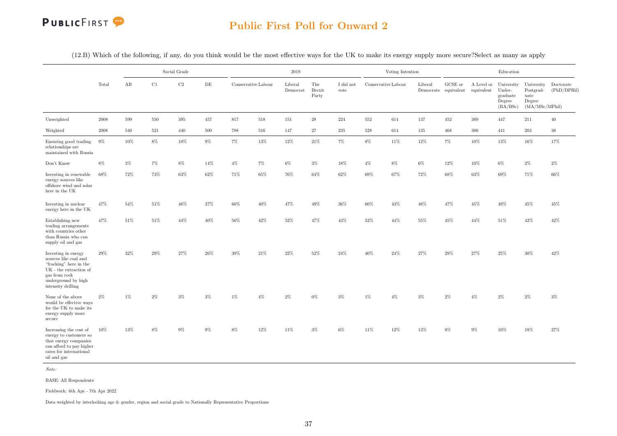

(12.B) Which of the following, if any, do you think would be the most effective ways for the UK to make its energy supply more secure?Select as many as apply

|                                                                                                                                                                      |            |       |        | Social Grade |           |       |                     | 2019                |                               |                   |        | Voting Intention    |         |                                 |            | Education                                                         |                                                              |                          |
|----------------------------------------------------------------------------------------------------------------------------------------------------------------------|------------|-------|--------|--------------|-----------|-------|---------------------|---------------------|-------------------------------|-------------------|--------|---------------------|---------|---------------------------------|------------|-------------------------------------------------------------------|--------------------------------------------------------------|--------------------------|
|                                                                                                                                                                      | Total      | AB    | C1     | $\rm C2$     | $\rm{DE}$ |       | Conservative Labour | Liberal<br>Democrat | The<br><b>Brexit</b><br>Party | I did not<br>vote |        | Conservative Labour | Liberal | GCSE or<br>Democrats equivalent | equivalent | A Level or University<br>Under-<br>graduate<br>Degree<br>(BA/BSc) | University<br>Postgrad-<br>uate<br>Degree<br>(MA/MSc/MPhill) | Doctorate<br>(PhD/DPHil) |
| Unweighted                                                                                                                                                           | 2008       | 599   | 550    | 395          | 457       | 817   | 518                 | 151                 | 28                            | 224               | 552    | 614                 | 137     | 452                             | 389        | 447                                                               | 211                                                          | 40                       |
| Weighted                                                                                                                                                             | $\,2008\,$ | 540   | 521    | 440          | 500       | 788   | 516                 | 147                 | $27\,$                        | $235\,$           | 528    | 614                 | 135     | 468                             | 386        | 441                                                               | $203\,$                                                      | $38\,$                   |
| Ensuring good trading<br>relationships are<br>maintained with Russia                                                                                                 | $9\%$      | 10%   | $8\%$  | 10%          | $9\%$     | $7\%$ | 13%                 | 12%                 | 21%                           | 7%                | 8%     | 11%                 | $12\%$  | $7\%$                           | 10%        | 13%                                                               | 16%                                                          | 17%                      |
| Don't Know                                                                                                                                                           | 8%         | $3\%$ | $7\%$  | 8%           | 14%       | $4\%$ | 7%                  | $6\%$               | $3\%$                         | 18%               | $4\%$  | 8%                  | $6\%$   | 12%                             | 10%        | $6\%$                                                             | $2\%$                                                        | $2\%$                    |
| Investing in renewable<br>energy sources like<br>offshore wind and solar<br>here in the UK                                                                           | 68%        | 72%   | $73\%$ | 63%          | 62%       | 71%   | 65%                 | 76%                 | 64%                           | $62\%$            | 69%    | 67%                 | 72%     | 68%                             | $63\%$     | 69%                                                               | 71%                                                          | $66\%$                   |
| Investing in nuclear<br>energy here in the UK                                                                                                                        | 47%        | 54%   | $51\%$ | $46\%$       | $37\%$    | 60%   | 40%                 | 47%                 | 49%                           | 36%               | $60\%$ | 43%                 | 48%     | 47%                             | 45%        | 49%                                                               | $45\%$                                                       | 45%                      |
| Establishing new<br>trading arrangements<br>with countries other<br>than Russia who can<br>supply oil and gas                                                        | 47%        | 51%   | 51%    | 44%          | 40%       | 50%   | 42%                 | 52%                 | 47%                           | 43%               | 52%    | 44%                 | 55%     | 45%                             | 44%        | 51%                                                               | 42%                                                          | 42%                      |
| Investing in energy<br>sources like coal and<br>"fracking" here in the<br>$\rm UK$ - the extraction of<br>gas from rock<br>underground by high<br>intensity drilling | 29%        | 32%   | $29\%$ | $27\%$       | $26\%$    | 39%   | $21\%$              | 22%                 | $52\%$                        | $24\%$            | 40%    | $24\%$              | $27\%$  | $29\%$                          | $27\%$     | $25\%$                                                            | $30\%$                                                       | $42\%$                   |
| None of the above<br>would be effective ways<br>for the UK to make its<br>energy supply more<br>secure                                                               | $2\%$      | $1\%$ | $2\%$  | $3\%$        | $3\%$     | $1\%$ | $4\%$               | $2\%$               | $0\%$                         | $3\%$             | $1\%$  | $4\%$               | $3\%$   | $2\%$                           | $4\%$      | $2\%$                                                             | $2\%$                                                        | $3\%$                    |
| Increasing the cost of<br>energy to customers so<br>that energy companies<br>can afford to pay higher<br>${\rm rates}$ for international<br>oil and gas              | 10%        | 13%   | 8%     | 9%           | $9\%$     | 8%    | 12%                 | 11%                 | $3\%$                         | 6%                | 11%    | 12%                 | 13%     | 8%                              | $9\%$      | 10%                                                               | 18%                                                          | 27%                      |

Note:

BASE: All Respondents

Fieldwork: 6th Apr - 7th Apr 2022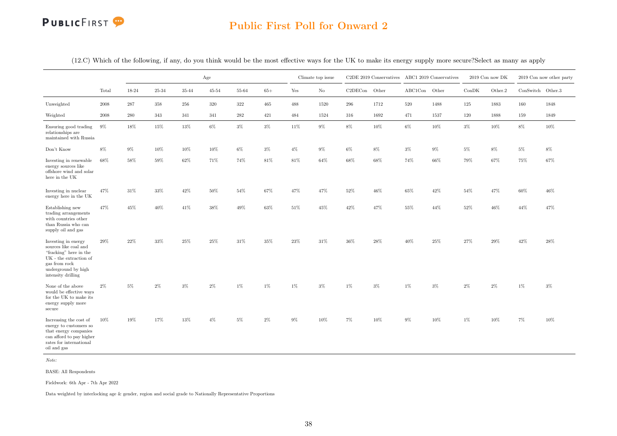### Public First Poll for Onward 2

|                                                                                                                                                                      |            |         |                |           | Age       |         |        |        | Climate top issue |               | C2DE 2019 Conservatives ABC1 2019 Conservatives |               |        |        | 2019 Con now DK |                   | 2019 Con now other party |
|----------------------------------------------------------------------------------------------------------------------------------------------------------------------|------------|---------|----------------|-----------|-----------|---------|--------|--------|-------------------|---------------|-------------------------------------------------|---------------|--------|--------|-----------------|-------------------|--------------------------|
|                                                                                                                                                                      | Total      | 18-24   | $25\hbox{-}34$ | $35 - 44$ | $45 - 54$ | 55-64   | $65+$  | Yes    | $\rm No$          | C2DECon Other |                                                 | ABC1Con Other |        | ConDK  | Other.2         | ConSwitch Other.3 |                          |
| Unweighted                                                                                                                                                           | 2008       | 287     | 358            | 256       | 320       | 322     | 465    | 488    | 1520              | 296           | 1712                                            | 520           | 1488   | 125    | 1883            | 160               | 1848                     |
| Weighted                                                                                                                                                             | $\,2008\,$ | $280\,$ | 343            | 341       | 341       | $282\,$ | 421    | 484    | 1524              | 316           | 1692                                            | 471           | 1537   | 120    | 1888            | 159               | 1849                     |
| Ensuring good trading<br>relationships are<br>maintained with Russia                                                                                                 | 9%         | $18\%$  | 15%            | 13%       | $6\%$     | $3\%$   | $3\%$  | $11\%$ | $9\%$             | $8\%$         | 10%                                             | $6\%$         | 10%    | $3\%$  | $10\%$          | $8\%$             | 10%                      |
| Don't Know                                                                                                                                                           | 8%         | $9\%$   | 10%            | 10%       | 10%       | 6%      | $3\%$  | $4\%$  | 9%                | 6%            | $8\%$                                           | $3\%$         | 9%     | 5%     | 8%              | $5\%$             | 8%                       |
| Investing in renewable<br>energy sources like<br>offshore wind and solar<br>here in the UK                                                                           | $68\%$     | 58%     | 59%            | $62\%$    | 71%       | 74%     | $81\%$ | $81\%$ | 64%               | 68%           | 68%                                             | $74\%$        | 66%    | $79\%$ | 67%             | $75\%$            | 67%                      |
| Investing in nuclear<br>energy here in the UK                                                                                                                        | 47%        | $31\%$  | $33\%$         | $42\%$    | $50\%$    | 54%     | 67%    | $47\%$ | $47\%$            | $52\%$        | $46\%$                                          | $65\%$        | $42\%$ | $54\%$ | 47%             | $60\%$            | $46\%$                   |
| Establishing new<br>trading arrangements<br>with countries other<br>than Russia who can<br>supply oil and gas                                                        | 47%        | 45%     | 40%            | 41%       | 38%       | 49%     | $63\%$ | $51\%$ | 45%               | 42%           | 47%                                             | 55%           | 44%    | 52%    | $46\%$          | 44%               | 47%                      |
| Investing in energy<br>sources like coal and<br>"fracking" here in the<br>$\rm UK$ - the extraction of<br>gas from rock<br>underground by high<br>intensity drilling | 29%        | $22\%$  | $33\%$         | $25\%$    | 25%       | 31%     | $35\%$ | $23\%$ | $31\%$            | $36\%$        | 28%                                             | $40\%$        | $25\%$ | 27%    | 29%             | 42%               | $28\%$                   |
| None of the above<br>would be effective ways<br>for the UK to make its<br>energy supply more<br>secure                                                               | $2\%$      | $5\%$   | $2\%$          | $3\%$     | $2\%$     | $1\%$   | 1%     | $1\%$  | $3\%$             | $1\%$         | $3\%$                                           | $1\%$         | $3\%$  | $2\%$  | $2\%$           | $1\%$             | $3\%$                    |
| Increasing the cost of<br>energy to customers so<br>that energy companies<br>can afford to pay higher<br>${\rm rates}$ for international<br>oil and gas              | 10%        | 19%     | 17%            | 13%       | $4\%$     | $5\%$   | $2\%$  | $9\%$  | 10%               | 7%            | 10%                                             | $9\%$         | 10%    | 1%     | 10%             | 7%                | 10%                      |

(12.C) Which of the following, if any, do you think would be the most effective ways for the UK to make its energy supply more secure?Select as many as apply

Note:

BASE: All Respondents

Fieldwork: 6th Apr - 7th Apr 2022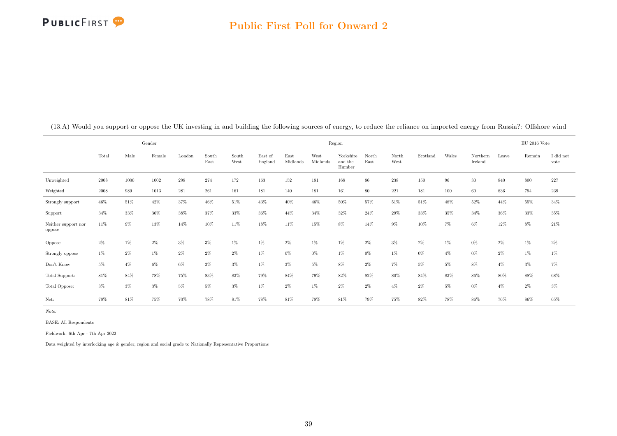

|                               |       |       | Gender |        |               |               |                    |                  |                  | Region                         |               |               |          |       |                     |       | $EU$ 2016 Vote |                   |
|-------------------------------|-------|-------|--------|--------|---------------|---------------|--------------------|------------------|------------------|--------------------------------|---------------|---------------|----------|-------|---------------------|-------|----------------|-------------------|
|                               | Total | Male  | Female | London | South<br>East | South<br>West | East of<br>England | East<br>Midlands | West<br>Midlands | Yorkshire<br>and the<br>Humber | North<br>East | North<br>West | Scotland | Wales | Northern<br>Ireland | Leave | Remain         | I did not<br>vote |
| Unweighted                    | 2008  | 1000  | 1002   | 298    | 274           | 172           | 163                | 152              | 181              | 168                            | 86            | 238           | 150      | 96    | 30                  | 840   | 800            | 227               |
| Weighted                      | 2008  | 989   | 1013   | 281    | 261           | 161           | 181                | 140              | 181              | 161                            | 80            | 221           | 181      | 100   | 60                  | 836   | 794            | 239               |
| Strongly support              | 46%   | 51%   | 42%    | 37%    | 46%           | 51%           | 43%                | 40%              | 46%              | 50%                            | 57%           | 51%           | 51%      | 48%   | 52%                 | 44%   | 55%            | 34%               |
| Support                       | 34%   | 33%   | $36\%$ | 38%    | 37%           | 33%           | 36%                | 44%              | 34%              | 32%                            | 24%           | 29%           | 33%      | 35%   | 34%                 | 36%   | 33%            | 35%               |
| Neither support nor<br>oppose | 11%   | $9\%$ | 13%    | 14%    | 10%           | 11%           | 18%                | 11%              | 15%              | 8%                             | 14%           | $9\%$         | 10%      | $7\%$ | 6%                  | 12%   | $8\%$          | 21%               |
| Oppose                        | $2\%$ | $1\%$ | $2\%$  | $3\%$  | 3%            | $1\%$         | 1%                 | $2\%$            | $1\%$            | $1\%$                          | $2\%$         | $3\%$         | $2\%$    | $1\%$ | 0%                  | $2\%$ | $1\%$          | $2\%$             |
| Strongly oppose               | 1%    | 2%    | $1\%$  | $2\%$  | $2\%$         | $2\%$         | 1%                 | $0\%$            | $0\%$            | $1\%$                          | $0\%$         | $1\%$         | $0\%$    | $4\%$ | $0\%$               | $2\%$ | $1\%$          | $1\%$             |
| Don't Know                    | $5\%$ | $4\%$ | 6%     | 6%     | $3\%$         | $3\%$         | 1%                 | $3\%$            | $5\%$            | $8\%$                          | $2\%$         | 7%            | 5%       | 5%    | 8%                  | $4\%$ | $3\%$          | $7\%$             |
| Total Support:                | 81%   | 84%   | 78%    | 75%    | 83%           | 83%           | 79%                | 84%              | 79%              | 82%                            | 82%           | 80%           | 84%      | 83%   | 86%                 | 80%   | 88%            | 68%               |
| Total Oppose:                 | $3\%$ | $3\%$ | $3\%$  | 5%     | 5%            | $3\%$         | $1\%$              | 2%               | $1\%$            | $2\%$                          | $2\%$         | $4\%$         | $2\%$    | 5%    | $0\%$               | $4\%$ | $2\%$          | $3\%$             |
| Net:                          | 78%   | 81%   | 75%    | 70%    | 78%           | 81%           | 78%                | 81%              | 78%              | 81%                            | 79%           | 75%           | 82%      | 78%   | 86%                 | 76%   | 86%            | 65%               |

(13.A) Would you support or oppose the UK investing in and building the following sources of energy, to reduce the reliance on imported energy from Russia?: Offshore wind

Note:

BASE: All Respondents

Fieldwork: 6th Apr - 7th Apr 2022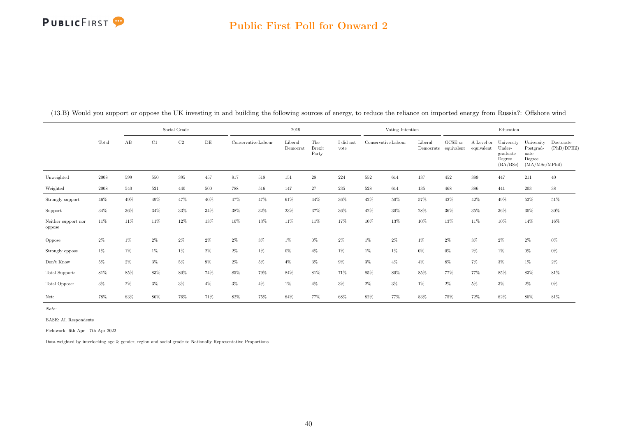### Public First Poll for Onward 2

|                               |            |       |       | Social Grade |       |       |                     | 2019                |                               |                   |       | Voting Intention                                     |                      |                       |                          | Education                                              |                                                             |                          |
|-------------------------------|------------|-------|-------|--------------|-------|-------|---------------------|---------------------|-------------------------------|-------------------|-------|------------------------------------------------------|----------------------|-----------------------|--------------------------|--------------------------------------------------------|-------------------------------------------------------------|--------------------------|
|                               | Total      | AB    | C1    | C2           | DE    |       | Conservative Labour | Liberal<br>Democrat | The<br><b>Brexit</b><br>Party | I did not<br>vote |       | $\label{eq:conservative} {\rm Conservative\,Labour}$ | Liberal<br>Democrats | GCSE or<br>equivalent | A Level or<br>equivalent | University<br>Under-<br>graduate<br>Degree<br>(BA/BSc) | University<br>Postgrad-<br>uate<br>Degree<br>(MA/MSc/MPhil) | Doctorate<br>(PhD/DPHil) |
| Unweighted                    | 2008       | 599   | 550   | 395          | 457   | 817   | 518                 | 151                 | $\sqrt{28}$                   | 224               | 552   | 614                                                  | 137                  | 452                   | 389                      | 447                                                    | 211                                                         | 40                       |
| Weighted                      | $\,2008\,$ | 540   | 521   | 440          | 500   | 788   | 516                 | 147                 | 27                            | 235               | 528   | 614                                                  | 135                  | 468                   | 386                      | 441                                                    | 203                                                         | $38\,$                   |
| Strongly support              | $46\%$     | 49%   | 49%   | 47%          | 40%   | 47%   | 47%                 | 61%                 | 44%                           | 36%               | 42%   | 50%                                                  | 57%                  | 42%                   | 42%                      | 49%                                                    | $53\%$                                                      | $51\%$                   |
| Support                       | 34%        | 36%   | 34%   | 33%          | 34%   | 38%   | 32%                 | 23%                 | 37%                           | 36%               | 42%   | $30\%$                                               | 28%                  | 36%                   | 35%                      | 36%                                                    | $30\%$                                                      | $30\%$                   |
| Neither support nor<br>oppose | 11%        | 11%   | 11%   | 12%          | 13%   | 10%   | 13%                 | $11\%$              | 11%                           | 17%               | 10%   | 13%                                                  | 10%                  | 13%                   | 11%                      | 10%                                                    | $14\%$                                                      | 16%                      |
| Oppose                        | $2\%$      | $1\%$ | $2\%$ | $2\%$        | 2%    | $2\%$ | $3\%$               | $1\%$               | $0\%$                         | 2%                | $1\%$ | 2%                                                   | $1\%$                | $2\%$                 | $3\%$                    | $2\%$                                                  | $2\%$                                                       | $0\%$                    |
| Strongly oppose               | $1\%$      | $1\%$ | 1%    | $1\%$        | $2\%$ | $2\%$ | $1\%$               | $0\%$               | $4\%$                         | 1%                | $1\%$ | 1%                                                   | 0%                   | $0\%$                 | $2\%$                    | $1\%$                                                  | $0\%$                                                       | $0\%$                    |
| Don't Know                    | $5\%$      | $2\%$ | $3\%$ | $5\%$        | $9\%$ | $2\%$ | $5\%$               | $4\%$               | $3\%$                         | $9\%$             | $3\%$ | $4\%$                                                | $4\%$                | $8\%$                 | $7\%$                    | $3\%$                                                  | $1\%$                                                       | $2\%$                    |
| Total Support:                | 81%        | 85%   | 83%   | 80%          | 74%   | 85%   | 79%                 | 84%                 | 81%                           | 71%               | 85%   | 80%                                                  | 85%                  | 77%                   | 77%                      | 85%                                                    | 83%                                                         | 81%                      |
| Total Oppose:                 | $3\%$      | $2\%$ | $3\%$ | $3\%$        | $4\%$ | $3\%$ | $4\%$               | 1%                  | $4\%$                         | $3\%$             | $2\%$ | $3\%$                                                | $1\%$                | $2\%$                 | $5\%$                    | $3\%$                                                  | $2\%$                                                       | $0\%$                    |
| Net:                          | 78%        | 83%   | 80%   | 76%          | 71%   | 82%   | 75%                 | 84%                 | 77%                           | 68%               | 82%   | 77%                                                  | 83%                  | 75%                   | 72%                      | 82%                                                    | 80%                                                         | 81%                      |

(13.B) Would you support or oppose the UK investing in and building the following sources of energy, to reduce the reliance on imported energy from Russia?: Offshore wind

Note:

BASE: All Respondents

Fieldwork: 6th Apr - 7th Apr 2022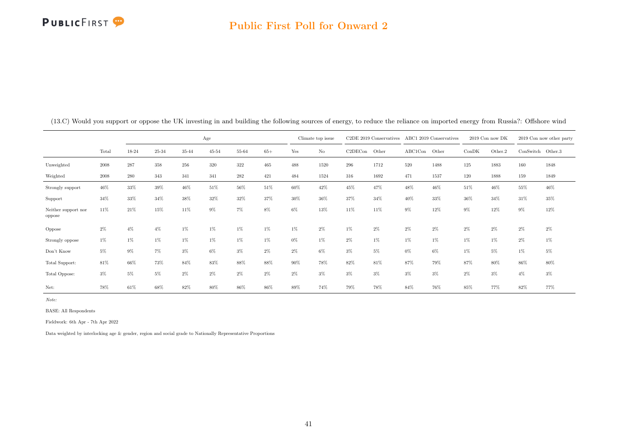### Public First Poll for Onward 2

|                               |            |           |           |       | Age       |       |       |       | Climate top issue |         | C2DE 2019 Conservatives |         | ABC1 2019 Conservatives |       | 2019 Con now DK |                   | 2019 Con now other party |
|-------------------------------|------------|-----------|-----------|-------|-----------|-------|-------|-------|-------------------|---------|-------------------------|---------|-------------------------|-------|-----------------|-------------------|--------------------------|
|                               | Total      | $18 - 24$ | $25 - 34$ | 35-44 | $45 - 54$ | 55-64 | $65+$ | Yes   | $\rm No$          | C2DECon | Other                   | ABC1Con | Other                   | ConDK | Other.2         | ConSwitch Other.3 |                          |
| Unweighted                    | 2008       | 287       | 358       | 256   | 320       | 322   | 465   | 488   | 1520              | 296     | 1712                    | 520     | 1488                    | 125   | 1883            | 160               | 1848                     |
| Weighted                      | $\,2008\,$ | 280       | 343       | 341   | 341       | 282   | 421   | 484   | 1524              | 316     | 1692                    | 471     | 1537                    | 120   | 1888            | 159               | 1849                     |
| Strongly support              | 46%        | 33%       | 39%       | 46%   | 51%       | 56%   | 51%   | 60%   | 42%               | 45%     | 47%                     | 48%     | 46%                     | 51%   | 46%             | 55%               | 46%                      |
| Support                       | 34%        | 33%       | 34%       | 38%   | 32%       | 32%   | 37%   | 30%   | 36%               | 37%     | 34%                     | 40%     | 33%                     | 36%   | 34%             | 31%               | 35%                      |
| Neither support nor<br>oppose | 11%        | 21%       | 15%       | 11%   | $9\%$     | 7%    | 8%    | $6\%$ | 13%               | 11%     | 11%                     | $9\%$   | 12%                     | 9%    | 12%             | 9%                | 12%                      |
| Oppose                        | $2\%$      | 4%        | $4\%$     | 1%    | $1\%$     | 1%    | 1%    | $1\%$ | $2\%$             | 1%      | $2\%$                   | $2\%$   | 2%                      | $2\%$ | $2\%$           | $2\%$             | $2\%$                    |
| Strongly oppose               | $1\%$      | 1%        | 1%        | $1\%$ | $1\%$     | 1%    | 1%    | $0\%$ | $1\%$             | $2\%$   | $1\%$                   | $1\%$   | $1\%$                   | 1%    | $1\%$           | $2\%$             | 1%                       |
| Don't Know                    | 5%         | 9%        | 7%        | $3\%$ | $6\%$     | $3\%$ | $2\%$ | $2\%$ | $6\%$             | 3%      | 5%                      | $0\%$   | 6%                      | 1%    | 5%              | $1\%$             | 5%                       |
| Total Support:                | 81%        | 66%       | 73%       | 84%   | 83%       | 88%   | 88%   | 90%   | 78%               | 82%     | 81%                     | 87%     | 79%                     | 87%   | 80%             | 86%               | 80%                      |
| Total Oppose:                 | $3\%$      | 5%        | 5%        | $2\%$ | $2\%$     | $2\%$ | $2\%$ | $2\%$ | $3\%$             | 3%      | $3\%$                   | $3\%$   | $3\%$                   | $2\%$ | $3\%$           | $4\%$             | 3%                       |
| Net:                          | 78%        | 61%       | 68%       | 82%   | 80%       | 86%   | 86%   | 89%   | 74%               | 79%     | 78%                     | 84%     | 76%                     | 85%   | 77%             | 82%               | 77%                      |

(13.C) Would you support or oppose the UK investing in and building the following sources of energy, to reduce the reliance on imported energy from Russia?: Offshore wind

Note:

BASE: All Respondents

Fieldwork: 6th Apr - 7th Apr 2022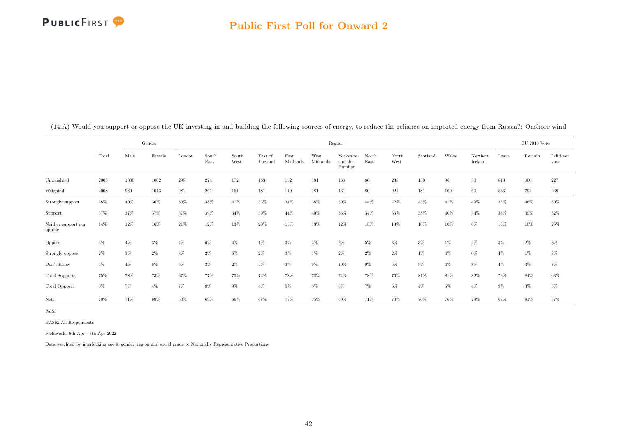

|                               |       |       | Gender |        |               |               |                    |                  |                  | Region                         |               |               |          |       |                     |       | $EU$ 2016 Vote |                   |
|-------------------------------|-------|-------|--------|--------|---------------|---------------|--------------------|------------------|------------------|--------------------------------|---------------|---------------|----------|-------|---------------------|-------|----------------|-------------------|
|                               | Total | Male  | Female | London | South<br>East | South<br>West | East of<br>England | East<br>Midlands | West<br>Midlands | Yorkshire<br>and the<br>Humber | North<br>East | North<br>West | Scotland | Wales | Northern<br>Ireland | Leave | Remain         | I did not<br>vote |
| Unweighted                    | 2008  | 1000  | 1002   | 298    | 274           | 172           | 163                | 152              | 181              | 168                            | 86            | 238           | 150      | 96    | $30\,$              | 840   | 800            | 227               |
| Weighted                      | 2008  | 989   | 1013   | 281    | 261           | 161           | 181                | 140              | 181              | 161                            | 80            | 221           | 181      | 100   | 60                  | 836   | 794            | 239               |
| Strongly support              | 38%   | 40%   | 36%    | 30%    | 38%           | 41%           | 33%                | 34%              | 38%              | 39%                            | 44%           | 42%           | 43%      | 41%   | 49%                 | 35%   | 46%            | 30%               |
| Support                       | 37%   | 37%   | 37%    | 37%    | 39%           | 34%           | 39%                | 44%              | 40%              | 35%                            | 34%           | 33%           | 38%      | 40%   | 34%                 | 38%   | 39%            | 32%               |
| Neither support nor<br>oppose | 14%   | 12%   | 16%    | 21%    | 12%           | 13%           | 20%                | 13%              | 13%              | 12%                            | 15%           | 13%           | 10%      | 10%   | 6%                  | 15%   | 10%            | 25%               |
| Oppose                        | $3\%$ | $4\%$ | $3\%$  | $4\%$  | 6%            | $4\%$         | $1\%$              | $3\%$            | $2\%$            | $2\%$                          | 5%            | $3\%$         | $3\%$    | 1%    | $4\%$               | $5\%$ | $2\%$          | $3\%$             |
| Strongly oppose               | $2\%$ | $3\%$ | $2\%$  | $3\%$  | $2\%$         | $6\%$         | $2\%$              | $3\%$            | $1\%$            | $2\%$                          | $2\%$         | 2%            | $1\%$    | $4\%$ | $0\%$               | $4\%$ | $1\%$          | $3\%$             |
| Don't Know                    | $5\%$ | $4\%$ | $6\%$  | 6%     | $3\%$         | $2\%$         | 5%                 | $3\%$            | $6\%$            | 10%                            | $0\%$         | 6%            | $5\%$    | $4\%$ | 8%                  | $4\%$ | $3\%$          | $7\%$             |
| Total Support:                | 75%   | 78%   | 73%    | 67%    | 77%           | 75%           | 72%                | 78%              | 78%              | 74%                            | 78%           | 76%           | 81%      | 81%   | 82%                 | 72%   | 84%            | 63%               |
| Total Oppose:                 | $6\%$ | $7\%$ | $4\%$  | 7%     | 8%            | $9\%$         | $4\%$              | 5%               | $3\%$            | $5\%$                          | $7\%$         | 6%            | $4\%$    | 5%    | $4\%$               | $9\%$ | $3\%$          | 5%                |
| Net:                          | 70%   | 71%   | 69%    | 60%    | 69%           | 66%           | 68%                | 73%              | 75%              | 69%                            | 71%           | 70%           | 76%      | 76%   | 79%                 | 63%   | 81%            | 57%               |

(14.A) Would you support or oppose the UK investing in and building the following sources of energy, to reduce the reliance on imported energy from Russia?: Onshore wind

Note:

BASE: All Respondents

Fieldwork: 6th Apr - 7th Apr 2022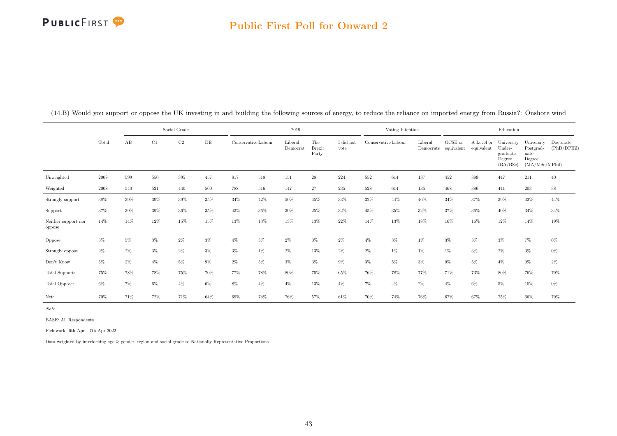### Public First Poll for Onward 2

|                               |        |       |        | Social Grade |        |       |                     | 2019                |                               |                   |                     | Voting Intention |                      |                               |                          | Education                                              |                                                             |                          |
|-------------------------------|--------|-------|--------|--------------|--------|-------|---------------------|---------------------|-------------------------------|-------------------|---------------------|------------------|----------------------|-------------------------------|--------------------------|--------------------------------------------------------|-------------------------------------------------------------|--------------------------|
|                               | Total  | AB    | C1     | C2           | DE     |       | Conservative Labour | Liberal<br>Democrat | The<br><b>Brexit</b><br>Party | I did not<br>vote | Conservative Labour |                  | Liberal<br>Democrats | ${\rm GCSE}$ or<br>equivalent | A Level or<br>equivalent | University<br>Under-<br>graduate<br>Degree<br>(BA/BSc) | University<br>Postgrad-<br>uate<br>Degree<br>(MA/MSc/MPhil) | Doctorate<br>(PhD/DPHil) |
| Unweighted                    | 2008   | 599   | 550    | 395          | 457    | 817   | 518                 | 151                 | $\sqrt{28}$                   | 224               | 552                 | 614              | 137                  | 452                           | 389                      | 447                                                    | 211                                                         | 40                       |
| Weighted                      | 2008   | 540   | 521    | 440          | 500    | 788   | 516                 | 147                 | 27                            | 235               | 528                 | 614              | 135                  | 468                           | 386                      | 441                                                    | 203                                                         | $38\,$                   |
| Strongly support              | $38\%$ | 39%   | $39\%$ | 39%          | $35\%$ | 34%   | 42%                 | 50%                 | $45\%$                        | $33\%$            | 32%                 | 44%              | 46%                  | 34%                           | 37%                      | 39%                                                    | $42\%$                                                      | $44\%$                   |
| Support                       | 37%    | 39%   | 39%    | 36%          | 35%    | 43%   | 36%                 | 30%                 | 25%                           | 32%               | 45%                 | 35%              | 32%                  | 37%                           | 36%                      | 40%                                                    | 34%                                                         | 34%                      |
| Neither support nor<br>oppose | 14%    | 14%   | 12%    | 15%          | 15%    | 13%   | 13%                 | 13%                 | 13%                           | 22%               | 14%                 | 13%              | 18%                  | 16%                           | 16%                      | 12%                                                    | 14%                                                         | $19\%$                   |
| Oppose                        | $3\%$  | $5\%$ | $3\%$  | $2\%$        | 3%     | $4\%$ | $3\%$               | $2\%$               | $0\%$                         | 2%                | $4\%$               | 3%               | $1\%$                | $3\%$                         | $3\%$                    | $3\%$                                                  | 7%                                                          | $0\%$                    |
| Strongly oppose               | $2\%$  | $2\%$ | $3\%$  | $2\%$        | $3\%$  | $3\%$ | 1%                  | $2\%$               | 13%                           | $2\%$             | $2\%$               | 1%               | $1\%$                | 1%                            | $3\%$                    | $2\%$                                                  | $3\%$                                                       | $0\%$                    |
| Don't Know                    | $5\%$  | $2\%$ | $4\%$  | $5\%$        | $9\%$  | $2\%$ | 5%                  | $3\%$               | $3\%$                         | $9\%$             | $3\%$               | 5%               | $3\%$                | $9\%$                         | 5%                       | $4\%$                                                  | $0\%$                                                       | $2\%$                    |
| Total Support:                | 75%    | 78%   | 78%    | 75%          | 70%    | 77%   | 78%                 | 80%                 | 70%                           | 65%               | 76%                 | 78%              | 77%                  | 71%                           | 73%                      | 80%                                                    | 76%                                                         | 79%                      |
| Total Oppose:                 | $6\%$  | 7%    | $6\%$  | $4\%$        | 6%     | 8%    | $4\%$               | $4\%$               | 13%                           | $4\%$             | $7\%$               | $4\%$            | $2\%$                | $4\%$                         | $6\%$                    | $5\%$                                                  | 10%                                                         | $0\%$                    |
| Net:                          | 70%    | 71%   | 72%    | 71%          | 64%    | 69%   | 74%                 | 76%                 | 57%                           | 61%               | 70%                 | 74%              | 76%                  | 67%                           | 67%                      | 75%                                                    | 66%                                                         | 79%                      |

(14.B) Would you support or oppose the UK investing in and building the following sources of energy, to reduce the reliance on imported energy from Russia?: Onshore wind

Note:

BASE: All Respondents

Fieldwork: 6th Apr - 7th Apr 2022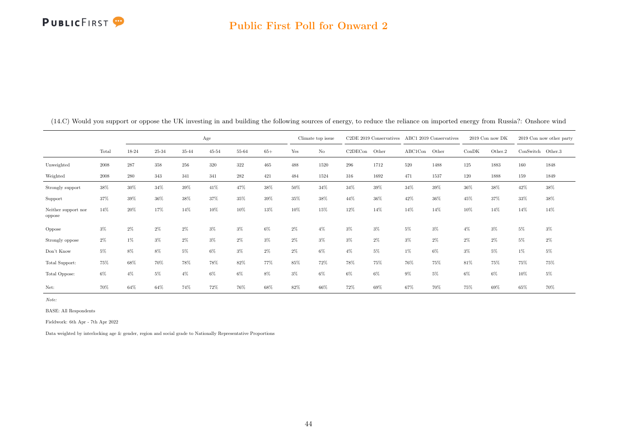### Public First Poll for Onward 2

|                               |       |       |       |       | Age       |       |       |       | Climate top issue |         | C2DE 2019 Conservatives |         | ABC1 2019 Conservatives |        | $2019$ Con now DK |                   | 2019 Con now other party |
|-------------------------------|-------|-------|-------|-------|-----------|-------|-------|-------|-------------------|---------|-------------------------|---------|-------------------------|--------|-------------------|-------------------|--------------------------|
|                               | Total | 18-24 | 25-34 | 35-44 | $45 - 54$ | 55-64 | $65+$ | Yes   | No                | C2DECon | Other                   | ABC1Con | Other                   | ConDK  | Other.2           | ConSwitch Other.3 |                          |
| Unweighted                    | 2008  | 287   | 358   | 256   | 320       | 322   | 465   | 488   | 1520              | 296     | 1712                    | 520     | 1488                    | 125    | 1883              | 160               | 1848                     |
| Weighted                      | 2008  | 280   | 343   | 341   | 341       | 282   | 421   | 484   | 1524              | 316     | 1692                    | 471     | 1537                    | 120    | 1888              | 159               | 1849                     |
| Strongly support              | 38%   | 30%   | 34%   | 39%   | 41%       | 47%   | 38%   | 50%   | 34%               | 34%     | 39%                     | 34%     | 39%                     | 36%    | 38%               | 42%               | 38%                      |
| Support                       | 37%   | 39%   | 36%   | 38%   | 37%       | 35%   | 39%   | 35%   | 38%               | 44%     | 36%                     | 42%     | 36%                     | $45\%$ | 37%               | 33%               | 38%                      |
| Neither support nor<br>oppose | 14%   | 20%   | 17%   | 14%   | 10%       | 10%   | 13%   | 10%   | 15%               | 12%     | 14%                     | 14%     | 14%                     | 10%    | 14%               | 14%               | 14%                      |
| Oppose                        | $3\%$ | $2\%$ | $2\%$ | $2\%$ | $3\%$     | $3\%$ | 6%    | $2\%$ | $4\%$             | 3%      | $3\%$                   | 5%      | $3\%$                   | $4\%$  | $3\%$             | 5%                | $3\%$                    |
| Strongly oppose               | $2\%$ | $1\%$ | $3\%$ | 2%    | $3\%$     | $2\%$ | $3\%$ | $2\%$ | $3\%$             | 3%      | $2\%$                   | 3%      | 2%                      | 2%     | $2\%$             | 5%                | $2\%$                    |
| Don't Know                    | 5%    | 8%    | $8\%$ | $5\%$ | $6\%$     | $3\%$ | $2\%$ | $2\%$ | 6%                | $4\%$   | 5%                      | $1\%$   | 6%                      | $3\%$  | $5\%$             | $1\%$             | 5%                       |
| Total Support:                | 75%   | 68%   | 70%   | 78%   | 78%       | 82%   | 77%   | 85%   | 72%               | 78%     | 75%                     | 76%     | 75%                     | 81%    | 75%               | 75%               | 75%                      |
| Total Oppose:                 | 6%    | 4%    | 5%    | $4\%$ | $6\%$     | 6%    | 8%    | $3\%$ | 6%                | 6%      | 6%                      | 9%      | 5%                      | 6%     | 6%                | 10%               | 5%                       |
| Net:                          | 70%   | 64%   | 64%   | 74%   | 72%       | 76%   | 68%   | 82%   | 66%               | 72%     | 69%                     | 67%     | 70%                     | 75%    | 69%               | 65%               | 70%                      |

(14.C) Would you support or oppose the UK investing in and building the following sources of energy, to reduce the reliance on imported energy from Russia?: Onshore wind

Note:

BASE: All Respondents

Fieldwork: 6th Apr - 7th Apr 2022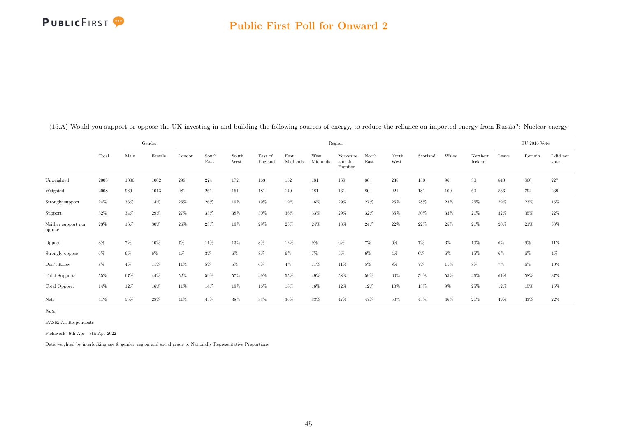

|                               |        |       | Gender |        |               |               |                    |                  |                  | Region                         |               |               |          |       |                     |        | $EU$ 2016 Vote |                   |
|-------------------------------|--------|-------|--------|--------|---------------|---------------|--------------------|------------------|------------------|--------------------------------|---------------|---------------|----------|-------|---------------------|--------|----------------|-------------------|
|                               | Total  | Male  | Female | London | South<br>East | South<br>West | East of<br>England | East<br>Midlands | West<br>Midlands | Yorkshire<br>and the<br>Humber | North<br>East | North<br>West | Scotland | Wales | Northern<br>Ireland | Leave  | Remain         | I did not<br>vote |
| Unweighted                    | 2008   | 1000  | 1002   | 298    | 274           | 172           | 163                | 152              | 181              | 168                            | 86            | 238           | 150      | 96    | $30\,$              | 840    | 800            | 227               |
| Weighted                      | 2008   | 989   | 1013   | 281    | 261           | 161           | 181                | 140              | 181              | 161                            | 80            | 221           | 181      | 100   | 60                  | 836    | 794            | 239               |
| Strongly support              | 24%    | 33%   | 14%    | 25%    | 26%           | 19%           | 19%                | 19%              | 16%              | 29%                            | 27%           | 25%           | 28%      | 23%   | 25%                 | $29\%$ | 23%            | 15%               |
| Support                       | 32%    | 34%   | 29%    | 27%    | 33%           | 38%           | 30%                | 36%              | 33%              | 29%                            | 32%           | 35%           | $30\%$   | 33%   | 21%                 | 32%    | 35%            | $22\%$            |
| Neither support nor<br>oppose | 23%    | 16%   | $30\%$ | 26%    | 23%           | 19%           | 29%                | 23%              | 24%              | 18%                            | 24%           | 22%           | 22%      | 25%   | 21%                 | 20%    | 21%            | 38%               |
| Oppose                        | $8\%$  | $7\%$ | 10%    | 7%     | 11%           | 13%           | $8\%$              | 12%              | $9\%$            | 6%                             | $7\%$         | 6%            | 7%       | $3\%$ | 10%                 | 6%     | $9\%$          | 11%               |
| Strongly oppose               | 6%     | 6%    | 6%     | $4\%$  | $3\%$         | $6\%$         | $8\%$              | $6\%$            | $7\%$            | $5\%$                          | $6\%$         | $4\%$         | $6\%$    | 6%    | 15%                 | 6%     | 6%             | $4\%$             |
| Don't Know                    | $8\%$  | $4\%$ | 11%    | 11%    | 5%            | $5\%$         | $6\%$              | $4\%$            | 11%              | 11%                            | $5\%$         | $8\%$         | $7\%$    | 11%   | $8\%$               | 7%     | 6%             | 10%               |
| Total Support:                | $55\%$ | 67%   | 44%    | 52%    | 59%           | 57%           | 49%                | 55%              | 49%              | 58%                            | 59%           | 60%           | 59%      | 55%   | 46%                 | 61%    | 58%            | 37%               |
| Total Oppose:                 | 14%    | 12%   | 16%    | 11%    | 14%           | 19%           | 16%                | 18%              | 16%              | 12%                            | 12%           | 10%           | 13%      | $9\%$ | 25%                 | 12%    | 15%            | 15%               |
| Net:                          | 41%    | 55%   | $28\%$ | 41%    | 45%           | 38%           | 33%                | 36%              | 33%              | 47%                            | 47%           | 50%           | 45%      | 46%   | 21%                 | 49%    | 43%            | $22\%$            |

(15.A) Would you support or oppose the UK investing in and building the following sources of energy, to reduce the reliance on imported energy from Russia?: Nuclear energy

Note:

BASE: All Respondents

Fieldwork: 6th Apr - 7th Apr 2022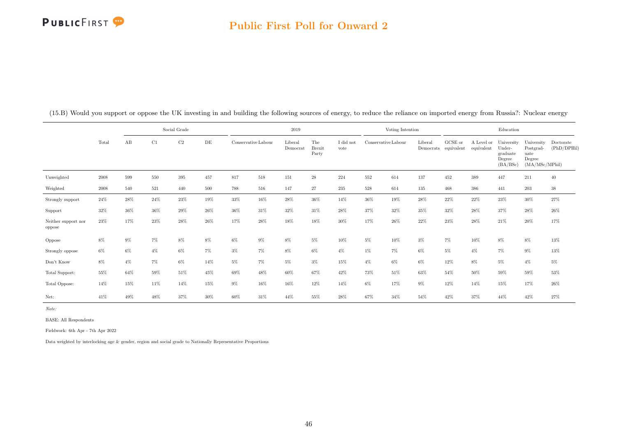### Public First Poll for Onward 2

|                               |            |       |       | Social Grade |        |       |                     | 2019                |                               |                   |                                                      | Voting Intention |                      |                       |                          | Education                                              |                                                             |                          |
|-------------------------------|------------|-------|-------|--------------|--------|-------|---------------------|---------------------|-------------------------------|-------------------|------------------------------------------------------|------------------|----------------------|-----------------------|--------------------------|--------------------------------------------------------|-------------------------------------------------------------|--------------------------|
|                               | Total      | AB    | C1    | C2           | DE     |       | Conservative Labour | Liberal<br>Democrat | The<br><b>Brexit</b><br>Party | I did not<br>vote | $\label{eq:conservative} {\rm Conservative\,Labour}$ |                  | Liberal<br>Democrats | GCSE or<br>equivalent | A Level or<br>equivalent | University<br>Under-<br>graduate<br>Degree<br>(BA/BSc) | University<br>Postgrad-<br>uate<br>Degree<br>(MA/MSc/MPhil) | Doctorate<br>(PhD/DPHil) |
| Unweighted                    | 2008       | 599   | 550   | 395          | 457    | 817   | 518                 | 151                 | $\sqrt{28}$                   | 224               | 552                                                  | 614              | 137                  | 452                   | 389                      | 447                                                    | 211                                                         | 40                       |
| Weighted                      | $\,2008\,$ | 540   | 521   | 440          | 500    | 788   | 516                 | 147                 | 27                            | 235               | 528                                                  | 614              | 135                  | 468                   | 386                      | 441                                                    | 203                                                         | $38\,$                   |
| Strongly support              | $24\%$     | 28%   | 24%   | 23%          | $19\%$ | 33%   | 16%                 | 28%                 | 36%                           | 14%               | $36\%$                                               | 19%              | $28\%$               | $22\%$                | 22%                      | $23\%$                                                 | $30\%$                                                      | $27\%$                   |
| Support                       | 32%        | 36%   | 36%   | 29%          | $26\%$ | 36%   | 31%                 | 32%                 | 31%                           | 28%               | 37%                                                  | 32%              | 35%                  | 32%                   | 28%                      | 37%                                                    | 28%                                                         | 26%                      |
| Neither support nor<br>oppose | 23%        | 17%   | 23%   | 28%          | 26%    | 17%   | 28%                 | 18%                 | 18%                           | $30\%$            | 17%                                                  | 26%              | 22%                  | 23%                   | 28%                      | 21%                                                    | $20\%$                                                      | $17\%$                   |
| Oppose                        | 8%         | $9\%$ | 7%    | 8%           | 8%     | 6%    | 9%                  | 8%                  | $5\%$                         | 10%               | 5%                                                   | 10%              | $3\%$                | 7%                    | 10%                      | 8%                                                     | $8\%$                                                       | $13\%$                   |
| Strongly oppose               | $6\%$      | $6\%$ | $4\%$ | $6\%$        | 7%     | $3\%$ | $7\%$               | $8\%$               | $6\%$                         | 4%                | $1\%$                                                | $7\%$            | 6%                   | 5%                    | $4\%$                    | $7\%$                                                  | $9\%$                                                       | $13\%$                   |
| Don't Know                    | 8%         | $4\%$ | 7%    | $6\%$        | 14%    | $5\%$ | $7\%$               | $5\%$               | $3\%$                         | 15%               | $4\%$                                                | 6%               | $6\%$                | $12\%$                | $8\%$                    | $5\%$                                                  | $4\%$                                                       | $5\%$                    |
| Total Support:                | 55%        | 64%   | 59%   | 51%          | 45%    | 69%   | 48%                 | 60%                 | 67%                           | 42%               | 73%                                                  | 51%              | 63%                  | 54%                   | 50%                      | 59%                                                    | 59%                                                         | 53%                      |
| Total Oppose:                 | 14%        | 15%   | 11%   | 14%          | 15%    | $9\%$ | 16%                 | 16%                 | 12%                           | 14%               | $6\%$                                                | 17%              | $9\%$                | 12%                   | 14%                      | 15%                                                    | 17%                                                         | $26\%$                   |
| Net:                          | 41%        | 49%   | 48%   | 37%          | 30%    | 60%   | 31%                 | 44%                 | 55%                           | 28%               | 67%                                                  | 34%              | 54%                  | 42%                   | 37%                      | 44%                                                    | 42%                                                         | 27%                      |

(15.B) Would you support or oppose the UK investing in and building the following sources of energy, to reduce the reliance on imported energy from Russia?: Nuclear energy

Note:

BASE: All Respondents

Fieldwork: 6th Apr - 7th Apr 2022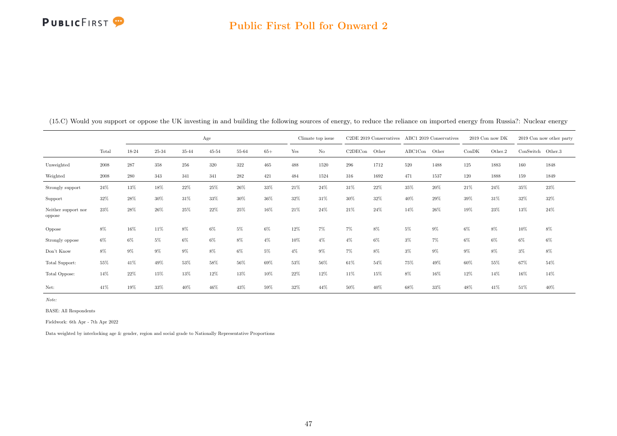|                               |       |              |       |       | Age       |       |       |       | Climate top issue |         | C2DE 2019 Conservatives |         | ABC1 2019 Conservatives |        | 2019 Con now DK |                   | 2019 Con now other party |
|-------------------------------|-------|--------------|-------|-------|-----------|-------|-------|-------|-------------------|---------|-------------------------|---------|-------------------------|--------|-----------------|-------------------|--------------------------|
|                               | Total | 18-24        | 25-34 | 35-44 | $45 - 54$ | 55-64 | $65+$ | Yes   | No                | C2DECon | Other                   | ABC1Con | Other                   | ConDK  | Other.2         | ConSwitch Other.3 |                          |
| Unweighted                    | 2008  | $\sqrt{287}$ | 358   | 256   | 320       | 322   | 465   | 488   | 1520              | 296     | 1712                    | 520     | 1488                    | 125    | 1883            | 160               | 1848                     |
| Weighted                      | 2008  | 280          | 343   | 341   | 341       | 282   | 421   | 484   | 1524              | 316     | 1692                    | 471     | 1537                    | 120    | 1888            | 159               | 1849                     |
| Strongly support              | 24%   | 13%          | 18%   | 22%   | 25%       | 26%   | 33%   | 21\%  | 24%               | 31%     | 22%                     | 35%     | 20%                     | $21\%$ | 24%             | 35%               | 23%                      |
| Support                       | 32%   | 28%          | 30%   | 31%   | 33%       | 30%   | 36%   | 32%   | 31%               | 30%     | 32%                     | 40%     | 29%                     | 39%    | 31%             | 32%               | 32%                      |
| Neither support nor<br>oppose | 23%   | 28%          | 26%   | 25%   | 22%       | 25%   | 16%   | 21\%  | 24%               | 21%     | 24%                     | 14%     | 26%                     | 19%    | 23%             | 13%               | 24%                      |
| Oppose                        | 8%    | 16%          | 11%   | 8%    | 6%        | 5%    | 6%    | 12%   | $7\%$             | 7%      | 8%                      | $5\%$   | 9%                      | 6%     | 8%              | 10%               | 8%                       |
| Strongly oppose               | $6\%$ | $6\%$        | 5%    | 6%    | 6%        | 8%    | $4\%$ | 10%   | $4\%$             | $4\%$   | 6%                      | $3\%$   | 7%                      | 6%     | 6%              | 6%                | 6%                       |
| Don't Know                    | 8%    | $9\%$        | $9\%$ | 9%    | 8%        | 6%    | 5%    | $4\%$ | $9\%$             | $7\%$   | 8%                      | $3\%$   | 9%                      | 9%     | 8%              | $3\%$             | 8%                       |
| Total Support:                | 55%   | 41%          | 49%   | 53%   | 58%       | 56%   | 69%   | 53%   | 56%               | 61%     | 54%                     | 75%     | 49%                     | 60%    | 55%             | 67%               | 54%                      |
| Total Oppose:                 | 14%   | 22%          | 15%   | 13%   | 12%       | 13%   | 10%   | 22%   | 12%               | 11%     | 15%                     | 8%      | 16%                     | 12%    | 14%             | 16%               | 14%                      |
| Net:                          | 41%   | 19%          | 33%   | 40%   | 46%       | 43%   | 59%   | 32%   | 44%               | 50%     | 40%                     | 68%     | 33%                     | 48%    | 41%             | 51%               | 40%                      |

(15.C) Would you support or oppose the UK investing in and building the following sources of energy, to reduce the reliance on imported energy from Russia?: Nuclear energy

Note:

BASE: All Respondents

Fieldwork: 6th Apr - 7th Apr 2022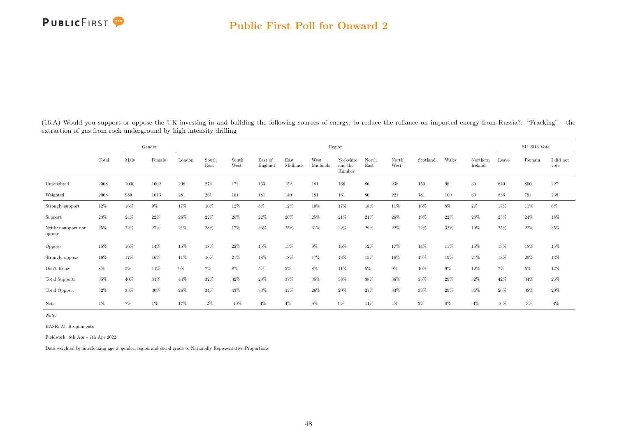|                               |        |       | Gender |        |               |               |                    |                  |                  | Region                         |               |               |          |       |                     |        | EU 2016 Vote |                   |
|-------------------------------|--------|-------|--------|--------|---------------|---------------|--------------------|------------------|------------------|--------------------------------|---------------|---------------|----------|-------|---------------------|--------|--------------|-------------------|
|                               | Total  | Male  | Female | London | South<br>East | South<br>West | East of<br>England | East<br>Midlands | West<br>Midlands | Yorkshire<br>and the<br>Humber | North<br>East | North<br>West | Scotland | Wales | Northern<br>Ireland | Leave  | Remain       | I did not<br>vote |
| Unweighted                    | 2008   | 1000  | 1002   | 298    | 274           | 172           | 163                | 152              | 181              | 168                            | 86            | 238           | 150      | 96    | 30                  | 840    | 800          | 227               |
| Weighted                      | 2008   | 989   | 1013   | 281    | 261           | 161           | 181                | 140              | 181              | 161                            | 80            | 221           | 181      | 100   | 60                  | 836    | 794          | 239               |
| Strongly support              | 12%    | 16%   | $9\%$  | 17%    | 10%           | 12%           | $8\%$              | 12%              | 10%              | 17%                            | 18%           | $11\%$        | 16%      | 8%    | $7\%$               | $17\%$ | $11\%$       | $6\%$             |
| Support                       | 23%    | 24%   | 22%    | 26%    | 22%           | 20%           | 22%                | 26%              | 25%              | 21%                            | 21%           | 26%           | 19%      | 22%   | 26%                 | 25%    | 24%          | 18%               |
| Neither support nor<br>oppose | 25%    | 22%   | 27%    | 21%    | 28%           | 17%           | 33%                | 25%              | 31%              | 22%                            | 29%           | 22%           | 22%      | 32%   | 19%                 | $25\%$ | 22%          | 35%               |
| Oppose                        | 15%    | 16%   | 14%    | 15%    | 18%           | 22%           | 15%                | 15%              | $9\%$            | 16%                            | 12%           | 17%           | 14%      | 11%   | 15%                 | 13%    | 18%          | 15%               |
| Strongly oppose               | 16%    | 17%   | 16%    | 11%    | 16%           | 21%           | 18%                | 18%              | 17%              | 13%                            | 15%           | 16%           | 19%      | 19%   | 21%                 | 13%    | 20%          | 13%               |
| Don't Know                    | $8\%$  | 5%    | 11%    | $9\%$  | $7\%$         | 8%            | $5\%$              | $5\%$            | $8\%$            | 11%                            | 5%            | 9%            | 10%      | 9%    | 12%                 | $7\%$  | $6\%$        | $12\%$            |
| Total Support:                | 35%    | 40%   | 31%    | 44%    | 32%           | 32%           | 29%                | 37%              | 35%              | 38%                            | 38%           | 36%           | 35%      | 29%   | 32%                 | 42%    | 34%          | $25\%$            |
| Total Oppose:                 | $32\%$ | 33%   | $30\%$ | 26%    | 34%           | 43%           | 33%                | $33\%$           | 26%              | 29%                            | 27%           | 33%           | 33%      | 29%   | 36%                 | 26%    | 38%          | $29\%$            |
| Net:                          | $4\%$  | $7\%$ | $1\%$  | 17%    | $-2%$         | $-10\%$       | $-4%$              | $4\%$            | $9\%$            | $9\%$                          | 11%           | $4\%$         | $2\%$    | $0\%$ | $-4%$               | 16%    | $-3%$        | $-4%$             |

(16.A) Would you support or oppose the UK investing in and building the following sources of energy, to reduce the reliance on imported energy from Russia?: "Fracking" - the extraction of gas from rock underground by high intensity drilling

Note:

BASE: All Respondents

Fieldwork: 6th Apr - 7th Apr 2022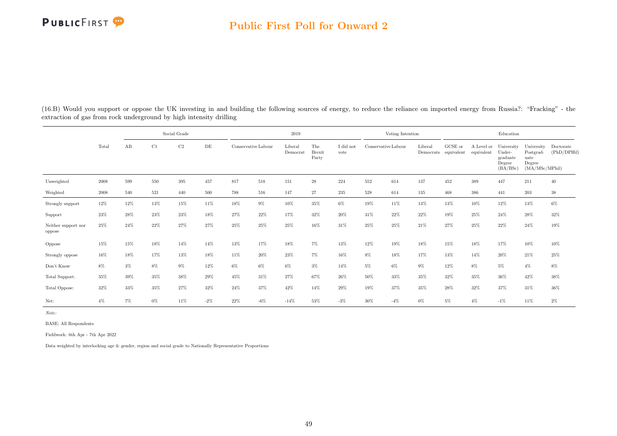### Public First Poll for Onward 2

(16.B) Would you support or oppose the UK investing in and building the following sources of energy, to reduce the reliance on imported energy from Russia?: "Fracking" - the extraction of gas from rock underground by high intensity drilling

|                               |       |     |       | Social Grade |        |                     |        | 2019                |                               |                   |                     | Voting Intention |         |                                 |                          | Education                                              |                                                             |                          |
|-------------------------------|-------|-----|-------|--------------|--------|---------------------|--------|---------------------|-------------------------------|-------------------|---------------------|------------------|---------|---------------------------------|--------------------------|--------------------------------------------------------|-------------------------------------------------------------|--------------------------|
|                               | Total | AB  | C1    | C2           | DE     | Conservative Labour |        | Liberal<br>Democrat | The<br><b>Brexit</b><br>Party | I did not<br>vote | Conservative Labour |                  | Liberal | GCSE or<br>Democrats equivalent | A Level or<br>equivalent | University<br>Under-<br>graduate<br>Degree<br>(BA/BSc) | University<br>Postgrad-<br>uate<br>Degree<br>(MA/MSc/MPhil) | Doctorate<br>(PhD/DPHil) |
| Unweighted                    | 2008  | 599 | 550   | 395          | 457    | 817                 | 518    | 151                 | $\sqrt{28}$                   | 224               | 552                 | 614              | 137     | 452                             | 389                      | 447                                                    | 211                                                         | 40                       |
| Weighted                      | 2008  | 540 | 521   | 440          | 500    | 788                 | 516    | 147                 | 27                            | 235               | 528                 | 614              | 135     | 468                             | 386                      | 441                                                    | 203                                                         | $38\,$                   |
| Strongly support              | 12%   | 12% | 13%   | 15%          | 11%    | 18%                 | $9\%$  | 10%                 | 35%                           | $6\%$             | 19%                 | 11%              | 13%     | 13%                             | 10%                      | 12%                                                    | 13%                                                         | $6\%$                    |
| Support                       | 23%   | 28% | 23%   | 23%          | 18%    | 27%                 | 22%    | 17%                 | 32%                           | 20%               | 31%                 | 22%              | 22%     | 19%                             | 25%                      | 24%                                                    | 28%                                                         | 32%                      |
| Neither support nor<br>oppose | 25%   | 24% | 22%   | 27%          | 27%    | 25%                 | 25%    | 25%                 | 16%                           | 31%               | 25%                 | 25%              | 21%     | 27%                             | 25%                      | 22%                                                    | 24%                                                         | $19\%$                   |
| Oppose                        | 15%   | 15% | 18%   | 14%          | 14%    | 13%                 | 17%    | 18%                 | 7%                            | 13%               | 12%                 | 19%              | 18%     | 15%                             | 18%                      | 17%                                                    | 10%                                                         | 10%                      |
| Strongly oppose               | 16%   | 18% | 17%   | 13%          | 18%    | 11%                 | 20%    | 23%                 | 7%                            | 16%               | $8\%$               | 18%              | 17%     | 13%                             | 14%                      | 20%                                                    | 21%                                                         | 25%                      |
| Don't Know                    | 8%    | 3%  | 8%    | $9\%$        | 12%    | $6\%$               | 6%     | $6\%$               | $3\%$                         | 14%               | $5\%$               | $6\%$            | $9\%$   | 12%                             | $8\%$                    | $5\%$                                                  | $4\%$                                                       | 8%                       |
| Total Support:                | 35%   | 39% | 35%   | 38%          | 29%    | 45%                 | 31%    | 27%                 | 67%                           | 26%               | 50%                 | 33%              | 35%     | 32%                             | 35%                      | 36%                                                    | 42%                                                         | 38%                      |
| Total Oppose:                 | 32%   | 33% | 35%   | 27%          | 32%    | 24%                 | 37%    | 42%                 | 14%                           | 29%               | 19%                 | 37%              | 35%     | 28%                             | 32%                      | 37%                                                    | 31%                                                         | 36%                      |
| Net:                          | $4\%$ | 7%  | $0\%$ | 11%          | $-2\%$ | 22%                 | $-6\%$ | $-14%$              | 53%                           | $-3\%$            | 30%                 | $-4%$            | $0\%$   | $5\%$                           | $4\%$                    | $-1\%$                                                 | 11%                                                         | $2\%$                    |

Note:

BASE: All Respondents

Fieldwork: 6th Apr - 7th Apr 2022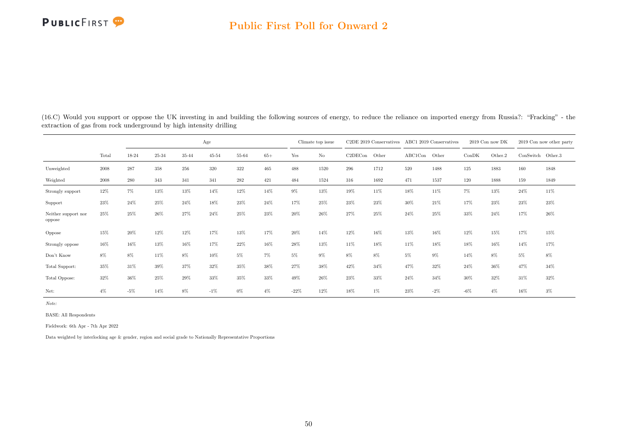### Public First Poll for Onward 2

| (16.C) Would you support or oppose the UK investing in and building the following sources of energy, to reduce the reliance on imported energy from Russia?: "Fracking" - the |  |  |
|-------------------------------------------------------------------------------------------------------------------------------------------------------------------------------|--|--|
| extraction of gas from rock underground by high intensity drilling                                                                                                            |  |  |

|                               |       |       |       |       | Age       |        |       |        | Climate top issue |         | C2DE 2019 Conservatives |         | ABC1 2019 Conservatives |       | 2019 Con now DK |                   | 2019 Con now other party |
|-------------------------------|-------|-------|-------|-------|-----------|--------|-------|--------|-------------------|---------|-------------------------|---------|-------------------------|-------|-----------------|-------------------|--------------------------|
|                               | Total | 18-24 | 25-34 | 35-44 | $45 - 54$ | 55-64  | $65+$ | Yes    | $\rm No$          | C2DECon | Other                   | ABC1Con | Other                   | ConDK | Other.2         | ConSwitch Other.3 |                          |
| Unweighted                    | 2008  | 287   | 358   | 256   | 320       | 322    | 465   | 488    | 1520              | 296     | 1712                    | 520     | 1488                    | 125   | 1883            | 160               | 1848                     |
| Weighted                      | 2008  | 280   | 343   | 341   | 341       | 282    | 421   | 484    | 1524              | 316     | 1692                    | 471     | 1537                    | 120   | 1888            | 159               | 1849                     |
| Strongly support              | 12%   | $7\%$ | 13%   | 13%   | 14%       | $12\%$ | 14%   | $9\%$  | 13%               | 19%     | 11%                     | 18%     | 11%                     | 7%    | 13%             | 24%               | 11%                      |
| Support                       | 23%   | 24%   | 25%   | 24%   | 18%       | $23\%$ | 24%   | 17%    | 25%               | 23%     | 23%                     | 30%     | 21%                     | 17%   | $23\%$          | 23%               | 23%                      |
| Neither support nor<br>oppose | 25%   | 25%   | 26%   | 27%   | 24%       | 25%    | 23%   | 20%    | 26%               | 27%     | 25%                     | 24%     | 25%                     | 33%   | 24%             | 17%               | 26%                      |
| Oppose                        | 15%   | 20%   | 12%   | 12%   | 17%       | 13%    | 17%   | 20%    | 14%               | 12%     | 16%                     | 13%     | 16%                     | 12%   | 15%             | 17%               | 15%                      |
| Strongly oppose               | 16%   | 16%   | 13%   | 16%   | 17%       | 22%    | 16%   | 28%    | 13%               | 11%     | 18%                     | 11%     | 18%                     | 18%   | 16%             | 14%               | 17%                      |
| Don't Know                    | 8%    | 8%    | 11%   | 8%    | 10%       | 5%     | 7%    | 5%     | 9%                | 8%      | 8%                      | 5%      | 9%                      | 14%   | 8%              | 5%                | 8%                       |
| Total Support:                | 35%   | 31%   | 39%   | 37%   | 32%       | 35%    | 38%   | 27%    | 38%               | 42%     | 34%                     | 47%     | 32%                     | 24%   | 36%             | 47%               | 34%                      |
| Total Oppose:                 | 32%   | 36%   | 25%   | 29%   | 33%       | 35%    | 33%   | 49%    | 26%               | 23%     | 33%                     | 24%     | 34%                     | 30%   | 32%             | 31%               | 32%                      |
| Net:                          | $4\%$ | $-5%$ | 14%   | 8%    | $-1\%$    | 0%     | $4\%$ | $-22%$ | 12%               | 18%     | 1%                      | 23%     | $-2\%$                  | $-6%$ | $4\%$           | 16%               | $3\%$                    |

Note:

BASE: All Respondents

Fieldwork: 6th Apr - 7th Apr 2022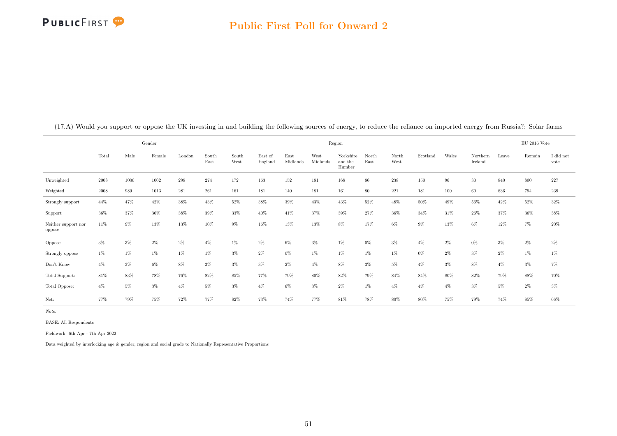

|                               |        |       | Gender |        |               |               |                    |                  |                  | Region                         |               |               |          |       |                     |       | $EU$ 2016 Vote |                   |
|-------------------------------|--------|-------|--------|--------|---------------|---------------|--------------------|------------------|------------------|--------------------------------|---------------|---------------|----------|-------|---------------------|-------|----------------|-------------------|
|                               | Total  | Male  | Female | London | South<br>East | South<br>West | East of<br>England | East<br>Midlands | West<br>Midlands | Yorkshire<br>and the<br>Humber | North<br>East | North<br>West | Scotland | Wales | Northern<br>Ireland | Leave | Remain         | I did not<br>vote |
| Unweighted                    | 2008   | 1000  | 1002   | 298    | 274           | 172           | 163                | 152              | 181              | 168                            | 86            | 238           | 150      | 96    | $30\,$              | 840   | 800            | 227               |
| Weighted                      | 2008   | 989   | 1013   | 281    | 261           | 161           | 181                | 140              | 181              | 161                            | 80            | 221           | 181      | 100   | 60                  | 836   | 794            | $239\,$           |
| Strongly support              | 44%    | 47%   | 42%    | 38%    | 43%           | 52%           | 38%                | 39%              | 43%              | 43%                            | 52%           | 48%           | 50%      | 49%   | 56%                 | 42%   | 52%            | 32%               |
| Support                       | 36%    | 37%   | $36\%$ | 38%    | 39%           | 33%           | 40%                | 41%              | 37%              | 39%                            | 27%           | $36\%$        | 34%      | 31%   | 26%                 | 37%   | 36%            | 38%               |
| Neither support nor<br>oppose | 11%    | $9\%$ | 13%    | 13%    | 10%           | $9\%$         | 16%                | 13%              | 13%              | $8\%$                          | 17%           | 6%            | $9\%$    | 13%   | 6%                  | 12%   | $7\%$          | 20%               |
| Oppose                        | $3\%$  | $3\%$ | $2\%$  | 2%     | $4\%$         | 1%            | $2\%$              | 6%               | $3\%$            | $1\%$                          | $0\%$         | $3\%$         | $4\%$    | 2%    | $0\%$               | $3\%$ | $2\%$          | $2\%$             |
| Strongly oppose               | 1%     | $1\%$ | $1\%$  | $1\%$  | $1\%$         | $3\%$         | $2\%$              | 0%               | $1\%$            | $1\%$                          | $1\%$         | 1%            | $0\%$    | $2\%$ | $3\%$               | $2\%$ | $1\%$          | $1\%$             |
| Don't Know                    | $4\%$  | $3\%$ | 6%     | 8%     | $3\%$         | $3\%$         | $3\%$              | $2\%$            | $4\%$            | $8\%$                          | $3\%$         | 5%            | 4%       | $3\%$ | 8%                  | $4\%$ | $3\%$          | $7\%$             |
| Total Support:                | $81\%$ | 83%   | 78%    | 76%    | 82%           | 85%           | 77%                | 79%              | 80%              | 82%                            | 79%           | 84%           | 84%      | 80%   | 82%                 | 79%   | 88%            | 70%               |
| Total Oppose:                 | $4\%$  | $5\%$ | $3\%$  | $4\%$  | 5%            | $3\%$         | $4\%$              | 6%               | $3\%$            | $2\%$                          | $1\%$         | $4\%$         | $4\%$    | $4\%$ | $3\%$               | $5\%$ | $2\%$          | $3\%$             |
| Net:                          | 77%    | 79%   | 75%    | 72%    | 77%           | 82%           | 73%                | 74%              | 77%              | 81%                            | 78%           | 80%           | 80%      | 75%   | 79%                 | 74%   | 85%            | 66%               |

(17.A) Would you support or oppose the UK investing in and building the following sources of energy, to reduce the reliance on imported energy from Russia?: Solar farms

Note:

BASE: All Respondents

Fieldwork: 6th Apr - 7th Apr 2022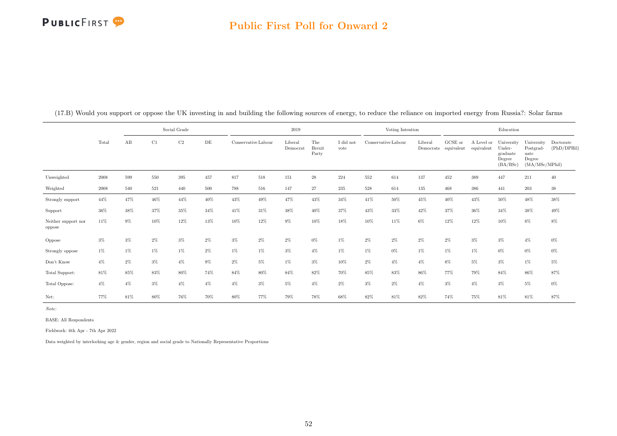### Public First Poll for Onward 2

|                               |            |       |       | Social Grade |       |                     |       | 2019                |                               |                   |                     | Voting Intention |         |                                 |                          | Education                                              |                                                             |                          |
|-------------------------------|------------|-------|-------|--------------|-------|---------------------|-------|---------------------|-------------------------------|-------------------|---------------------|------------------|---------|---------------------------------|--------------------------|--------------------------------------------------------|-------------------------------------------------------------|--------------------------|
|                               | Total      | AB    | C1    | $\rm{C2}$    | DE    | Conservative Labour |       | Liberal<br>Democrat | The<br><b>Brexit</b><br>Party | I did not<br>vote | Conservative Labour |                  | Liberal | GCSE or<br>Democrats equivalent | A Level or<br>equivalent | University<br>Under-<br>graduate<br>Degree<br>(BA/BSc) | University<br>Postgrad-<br>uate<br>Degree<br>(MA/MSc/MPhil) | Doctorate<br>(PhD/DPHil) |
| Unweighted                    | 2008       | 599   | 550   | 395          | 457   | 817                 | 518   | 151                 | $\sqrt{28}$                   | 224               | 552                 | 614              | 137     | 452                             | 389                      | 447                                                    | 211                                                         | 40                       |
| Weighted                      | $\,2008\,$ | 540   | 521   | 440          | 500   | 788                 | 516   | 147                 | 27                            | 235               | 528                 | 614              | 135     | 468                             | 386                      | 441                                                    | 203                                                         | $38\,$                   |
| Strongly support              | 44%        | 47%   | 46%   | 44%          | 40%   | $43\%$              | 49%   | $47\%$              | 43%                           | $34\%$            | $41\%$              | 50%              | 45%     | 40%                             | 43%                      | $50\%$                                                 | $48\%$                                                      | $38\%$                   |
| Support                       | 36%        | 38%   | 37%   | 35%          | 34%   | 41%                 | 31%   | 38%                 | 40%                           | 37%               | 43%                 | 33%              | 42%     | 37%                             | 36%                      | 34%                                                    | 38%                                                         | 49%                      |
| Neither support nor<br>oppose | 11%        | $9\%$ | 10%   | 12%          | 13%   | 10%                 | 12%   | $9\%$               | 10%                           | 18%               | 10%                 | 11%              | $6\%$   | 12%                             | 12%                      | 10%                                                    | 8%                                                          | $8\%$                    |
| Oppose                        | $3\%$      | $3\%$ | $2\%$ | $3\%$        | 2%    | $3\%$               | 2%    | $2\%$               | $0\%$                         | 1%                | $2\%$               | 2%               | $2\%$   | 2%                              | $3\%$                    | $3\%$                                                  | $4\%$                                                       | $0\%$                    |
| Strongly oppose               | $1\%$      | $1\%$ | 1%    | $1\%$        | $2\%$ | 1%                  | $1\%$ | $3\%$               | $4\%$                         | $1\%$             | $1\%$               | $0\%$            | $1\%$   | 1%                              | $1\%$                    | $0\%$                                                  | $0\%$                                                       | $0\%$                    |
| Don't Know                    | $4\%$      | $2\%$ | 3%    | $4\%$        | $9\%$ | $2\%$               | $5\%$ | $1\%$               | $3\%$                         | 10%               | $2\%$               | $4\%$            | $4\%$   | 8%                              | $5\%$                    | $3\%$                                                  | $1\%$                                                       | $5\%$                    |
| Total Support:                | $81\%$     | 85%   | 83%   | 80%          | 74%   | 84%                 | 80%   | 84%                 | 82%                           | 70%               | 85%                 | 83%              | 86%     | 77%                             | 79%                      | 84%                                                    | 86%                                                         | 87%                      |
| Total Oppose:                 | $4\%$      | $4\%$ | $3\%$ | $4\%$        | $4\%$ | $4\%$               | $3\%$ | 5%                  | $4\%$                         | $2\%$             | $3\%$               | $2\%$            | $4\%$   | $3\%$                           | $4\%$                    | $3\%$                                                  | $5\%$                                                       | $0\%$                    |
| Net:                          | 77%        | 81%   | 80%   | 76%          | 70%   | 80%                 | 77%   | 79%                 | 78%                           | 68%               | 82%                 | 81%              | 82%     | 74%                             | 75%                      | 81%                                                    | 81%                                                         | 87%                      |

(17.B) Would you support or oppose the UK investing in and building the following sources of energy, to reduce the reliance on imported energy from Russia?: Solar farms

Note:

BASE: All Respondents

Fieldwork: 6th Apr - 7th Apr 2022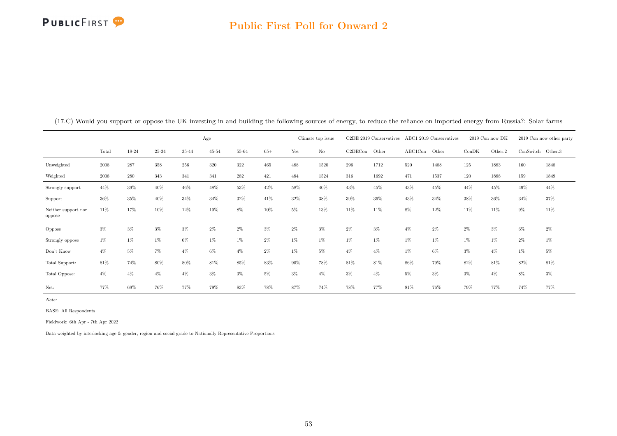# **PUBLICFIRST**

### Public First Poll for Onward 2

|                               |       |       |       |       | Age       |       |       |       | Climate top issue |         | C <sub>2</sub> DE 2019 Conservatives |         | ABC1 2019 Conservatives | 2019 Con now DK |         |                   | 2019 Con now other party |
|-------------------------------|-------|-------|-------|-------|-----------|-------|-------|-------|-------------------|---------|--------------------------------------|---------|-------------------------|-----------------|---------|-------------------|--------------------------|
|                               | Total | 18-24 | 25-34 | 35-44 | $45 - 54$ | 55-64 | $65+$ | Yes   | No                | C2DECon | Other                                | ABC1Con | Other                   | ConDK           | Other.2 | ConSwitch Other.3 |                          |
| Unweighted                    | 2008  | 287   | 358   | 256   | 320       | 322   | 465   | 488   | 1520              | 296     | 1712                                 | 520     | 1488                    | 125             | 1883    | 160               | 1848                     |
| Weighted                      | 2008  | 280   | 343   | 341   | 341       | 282   | 421   | 484   | 1524              | 316     | 1692                                 | 471     | 1537                    | 120             | 1888    | 159               | 1849                     |
| Strongly support              | 44%   | 39%   | 40%   | 46%   | 48%       | 53%   | 42%   | 58%   | 40%               | 43%     | 45%                                  | 43%     | 45%                     | 44%             | 45%     | 49%               | 44%                      |
| Support                       | 36%   | 35%   | 40%   | 34%   | 34%       | 32%   | 41%   | 32%   | 38%               | 39%     | 36%                                  | 43%     | 34%                     | 38%             | 36%     | 34%               | 37%                      |
| Neither support nor<br>oppose | 11%   | 17%   | 10%   | 12%   | $10\%$    | 8%    | 10%   | 5%    | 13%               | 11%     | 11%                                  | 8%      | 12%                     | 11%             | 11%     | 9%                | 11%                      |
| Oppose                        | $3\%$ | 3%    | $3\%$ | $3\%$ | $2\%$     | 2%    | $3\%$ | $2\%$ | 3%                | $2\%$   | $3\%$                                | $4\%$   | $2\%$                   | $2\%$           | $3\%$   | $6\%$             | $2\%$                    |
| Strongly oppose               | $1\%$ | 1%    | $1\%$ | $0\%$ | $1\%$     | $1\%$ | $2\%$ | $1\%$ | $1\%$             | 1%      | 1%                                   | $1\%$   | 1%                      | 1%              | $1\%$   | $2\%$             | 1%                       |
| Don't Know                    | $4\%$ | 5%    | 7%    | $4\%$ | 6%        | $4\%$ | $2\%$ | $1\%$ | 5%                | $4\%$   | $4\%$                                | 1%      | 6%                      | $3\%$           | $4\%$   | $1\%$             | 5%                       |
| Total Support:                | 81%   | 74%   | 80%   | 80%   | 81%       | 85%   | 83%   | 90%   | 78%               | 81%     | 81%                                  | 86%     | 79%                     | 82%             | 81%     | 82%               | 81%                      |
| Total Oppose:                 | $4\%$ | $4\%$ | $4\%$ | $4\%$ | $3\%$     | $3\%$ | 5%    | $3\%$ | 4%                | 3%      | $4\%$                                | 5%      | $3\%$                   | $3\%$           | $4\%$   | 8%                | $3\%$                    |
| Net:                          | 77%   | 69%   | 76%   | 77%   | 79%       | 83%   | 78%   | 87%   | 74%               | 78%     | 77%                                  | 81%     | 76%                     | 79%             | 77%     | 74%               | 77%                      |

(17.C) Would you support or oppose the UK investing in and building the following sources of energy, to reduce the reliance on imported energy from Russia?: Solar farms

Note:

BASE: All Respondents

Fieldwork: 6th Apr - 7th Apr 2022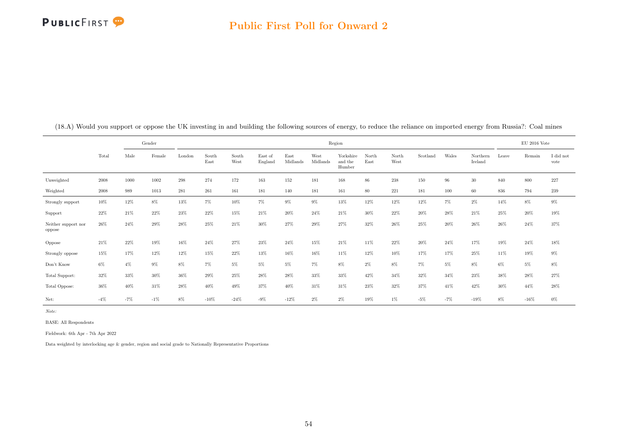

|                               |        |       | Gender |        |               |               |                    |                  |                  | Region                         |               |               |          |       |                     |       | $EU$ 2016 Vote |                   |
|-------------------------------|--------|-------|--------|--------|---------------|---------------|--------------------|------------------|------------------|--------------------------------|---------------|---------------|----------|-------|---------------------|-------|----------------|-------------------|
|                               | Total  | Male  | Female | London | South<br>East | South<br>West | East of<br>England | East<br>Midlands | West<br>Midlands | Yorkshire<br>and the<br>Humber | North<br>East | North<br>West | Scotland | Wales | Northern<br>Ireland | Leave | Remain         | I did not<br>vote |
| Unweighted                    | 2008   | 1000  | 1002   | 298    | 274           | 172           | 163                | 152              | 181              | 168                            | 86            | 238           | 150      | 96    | 30                  | 840   | 800            | 227               |
| Weighted                      | 2008   | 989   | 1013   | 281    | 261           | 161           | 181                | 140              | 181              | 161                            | 80            | 221           | 181      | 100   | 60                  | 836   | 794            | 239               |
| Strongly support              | 10%    | 12%   | 8%     | 13%    | 7%            | 10%           | $7\%$              | $9\%$            | $9\%$            | 13%                            | 12%           | 12%           | 12%      | $7\%$ | $2\%$               | 14%   | $8\%$          | $9\%$             |
| Support                       | 22%    | 21%   | 22\%   | 23%    | 22%           | 15%           | 21%                | 20%              | 24%              | 21%                            | $30\%$        | 22%           | 20%      | 28%   | 21%                 | 25%   | 20%            | 19%               |
| Neither support nor<br>oppose | 26%    | 24%   | 29%    | $28\%$ | 25%           | 21%           | 30%                | 27%              | 29%              | 27%                            | 32%           | 26%           | 25%      | 20%   | 26%                 | 26%   | 24%            | 37%               |
| Oppose                        | $21\%$ | 22%   | 19%    | 16%    | 24%           | 27%           | 23%                | 24%              | 15%              | 21%                            | 11%           | 22%           | 20%      | 24%   | 17%                 | 19%   | 24%            | $18\%$            |
| Strongly oppose               | 15%    | 17%   | 12%    | 12%    | 15%           | 22%           | 13%                | 16%              | 16%              | 11%                            | 12%           | 10%           | 17%      | 17%   | 25%                 | 11\%  | 19%            | $9\%$             |
| Don't Know                    | $6\%$  | $4\%$ | $9\%$  | 8%     | 7%            | 5%            | 5%                 | 5%               | $7\%$            | $8\%$                          | $2\%$         | $8\%$         | $7\%$    | 5%    | 8%                  | $6\%$ | $5\%$          | $8\%$             |
| Total Support:                | $32\%$ | 33%   | 30%    | 36%    | 29%           | 25%           | 28%                | 28%              | $33\%$           | 33%                            | 42%           | $34\%$        | 32%      | 34%   | 23%                 | 38%   | 28%            | 27%               |
| Total Oppose:                 | 36%    | 40%   | 31%    | 28%    | 40%           | 49%           | 37%                | 40%              | 31%              | 31%                            | 23%           | 32%           | 37%      | 41%   | 42%                 | 30%   | 44%            | 28%               |
| Net:                          | $-4%$  | $-7%$ | $-1\%$ | 8%     | $-10%$        | $-24%$        | $-9%$              | $-12%$           | $2\%$            | $2\%$                          | 19%           | $1\%$         | $-5%$    | $-7%$ | $-19%$              | 8%    | $-16%$         | $0\%$             |

(18.A) Would you support or oppose the UK investing in and building the following sources of energy, to reduce the reliance on imported energy from Russia?: Coal mines

Note:

BASE: All Respondents

Fieldwork: 6th Apr - 7th Apr 2022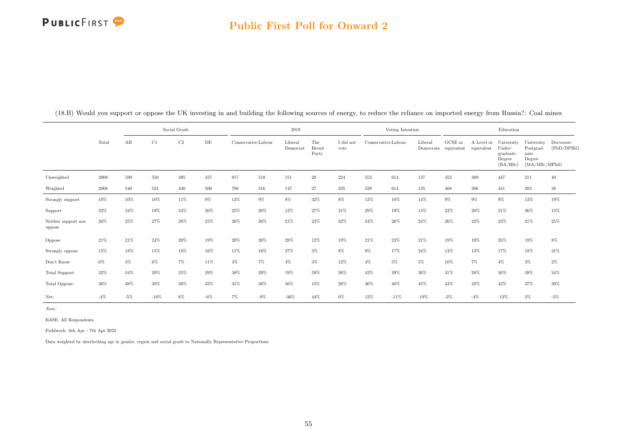### Public First Poll for Onward 2

|                               |        |       |        | Social Grade |        |       |                     | 2019                |                               |                   |        | Voting Intention    |                      |                               |                          | Education                                              |                                                             |                          |
|-------------------------------|--------|-------|--------|--------------|--------|-------|---------------------|---------------------|-------------------------------|-------------------|--------|---------------------|----------------------|-------------------------------|--------------------------|--------------------------------------------------------|-------------------------------------------------------------|--------------------------|
|                               | Total  | AB    | C1     | C2           | DE     |       | Conservative Labour | Liberal<br>Democrat | The<br><b>Brexit</b><br>Party | I did not<br>vote |        | Conservative Labour | Liberal<br>Democrats | ${\rm GCSE}$ or<br>equivalent | A Level or<br>equivalent | University<br>Under-<br>graduate<br>Degree<br>(BA/BSc) | University<br>Postgrad-<br>uate<br>Degree<br>(MA/MSc/MPhil) | Doctorate<br>(PhD/DPHil) |
| Unweighted                    | 2008   | 599   | 550    | 395          | 457    | 817   | 518                 | 151                 | $\sqrt{28}$                   | 224               | 552    | 614                 | 137                  | 452                           | 389                      | 447                                                    | 211                                                         | 40                       |
| Weighted                      | 2008   | 540   | 521    | 440          | 500    | 788   | 516                 | 147                 | 27                            | 235               | 528    | 614                 | 135                  | 468                           | 386                      | 441                                                    | 203                                                         | $38\,$                   |
| Strongly support              | $10\%$ | 10%   | 10%    | 11%          | $9\%$  | 13%   | $9\%$               | $8\%$               | $32\%$                        | $8\%$             | 13%    | 10%                 | 14%                  | $9\%$                         | $9\%$                    | $9\%$                                                  | $13\%$                                                      | $19\%$                   |
| Support                       | 22%    | 24%   | 19%    | 24%          | 20%    | 25%   | 20%                 | 12%                 | 27%                           | 21%               | $29\%$ | 19%                 | 13%                  | 22%                           | 20%                      | 21%                                                    | 26%                                                         | 15%                      |
| Neither support nor<br>oppose | 26%    | 25%   | 27%    | 28%          | 25%    | 26%   | 26%                 | 21%                 | 23%                           | 32%               | 24%    | 26%                 | 24%                  | 26%                           | 32%                      | 23%                                                    | 21%                                                         | $25\%$                   |
| Oppose                        | 21%    | 21%   | 24%    | 20%          | 19%    | 20%   | 20%                 | 28%                 | 12%                           | 19%               | 21\%   | 23%                 | 21%                  | 19%                           | 19%                      | 25%                                                    | 19%                                                         | $8\%$                    |
| Strongly oppose               | $15\%$ | 18%   | 15%    | 10%          | 16%    | 11%   | 18%                 | 27%                 | $3\%$                         | $8\%$             | $9\%$  | 17%                 | 24%                  | 13%                           | 13%                      | 17%                                                    | 18%                                                         | 31%                      |
| Don't Know                    | 6%     | $3\%$ | $6\%$  | $7\%$        | 11%    | $4\%$ | $7\%$               | $4\%$               | $3\%$                         | 12%               | $4\%$  | 5%                  | 5%                   | 10%                           | 7%                       | $4\%$                                                  | $3\%$                                                       | $2\%$                    |
| Total Support:                | 32%    | 34%   | 29%    | 35%          | 29%    | 38%   | 29%                 | 19%                 | 59%                           | 28%               | 42%    | 29%                 | 26%                  | 31%                           | 28%                      | $30\%$                                                 | 39%                                                         | 34%                      |
| Total Oppose:                 | 36%    | 38%   | 39%    | 30%          | 35%    | 31%   | 38%                 | 56%                 | 15%                           | 28%               | 30%    | 40%                 | 45%                  | 33%                           | 32%                      | 42%                                                    | 37%                                                         | 39%                      |
| Net:                          | $-4%$  | $-5%$ | $-10%$ | $6\%$        | $-6\%$ | 7%    | $-9%$               | $-36%$              | 44%                           | $0\%$             | 12%    | $-11%$              | $-19%$               | $-2\%$                        | $-4%$                    | $-12%$                                                 | $2\%$                                                       | $-5%$                    |

(18.B) Would you support or oppose the UK investing in and building the following sources of energy, to reduce the reliance on imported energy from Russia?: Coal mines

Note:

BASE: All Respondents

Fieldwork: 6th Apr - 7th Apr 2022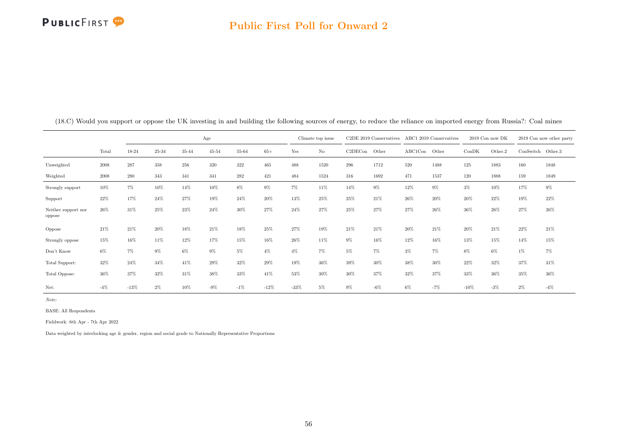# **PUBLICFIRST**

### Public First Poll for Onward 2

|                               |       |        |       |       | Age       |        |        |         | Climate top issue |         | C2DE 2019 Conservatives |         | ABC1 2019 Conservatives | $2019$ Con now DK |         |                   | 2019 Con now other party |
|-------------------------------|-------|--------|-------|-------|-----------|--------|--------|---------|-------------------|---------|-------------------------|---------|-------------------------|-------------------|---------|-------------------|--------------------------|
|                               | Total | 18-24  | 25-34 | 35-44 | $45 - 54$ | 55-64  | $65+$  | Yes     | $\rm No$          | C2DECon | Other                   | ABC1Con | Other                   | ConDK             | Other.2 | ConSwitch Other.3 |                          |
| Unweighted                    | 2008  | 287    | 358   | 256   | 320       | 322    | 465    | 488     | 1520              | 296     | 1712                    | 520     | 1488                    | 125               | 1883    | 160               | 1848                     |
| Weighted                      | 2008  | 280    | 343   | 341   | 341       | 282    | 421    | 484     | 1524              | 316     | 1692                    | 471     | 1537                    | 120               | 1888    | 159               | 1849                     |
| Strongly support              | 10%   | 7%     | 10%   | 14%   | 10%       | 8%     | $9\%$  | $7\%$   | 11%               | 14%     | 9%                      | 12%     | 9%                      | $3\%$             | 10%     | 17%               | 9%                       |
| Support                       | 22%   | 17%    | 24%   | 27%   | 19%       | 24%    | 20%    | 13%     | 25%               | 25%     | 21%                     | 26%     | 20%                     | 20%               | 22%     | 19%               | 22%                      |
| Neither support nor<br>oppose | 26%   | 31%    | 25%   | 23%   | 24%       | 30%    | 27%    | 24%     | 27%               | 25%     | 27%                     | 27%     | 26%                     | 36%               | 26%     | 27%               | 26%                      |
| Oppose                        | 21%   | 21%    | 20%   | 18%   | 21%       | 18%    | 25%    | 27%     | 19%               | 21%     | 21%                     | 20%     | 21%                     | 20%               | 21\%    | 22%               | 21\%                     |
| Strongly oppose               | 15%   | 16%    | 11%   | 12%   | 17%       | 15%    | 16%    | 26%     | 11%               | $9\%$   | 16%                     | 12%     | 16%                     | 13%               | 15%     | 14%               | 15%                      |
| Don't Know                    | 6%    | 7%     | $9\%$ | 6%    | $9\%$     | $5\%$  | $4\%$  | $4\%$   | $7\%$             | $5\%$   | $7\%$                   | $3\%$   | 7%                      | 8%                | $6\%$   | $1\%$             | 7%                       |
| Total Support:                | 32%   | 24%    | 34%   | 41%   | 29%       | 32%    | 29%    | 19%     | 36%               | 39%     | 30%                     | 38%     | 30%                     | 22%               | 32%     | 37%               | 31%                      |
| Total Oppose:                 | 36%   | 37%    | 32%   | 31%   | 38%       | 33%    | 41%    | 53%     | 30%               | 30%     | 37%                     | 32%     | 37%                     | 33%               | 36%     | 35%               | 36%                      |
| Net:                          | $-4%$ | $-13%$ | $2\%$ | 10%   | $-9%$     | $-1\%$ | $-12%$ | $-33\%$ | 5%                | $9\%$   | $-6%$                   | 6%      | $-7%$                   | $-10%$            | $-3%$   | $2\%$             | $-4%$                    |

(18.C) Would you support or oppose the UK investing in and building the following sources of energy, to reduce the reliance on imported energy from Russia?: Coal mines

Note:

BASE: All Respondents

Fieldwork: 6th Apr - 7th Apr 2022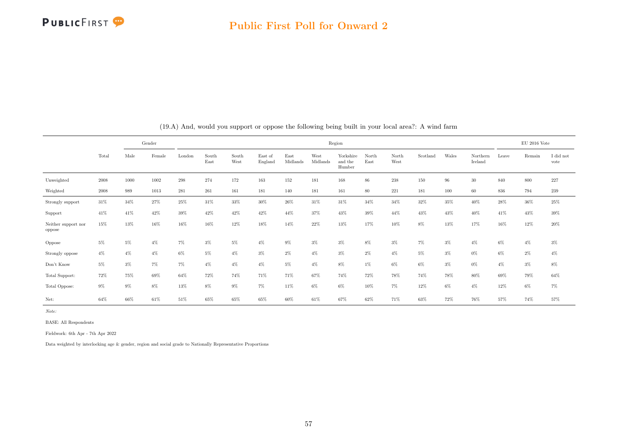

|                               |        |       | Gender |        |               |               |                    |                  |                  | Region                         |               |               |          |        |                     |        | EU 2016 Vote |                   |
|-------------------------------|--------|-------|--------|--------|---------------|---------------|--------------------|------------------|------------------|--------------------------------|---------------|---------------|----------|--------|---------------------|--------|--------------|-------------------|
|                               | Total  | Male  | Female | London | South<br>East | South<br>West | East of<br>England | East<br>Midlands | West<br>Midlands | Yorkshire<br>and the<br>Humber | North<br>East | North<br>West | Scotland | Wales  | Northern<br>Ireland | Leave  | Remain       | I did not<br>vote |
| Unweighted                    | 2008   | 1000  | 1002   | 298    | 274           | 172           | 163                | 152              | 181              | 168                            | 86            | $238\,$       | 150      | $96\,$ | $30\,$              | 840    | 800          | $227\,$           |
| Weighted                      | 2008   | 989   | 1013   | 281    | 261           | 161           | 181                | 140              | 181              | 161                            | 80            | 221           | 181      | 100    | 60                  | 836    | 794          | 239               |
| Strongly support              | $31\%$ | 34%   | 27%    | 25%    | 31\%          | 33%           | 30%                | $26\%$           | 31%              | 31%                            | 34%           | 34%           | 32%      | 35%    | 40%                 | $28\%$ | 36%          | $25\%$            |
| Support                       | 41%    | 41%   | 42%    | 39%    | 42%           | 42%           | 42%                | 44%              | 37%              | 43%                            | 39%           | 44%           | 43%      | 43%    | 40%                 | 41%    | 43%          | 39%               |
| Neither support nor<br>oppose | 15%    | 13%   | 16%    | 16%    | 16%           | 12%           | 18%                | 14%              | $22\%$           | 13%                            | 17%           | 10%           | 8%       | 13%    | 17%                 | 16%    | 12%          | 20%               |
| Oppose                        | $5\%$  | $5\%$ | $4\%$  | 7%     | $3\%$         | 5%            | 4%                 | $9\%$            | $3\%$            | $3\%$                          | 8%            | $3\%$         | $7\%$    | $3\%$  | $4\%$               | 6%     | $4\%$        | $3\%$             |
| Strongly oppose               | $4\%$  | $4\%$ | $4\%$  | $6\%$  | $5\%$         | $4\%$         | $3\%$              | $2\%$            | $4\%$            | $3\%$                          | 2%            | $4\%$         | $5\%$    | $3\%$  | $0\%$               | 6%     | $2\%$        | $4\%$             |
| Don't Know                    | $5\%$  | $3\%$ | 7%     | 7%     | $4\%$         | $4\%$         | $4\%$              | $5\%$            | $4\%$            | 8%                             | $1\%$         | 6%            | $6\%$    | $3\%$  | 0%                  | $4\%$  | $3\%$        | 8%                |
| Total Support:                | 72%    | 75%   | 69%    | 64%    | 72%           | 74%           | 71%                | 71%              | 67%              | 74%                            | 72%           | 78%           | 74%      | 78%    | 80%                 | 69%    | 79%          | 64%               |
| Total Oppose:                 | $9\%$  | $9\%$ | $8\%$  | 13%    | $8\%$         | $9\%$         | $7\%$              | 11%              | $6\%$            | $6\%$                          | 10%           | 7%            | 12%      | $6\%$  | $4\%$               | 12%    | 6%           | 7%                |
| Net:                          | 64%    | 66%   | 61%    | 51%    | 65%           | 65%           | 65%                | 60%              | 61%              | 67%                            | 62%           | 71%           | 63%      | 72%    | 76%                 | 57%    | 74%          | 57%               |

(19.A) And, would you support or oppose the following being built in your local area?: A wind farm

Note:

BASE: All Respondents

Fieldwork: 6th Apr - 7th Apr 2022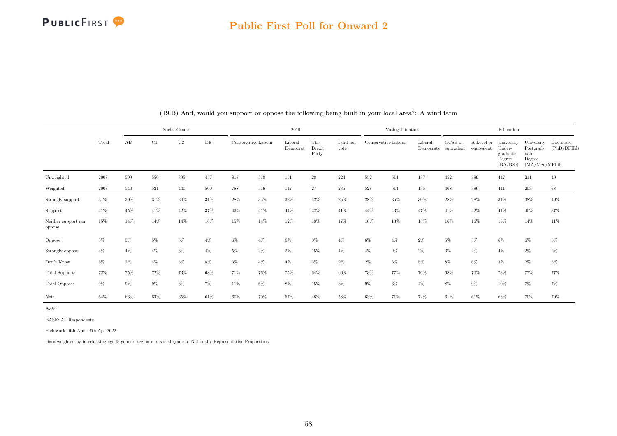

#### Public First Poll for Onward 2

|                               |       |        |       | Social Grade |           |       |                     | 2019                |                               |                   |       | Voting Intention    |         |                                 |                          | Education                                              |                                                             |                          |
|-------------------------------|-------|--------|-------|--------------|-----------|-------|---------------------|---------------------|-------------------------------|-------------------|-------|---------------------|---------|---------------------------------|--------------------------|--------------------------------------------------------|-------------------------------------------------------------|--------------------------|
|                               | Total | AB     | C1    | C2           | $\rm{DE}$ |       | Conservative Labour | Liberal<br>Democrat | The<br><b>Brexit</b><br>Party | I did not<br>vote |       | Conservative Labour | Liberal | GCSE or<br>Democrats equivalent | A Level or<br>equivalent | University<br>Under-<br>graduate<br>Degree<br>(BA/BSc) | University<br>Postgrad-<br>uate<br>Degree<br>(MA/MSc/MPhil) | Doctorate<br>(PhD/DPHil) |
| Unweighted                    | 2008  | 599    | 550   | 395          | 457       | 817   | 518                 | 151                 | $\sqrt{28}$                   | 224               | 552   | 614                 | 137     | 452                             | 389                      | 447                                                    | 211                                                         | 40                       |
| Weighted                      | 2008  | 540    | 521   | 440          | 500       | 788   | 516                 | 147                 | 27                            | 235               | 528   | 614                 | 135     | 468                             | 386                      | 441                                                    | 203                                                         | $38\,$                   |
| Strongly support              | 31%   | $30\%$ | 31%   | 30%          | 31%       | 28%   | $35\%$              | 32%                 | 42%                           | 25%               | 28%   | 35%                 | 30%     | 28%                             | 28%                      | 31%                                                    | $38\%$                                                      | $40\%$                   |
| Support                       | 41%   | 45%    | 41%   | 42%          | 37%       | 43%   | 41%                 | 44%                 | 22%                           | 41%               | 44%   | 43%                 | 47%     | 41%                             | 42%                      | 41%                                                    | 40%                                                         | 37%                      |
| Neither support nor<br>oppose | 15%   | 14%    | 14%   | 14%          | 16%       | 15%   | 14%                 | 12%                 | 18%                           | 17%               | 16%   | 13%                 | 15%     | 16%                             | 16%                      | 15%                                                    | 14%                                                         | 11%                      |
| Oppose                        | 5%    | $5\%$  | 5%    | $5\%$        | $4\%$     | $6\%$ | $4\%$               | 6%                  | $0\%$                         | $4\%$             | $6\%$ | $4\%$               | $2\%$   | 5%                              | 5%                       | 6%                                                     | 6%                                                          | $5\%$                    |
| Strongly oppose               | $4\%$ | $4\%$  | $4\%$ | $3\%$        | $4\%$     | $5\%$ | 2%                  | 2%                  | 15%                           | $4\%$             | $4\%$ | $2\%$               | $2\%$   | $3\%$                           | $4\%$                    | $4\%$                                                  | $2\%$                                                       | $2\%$                    |
| Don't Know                    | $5\%$ | $2\%$  | $4\%$ | $5\%$        | 8%        | $3\%$ | $4\%$               | $4\%$               | $3\%$                         | $9\%$             | $2\%$ | $3\%$               | 5%      | $8\%$                           | 6%                       | $3\%$                                                  | $2\%$                                                       | $5\%$                    |
| Total Support:                | 72%   | 75%    | 72%   | 73%          | 68%       | 71%   | 76%                 | 75%                 | 64%                           | 66%               | 73%   | 77%                 | 76%     | 68%                             | 70%                      | 73%                                                    | 77%                                                         | 77%                      |
| Total Oppose:                 | $9\%$ | $9\%$  | 9%    | 8%           | $7\%$     | 11%   | 6%                  | $8\%$               | 15%                           | $8\%$             | $9\%$ | 6%                  | $4\%$   | $8\%$                           | $9\%$                    | 10%                                                    | $7\%$                                                       | $7\%$                    |
| Net:                          | 64%   | 66%    | 63%   | 65%          | 61%       | 60%   | 70%                 | 67%                 | 48%                           | 58%               | 63%   | 71%                 | 72%     | 61%                             | 61%                      | 63%                                                    | 70%                                                         | 70%                      |

(19.B) And, would you support or oppose the following being built in your local area?: A wind farm

Note:

BASE: All Respondents

Fieldwork: 6th Apr - 7th Apr 2022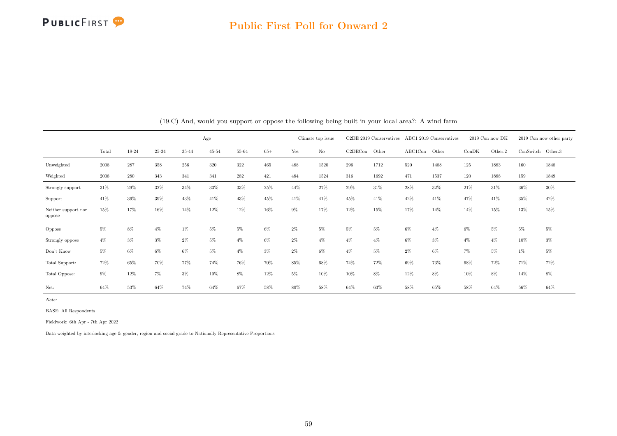

#### Public First Poll for Onward 2

|                               |       |       | Age   |       |           |        |        |       | Climate top issue |         | $C2DE$ 2019 Conservatives |         | ABC1 2019 Conservatives |       | 2019 Con now DK |                   | 2019 Con now other party |
|-------------------------------|-------|-------|-------|-------|-----------|--------|--------|-------|-------------------|---------|---------------------------|---------|-------------------------|-------|-----------------|-------------------|--------------------------|
|                               | Total | 18-24 | 25-34 | 35-44 | $45 - 54$ | 55-64  | $65+$  | Yes   | No                | C2DECon | Other                     | ABC1Con | Other                   | ConDK | Other.2         | ConSwitch Other.3 |                          |
| Unweighted                    | 2008  | 287   | 358   | 256   | $320\,$   | 322    | 465    | 488   | 1520              | 296     | 1712                      | 520     | 1488                    | 125   | 1883            | 160               | 1848                     |
| Weighted                      | 2008  | 280   | 343   | 341   | 341       | 282    | 421    | 484   | 1524              | 316     | 1692                      | 471     | 1537                    | 120   | 1888            | 159               | 1849                     |
| Strongly support              | 31%   | 29%   | 32%   | 34%   | 33%       | 33%    | 25%    | 44%   | 27%               | 29%     | 31%                       | 28%     | 32%                     | 21%   | 31\%            | 36%               | 30%                      |
| Support                       | 41%   | 36%   | 39%   | 43%   | 41%       | 43%    | 45%    | 41%   | 41%               | 45%     | 41%                       | 42%     | 41%                     | 47%   | 41%             | 35%               | 42%                      |
| Neither support nor<br>oppose | 15%   | 17%   | 16%   | 14%   | 12%       | 12%    | 16%    | $9\%$ | 17%               | 12%     | 15%                       | 17%     | 14%                     | 14%   | 15%             | 13%               | 15%                      |
| Oppose                        | 5%    | 8%    | $4\%$ | $1\%$ | 5%        | 5%     | 6%     | $2\%$ | $5\%$             | $5\%$   | $5\%$                     | 6%      | $4\%$                   | $6\%$ | 5%              | $5\%$             | 5%                       |
| Strongly oppose               | $4\%$ | $3\%$ | $3\%$ | $2\%$ | 5%        | $4\%$  | 6%     | $2\%$ | $4\%$             | $4\%$   | $4\%$                     | $6\%$   | $3\%$                   | $4\%$ | $4\%$           | 10%               | $3\%$                    |
| Don't Know                    | 5%    | $6\%$ | 6%    | 6%    | 5%        | $4\%$  | $3\%$  | $2\%$ | $6\%$             | $4\%$   | 5%                        | $2\%$   | 6%                      | $7\%$ | 5%              | $1\%$             | 5%                       |
| Total Support:                | 72%   | 65%   | 70%   | 77%   | 74%       | 76%    | 70%    | 85%   | 68%               | 74%     | 72%                       | 69%     | 73%                     | 68%   | 72%             | 71%               | 72%                      |
| Total Oppose:                 | 9%    | 12%   | 7%    | $3\%$ | 10%       | $8\%$  | 12%    | $5\%$ | 10%               | 10%     | 8%                        | 12%     | 8%                      | 10%   | 8%              | 14%               | 8%                       |
| Net:                          | 64%   | 53%   | 64%   | 74%   | 64%       | $67\%$ | $58\%$ | 80%   | 58%               | 64%     | 63%                       | 58%     | 65%                     | 58%   | 64%             | 56%               | 64%                      |

(19.C) And, would you support or oppose the following being built in your local area?: A wind farm

Note:

BASE: All Respondents

Fieldwork: 6th Apr - 7th Apr 2022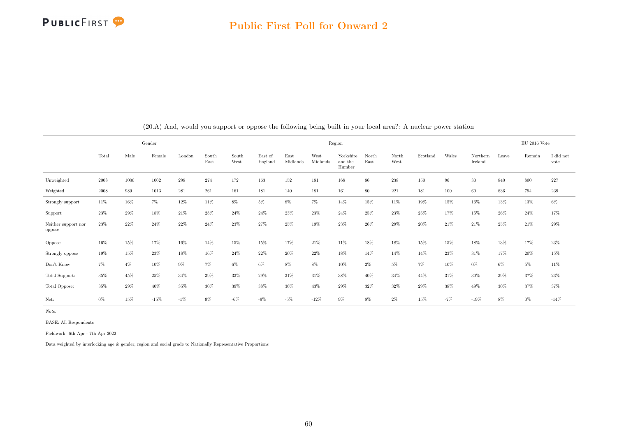

|                               |       |        | Gender |         |               |               |                    |                  |                  | Region                         |               |               |          |        |                     |       | EU 2016 Vote |                   |
|-------------------------------|-------|--------|--------|---------|---------------|---------------|--------------------|------------------|------------------|--------------------------------|---------------|---------------|----------|--------|---------------------|-------|--------------|-------------------|
|                               | Total | Male   | Female | London  | South<br>East | South<br>West | East of<br>England | East<br>Midlands | West<br>Midlands | Yorkshire<br>and the<br>Humber | North<br>East | North<br>West | Scotland | Wales  | Northern<br>Ireland | Leave | Remain       | I did not<br>vote |
| Unweighted                    | 2008  | 1000   | 1002   | $\,298$ | 274           | 172           | 163                | 152              | 181              | 168                            | $86\,$        | $238\,$       | 150      | 96     | $30\,$              | 840   | 800          | $227\,$           |
| Weighted                      | 2008  | 989    | 1013   | 281     | 261           | 161           | 181                | 140              | 181              | 161                            | 80            | 221           | 181      | 100    | 60                  | 836   | 794          | 239               |
| Strongly support              | 11%   | 16%    | 7%     | 12%     | 11%           | 8%            | 5%                 | 8%               | $7\%$            | 14%                            | 15%           | 11%           | 19%      | 15%    | 16%                 | 13%   | 13%          | $6\%$             |
| Support                       | 23%   | $29\%$ | 18%    | 21%     | 28%           | 24%           | 24%                | 23%              | 23%              | 24%                            | 25%           | 23%           | 25%      | 17%    | 15%                 | 26%   | 24%          | 17%               |
| Neither support nor<br>oppose | 23%   | 22%    | 24%    | 22%     | 24%           | $23\%$        | 27%                | 25%              | 19%              | 23%                            | 26%           | 29%           | 20%      | $21\%$ | 21%                 | 25%   | 21%          | 29%               |
| Oppose                        | 16%   | 15%    | 17%    | 16%     | 14%           | 15%           | 15%                | 17%              | 21%              | 11%                            | 18%           | 18%           | 15%      | 15%    | 18%                 | 13%   | 17%          | $23\%$            |
| Strongly oppose               | 19%   | 15%    | 23%    | 18%     | 16%           | 24%           | 22%                | $20\%$           | 22%              | 18%                            | 14%           | 14%           | 14%      | 23%    | 31%                 | 17%   | 20%          | 15%               |
| Don't Know                    | $7\%$ | $4\%$  | 10%    | 9%      | $7\%$         | 6%            | $6\%$              | $8\%$            | $8\%$            | 10%                            | $2\%$         | $5\%$         | $7\%$    | 10%    | $0\%$               | $6\%$ | $5\%$        | $11\%$            |
| Total Support:                | 35%   | 45%    | 25%    | 34%     | 39%           | 33%           | 29%                | 31%              | 31%              | 38%                            | 40%           | 34%           | 44%      | 31%    | 30%                 | 39%   | 37%          | 23%               |
| Total Oppose:                 | 35%   | $29\%$ | 40%    | 35%     | 30%           | 39%           | 38%                | 36%              | 43%              | 29%                            | 32%           | 32%           | 29%      | 38%    | 49%                 | 30%   | 37%          | 37%               |
| Net:                          | $0\%$ | 15%    | $-15%$ | $-1\%$  | $9\%$         | $-6\%$        | $-9%$              | $-5%$            | $-12%$           | $9\%$                          | $8\%$         | 2%            | 15%      | $-7%$  | $-19%$              | 8%    | $0\%$        | $-14%$            |

(20.A) And, would you support or oppose the following being built in your local area?: A nuclear power station

Note:

BASE: All Respondents

Fieldwork: 6th Apr - 7th Apr 2022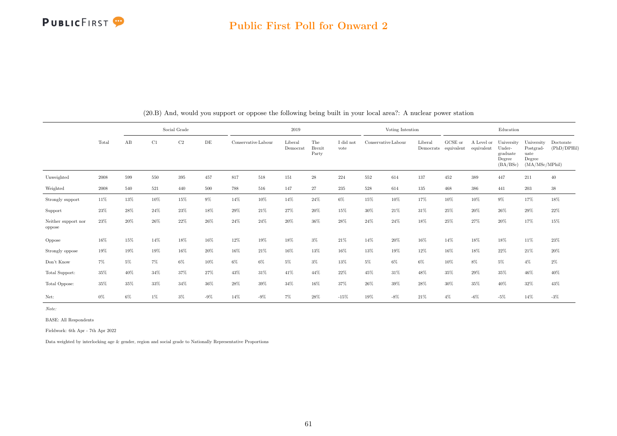

#### Public First Poll for Onward 2

|                               |       |        |       | Social Grade |           |       |                     | 2019                |                               |                   |        | Voting Intention    |         |                                 |            | Education                                                         |                                                             |                          |
|-------------------------------|-------|--------|-------|--------------|-----------|-------|---------------------|---------------------|-------------------------------|-------------------|--------|---------------------|---------|---------------------------------|------------|-------------------------------------------------------------------|-------------------------------------------------------------|--------------------------|
|                               | Total | AB     | C1    | C2           | $\rm{DE}$ |       | Conservative Labour | Liberal<br>Democrat | The<br><b>Brexit</b><br>Party | I did not<br>vote |        | Conservative Labour | Liberal | GCSE or<br>Democrats equivalent | equivalent | A Level or University<br>Under-<br>graduate<br>Degree<br>(BA/BSc) | University<br>Postgrad-<br>uate<br>Degree<br>(MA/MSc/MPhil) | Doctorate<br>(PhD/DPHil) |
| Unweighted                    | 2008  | 599    | 550   | 395          | 457       | 817   | 518                 | 151                 | $\sqrt{28}$                   | 224               | 552    | 614                 | 137     | 452                             | 389        | 447                                                               | 211                                                         | 40                       |
| Weighted                      | 2008  | 540    | 521   | 440          | 500       | 788   | 516                 | 147                 | 27                            | 235               | 528    | 614                 | 135     | 468                             | 386        | 441                                                               | 203                                                         | 38                       |
| Strongly support              | 11%   | 13%    | 10%   | 15%          | 9%        | 14%   | 10%                 | 14%                 | 24%                           | $6\%$             | 15%    | 10%                 | 17%     | 10%                             | 10%        | $9\%$                                                             | 17%                                                         | $18\%$                   |
| Support                       | 23%   | 28%    | 24%   | 23%          | 18%       | 29%   | 21\%                | 27%                 | 20%                           | 15%               | $30\%$ | 21\%                | 31%     | 25%                             | 20%        | 26%                                                               | 29%                                                         | 22%                      |
| Neither support nor<br>oppose | 23%   | $20\%$ | 26%   | 22%          | 26%       | 24%   | 24%                 | 20%                 | 36%                           | 28%               | 24%    | 24%                 | 18%     | 25%                             | 27%        | 20%                                                               | 17%                                                         | 15%                      |
| Oppose                        | 16%   | 15%    | 14%   | 18%          | 16%       | 12%   | 19%                 | 18%                 | $3\%$                         | 21%               | 14%    | 20%                 | 16%     | 14%                             | 18%        | 18%                                                               | 11%                                                         | 23%                      |
| Strongly oppose               | 19%   | 19%    | 19%   | 16%          | 20%       | 16%   | 21%                 | 16%                 | 13%                           | 16%               | 13%    | 19%                 | 12%     | 16%                             | 18%        | 22%                                                               | 21%                                                         | $20\%$                   |
| Don't Know                    | $7\%$ | $5\%$  | 7%    | $6\%$        | 10%       | $6\%$ | 6%                  | $5\%$               | $3\%$                         | 13%               | 5%     | $6\%$               | 6%      | $10\%$                          | $8\%$      | $5\%$                                                             | $4\%$                                                       | $2\%$                    |
| Total Support:                | 35%   | 40%    | 34%   | 37%          | 27%       | 43%   | 31%                 | 41\%                | 44%                           | 22%               | 45%    | 31%                 | 48%     | 35%                             | 29%        | 35%                                                               | 46%                                                         | 40%                      |
| Total Oppose:                 | 35%   | $35\%$ | 33%   | 34%          | 36%       | 28%   | $39\%$              | $34\%$              | 16%                           | 37%               | 26%    | 39%                 | 28%     | 30%                             | 35%        | 40%                                                               | 32%                                                         | $43\%$                   |
| Net:                          | $0\%$ | $6\%$  | $1\%$ | $3\%$        | $-9\%$    | 14%   | $-9\%$              | $7\%$               | 28%                           | $-15%$            | 19%    | $-8\%$              | 21%     | $4\%$                           | $-6\%$     | $-5%$                                                             | 14%                                                         | $-3\%$                   |

(20.B) And, would you support or oppose the following being built in your local area?: A nuclear power station

Note:

BASE: All Respondents

Fieldwork: 6th Apr - 7th Apr 2022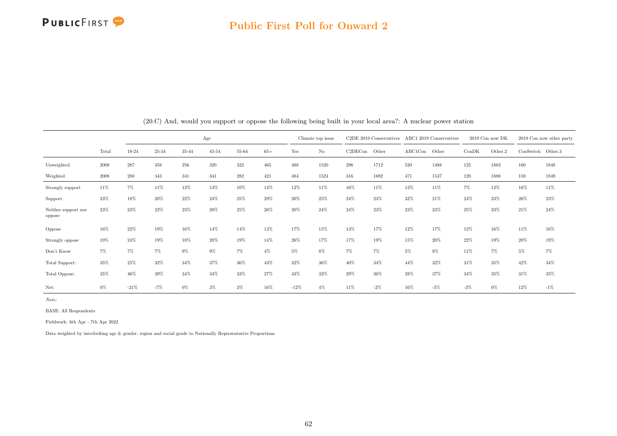

|                               |       |        |       |       | Age       |       |       |        | Climate top issue |         | $C2DE$ 2019 Conservatives |         | ABC1 2019 Conservatives |       | 2019 Con now DK |                     | 2019 Con now other party |
|-------------------------------|-------|--------|-------|-------|-----------|-------|-------|--------|-------------------|---------|---------------------------|---------|-------------------------|-------|-----------------|---------------------|--------------------------|
|                               | Total | 18-24  | 25-34 | 35-44 | $45 - 54$ | 55-64 | $65+$ | Yes    | No                | C2DECon | Other                     | ABC1Con | Other                   | ConDK | Other.2         | $ConSwitch$ Other.3 |                          |
| Unweighted                    | 2008  | 287    | 358   | 256   | 320       | 322   | 465   | 488    | 1520              | 296     | 1712                      | 520     | 1488                    | 125   | 1883            | 160                 | 1848                     |
| Weighted                      | 2008  | 280    | 343   | 341   | 341       | 282   | 421   | 484    | 1524              | 316     | 1692                      | 471     | 1537                    | 120   | 1888            | 159                 | 1849                     |
| Strongly support              | 11%   | $7\%$  | 11%   | 12%   | 13%       | 10%   | 14%   | 12%    | 11%               | 16%     | 11%                       | 13%     | 11%                     | $7\%$ | $12\%$          | 16%                 | 11%                      |
| Support                       | 23%   | 18%    | 20%   | 22%   | 24%       | 25%   | 29%   | 20%    | 25%               | 24%     | 23%                       | 32%     | 21%                     | 24%   | 23%             | $26\%$              | 23%                      |
| Neither support nor<br>oppose | 23%   | 23%    | 22%   | 23%   | 20%       | 25%   | 26%   | 20%    | 24%               | 24%     | 23%                       | 23%     | 23%                     | 25%   | 23%             | 21%                 | 24%                      |
| Oppose                        | 16%   | 22%    | 19%   | 16%   | 14%       | 14%   | 13%   | 17%    | 15%               | 13%     | 17%                       | 12%     | 17%                     | 12%   | 16%             | 11%                 | 16%                      |
| Strongly oppose               | 19%   | 24%    | 19%   | 18%   | 20%       | 19%   | 14%   | $26\%$ | 17%               | 17%     | 19%                       | 15%     | 20%                     | 22%   | 19%             | 20%                 | 19%                      |
| Don't Know                    | 7%    | $7\%$  | 7%    | $9\%$ | $9\%$     | 7%    | $4\%$ | 5%     | 8%                | $7\%$   | $7\%$                     | $5\%$   | 8%                      | 11%   | 7%              | 5%                  | $7\%$                    |
| Total Support:                | 35%   | 25%    | 32%   | 34%   | 37%       | 36%   | 43%   | 32%    | 36%               | 40%     | 34%                       | 44%     | 32%                     | 31%   | 35%             | 42%                 | 34%                      |
| Total Oppose:                 | 35%   | 46%    | 39%   | 34%   | 34%       | 33%   | 27%   | 43%    | 32%               | 29%     | 36%                       | 28%     | 37%                     | 34%   | 35%             | 31%                 | 35%                      |
| Net:                          | $0\%$ | $-21%$ | $-7%$ | $0\%$ | $3\%$     | $3\%$ | 16%   | $-12%$ | $4\%$             | 11%     | $-2\%$                    | 16%     | $-5%$                   | $-3%$ | 0%              | 12%                 | $-1\%$                   |

(20.C) And, would you support or oppose the following being built in your local area?: A nuclear power station

Note:

BASE: All Respondents

Fieldwork: 6th Apr - 7th Apr 2022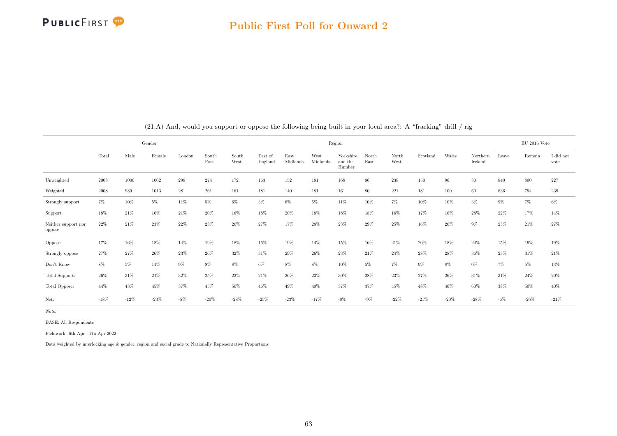

|                               |        |        | Gender |        |               |               |                    |                  |                  | Region                         |               |               |          |        |                     |       | EU 2016 Vote |                   |
|-------------------------------|--------|--------|--------|--------|---------------|---------------|--------------------|------------------|------------------|--------------------------------|---------------|---------------|----------|--------|---------------------|-------|--------------|-------------------|
|                               | Total  | Male   | Female | London | South<br>East | South<br>West | East of<br>England | East<br>Midlands | West<br>Midlands | Yorkshire<br>and the<br>Humber | North<br>East | North<br>West | Scotland | Wales  | Northern<br>Ireland | Leave | Remain       | I did not<br>vote |
| Unweighted                    | 2008   | 1000   | 1002   | 298    | 274           | 172           | 163                | 152              | 181              | 168                            | $86\,$        | $238\,$       | 150      | 96     | 30                  | 840   | 800          | 227               |
| Weighted                      | 2008   | 989    | 1013   | 281    | 261           | 161           | 181                | 140              | 181              | 161                            | 80            | 221           | 181      | 100    | 60                  | 836   | 794          | 239               |
| Strongly support              | $7\%$  | 10%    | 5%     | 11%    | $5\%$         | 6%            | $3\%$              | 6%               | 5%               | 11%                            | 10%           | 7%            | 10%      | 10%    | $3\%$               | 9%    | $7\%$        | $6\%$             |
| Support                       | 18%    | 21%    | 16%    | 21%    | 20%           | 16%           | 18%                | 20%              | 18%              | 18%                            | 18%           | 16%           | 17%      | 16%    | 28%                 | 22%   | 17%          | 14%               |
| Neither support nor<br>oppose | 22%    | 21%    | 23%    | 22%    | 23%           | 20%           | 27%                | 17%              | 28%              | 23%                            | 29%           | 25%           | 16%      | 20%    | $9\%$               | 23%   | 21%          | 27%               |
| Oppose                        | 17%    | 16%    | 18%    | 14%    | 19%           | 18%           | 16%                | 19%              | 14%              | 15%                            | 16%           | 21%           | 20%      | 18%    | 24%                 | 15%   | 19%          | 19%               |
| Strongly oppose               | $27\%$ | 27%    | 26%    | 23%    | 26%           | 32%           | 31%                | 29%              | 26%              | 23%                            | 21%           | 24%           | 28%      | 28%    | 36%                 | 23%   | 31%          | $21\%$            |
| Don't Know                    | 8%     | $5\%$  | 11%    | 9%     | $8\%$         | 8%            | 6%                 | 8%               | $8\%$            | 10%                            | $5\%$         | 7%            | $9\%$    | $8\%$  | $0\%$               | 7%    | $5\%$        | 13%               |
| Total Support:                | $26\%$ | 31%    | 21%    | 32%    | 25%           | 22%           | 21%                | 26%              | 23%              | 30%                            | 28%           | 23%           | 27%      | 26%    | 31%                 | 31%   | 24%          | $20\%$            |
| Total Oppose:                 | 44%    | 43%    | 45%    | 37%    | 45%           | 50%           | 46%                | 49%              | 40%              | 37%                            | 37%           | 45%           | 48%      | 46%    | 60%                 | 38%   | 50%          | 40%               |
| Net:                          | $-18%$ | $-12%$ | $-23%$ | $-5%$  | $-20%$        | $-28%$        | $-25%$             | $-23%$           | $-17%$           | $-8\%$                         | $-9\%$        | $-22%$        | $-21%$   | $-20%$ | $-28%$              | $-6%$ | $-26%$       | $-21%$            |

(21.A) And, would you support or oppose the following being built in your local area?: A "fracking" drill / rig

Note:

BASE: All Respondents

Fieldwork: 6th Apr - 7th Apr 2022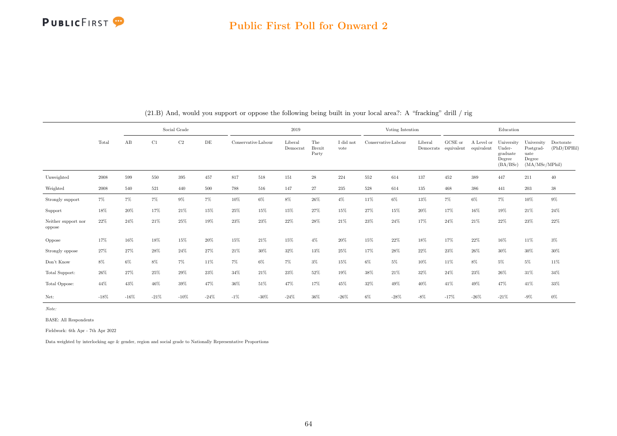

#### Public First Poll for Onward 2

|                               |            |         |        | Social Grade |        |        |                     | 2019                |                               |                   |                     | Voting Intention |         |                                 |                          | Education                                              |                                                             |                          |
|-------------------------------|------------|---------|--------|--------------|--------|--------|---------------------|---------------------|-------------------------------|-------------------|---------------------|------------------|---------|---------------------------------|--------------------------|--------------------------------------------------------|-------------------------------------------------------------|--------------------------|
|                               | Total      | AB      | C1     | $\rm C2$     | DE     |        | Conservative Labour | Liberal<br>Democrat | The<br><b>Brexit</b><br>Party | I did not<br>vote | Conservative Labour |                  | Liberal | GCSE or<br>Democrats equivalent | A Level or<br>equivalent | University<br>Under-<br>graduate<br>Degree<br>(BA/BSc) | University<br>Postgrad-<br>uate<br>Degree<br>(MA/MSc/MPhil) | Doctorate<br>(PhD/DPHil) |
| Unweighted                    | 2008       | 599     | 550    | 395          | 457    | 817    | 518                 | 151                 | 28                            | 224               | 552                 | 614              | 137     | 452                             | 389                      | 447                                                    | 211                                                         | 40                       |
| Weighted                      | $\,2008\,$ | 540     | 521    | 440          | 500    | 788    | 516                 | 147                 | 27                            | 235               | 528                 | 614              | 135     | 468                             | 386                      | 441                                                    | 203                                                         | $38\,$                   |
| Strongly support              | $7\%$      | 7%      | 7%     | $9\%$        | 7%     | 10%    | $6\%$               | $8\%$               | 26%                           | $4\%$             | 11%                 | 6%               | 13%     | 7%                              | 6%                       | 7%                                                     | 10%                                                         | $9\%$                    |
| Support                       | 18%        | 20%     | 17%    | 21%          | 15%    | 25%    | 15%                 | 15%                 | 27%                           | 15%               | 27%                 | 15%              | 20%     | 17%                             | 16%                      | 19%                                                    | 21\%                                                        | 24%                      |
| Neither support nor<br>oppose | 22%        | 24%     | 21%    | 25%          | 19%    | 23%    | 23%                 | 22%                 | 28%                           | 21%               | 23%                 | 24%              | 17%     | 24%                             | 21%                      | 22%                                                    | 23%                                                         | 22%                      |
| Oppose                        | 17%        | 16%     | 18%    | 15%          | 20%    | 15%    | 21\%                | 15%                 | $4\%$                         | 20%               | 15%                 | 22%              | 18%     | 17%                             | 22%                      | 16%                                                    | 11%                                                         | $3\%$                    |
| Strongly oppose               | 27%        | 27%     | 28%    | 24%          | 27%    | 21%    | 30%                 | 32%                 | 13%                           | 25%               | 17%                 | 28%              | 22%     | $23\%$                          | 26%                      | $30\%$                                                 | 30%                                                         | $30\%$                   |
| Don't Know                    | 8%         | $6\%$   | 8%     | $7\%$        | 11%    | $7\%$  | $6\%$               | $7\%$               | $3\%$                         | 15%               | 6%                  | 5%               | 10%     | 11%                             | 8%                       | $5\%$                                                  | $5\%$                                                       | 11%                      |
| Total Support:                | 26%        | 27%     | 25%    | 29%          | 23%    | 34%    | 21\%                | 23%                 | 52%                           | 19%               | 38%                 | 21\%             | 32%     | 24%                             | 23%                      | 26%                                                    | 31%                                                         | 34%                      |
| Total Oppose:                 | 44%        | 43%     | 46%    | 39%          | 47%    | 36%    | 51%                 | 47%                 | 17%                           | 45%               | 32%                 | 49%              | 40%     | 41%                             | 49%                      | 47%                                                    | 41%                                                         | $33\%$                   |
| Net:                          | $-18%$     | $-16\%$ | $-21%$ | $-10%$       | $-24%$ | $-1\%$ | $-30\%$             | $-24%$              | 36%                           | $-26%$            | $6\%$               | $-28%$           | $-8%$   | $-17%$                          | $-26%$                   | $-21%$                                                 | $-9\%$                                                      | $0\%$                    |

(21.B) And, would you support or oppose the following being built in your local area?: A "fracking" drill / rig

Note:

BASE: All Respondents

Fieldwork: 6th Apr - 7th Apr 2022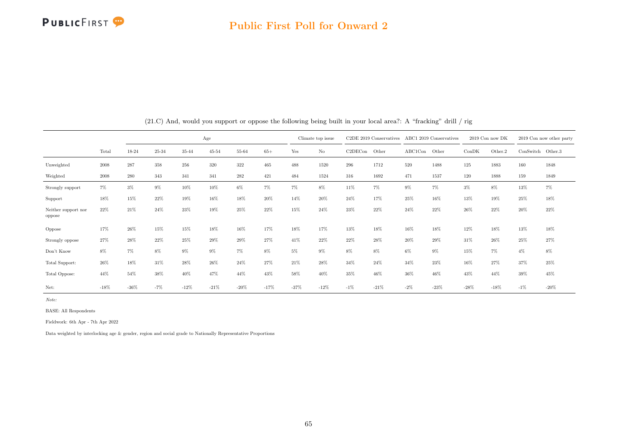

#### Public First Poll for Onward 2

|                               |        |         |       |        | Age       |         |        |        | Climate top issue |         | $C2DE$ 2019 Conservatives |         | ABC1 2019 Conservatives |        | 2019 Con now DK |                   | 2019 Con now other party |
|-------------------------------|--------|---------|-------|--------|-----------|---------|--------|--------|-------------------|---------|---------------------------|---------|-------------------------|--------|-----------------|-------------------|--------------------------|
|                               | Total  | 18-24   | 25-34 | 35-44  | $45 - 54$ | 55-64   | $65+$  | Yes    | No                | C2DECon | Other                     | ABC1Con | Other                   | ConDK  | Other.2         | ConSwitch Other.3 |                          |
| Unweighted                    | 2008   | 287     | 358   | 256    | 320       | 322     | 465    | 488    | 1520              | 296     | 1712                      | 520     | 1488                    | 125    | 1883            | 160               | 1848                     |
| Weighted                      | 2008   | 280     | 343   | 341    | 341       | 282     | 421    | 484    | 1524              | 316     | 1692                      | 471     | 1537                    | 120    | 1888            | 159               | 1849                     |
| Strongly support              | 7%     | $3\%$   | $9\%$ | 10%    | 10%       | 6%      | 7%     | 7%     | $8\%$             | 11%     | 7%                        | $9\%$   | 7%                      | $3\%$  | $8\%$           | 13%               | $7\%$                    |
| Support                       | 18%    | 15%     | 22%   | 19%    | 16%       | 18%     | 20%    | 14%    | 20%               | 24%     | 17%                       | 25%     | 16%                     | 13%    | 19%             | 25%               | 18%                      |
| Neither support nor<br>oppose | 22%    | 21%     | 24%   | 23%    | 19%       | 25%     | $22\%$ | 15%    | 24%               | 23%     | 22%                       | 24%     | 22%                     | 26%    | 22%             | 20%               | 22%                      |
| Oppose                        | 17%    | 26%     | 15%   | 15%    | 18%       | 16%     | 17%    | 18%    | 17%               | 13%     | 18%                       | 16%     | 18%                     | 12%    | 18%             | 13%               | 18%                      |
| Strongly oppose               | 27%    | 28%     | 22%   | 25%    | 29%       | $29\%$  | 27%    | 41%    | 22%               | 22%     | 28%                       | 20%     | 29%                     | 31%    | 26%             | 25%               | 27%                      |
| Don't Know                    | 8%     | $7\%$   | 8%    | $9\%$  | 9%        | $7\%$   | 8%     | $5\%$  | $9\%$             | 8%      | 8%                        | 6%      | 9%                      | 15%    | 7%              | $4\%$             | 8%                       |
| Total Support:                | 26%    | 18%     | 31%   | 28%    | 26%       | 24%     | 27%    | 21%    | 28%               | 34%     | 24%                       | 34%     | 23%                     | 16%    | 27%             | 37%               | 25%                      |
| Total Oppose:                 | 44%    | 54%     | 38%   | 40%    | 47%       | 44%     | 43%    | 58%    | 40%               | 35%     | 46%                       | 36%     | 46%                     | 43%    | 44%             | 39%               | 45%                      |
| Net:                          | $-18%$ | $-36\%$ | $-7%$ | $-12%$ | $-21%$    | $-20\%$ | $-17%$ | $-37%$ | $-12%$            | $-1\%$  | $-21%$                    | $-2%$   | $-23%$                  | $-28%$ | $-18%$          | $-1%$             | $-20%$                   |

(21.C) And, would you support or oppose the following being built in your local area?: A "fracking" drill / rig

Note:

BASE: All Respondents

Fieldwork: 6th Apr - 7th Apr 2022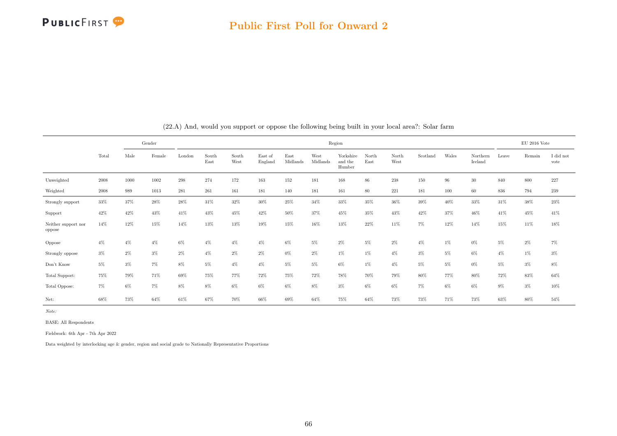

|                               |            |       | Gender   |        |               |               |                    |                  |                  | Region                         |               |               |          |        |                     |       | EU 2016 Vote |                   |
|-------------------------------|------------|-------|----------|--------|---------------|---------------|--------------------|------------------|------------------|--------------------------------|---------------|---------------|----------|--------|---------------------|-------|--------------|-------------------|
|                               | Total      | Male  | Female   | London | South<br>East | South<br>West | East of<br>England | East<br>Midlands | West<br>Midlands | Yorkshire<br>and the<br>Humber | North<br>East | North<br>West | Scotland | Wales  | Northern<br>Ireland | Leave | Remain       | I did not<br>vote |
| Unweighted                    | $\,2008\,$ | 1000  | $1002\,$ | 298    | 274           | 172           | 163                | 152              | 181              | 168                            | 86            | $238\,$       | 150      | $96\,$ | $30\,$              | 840   | 800          | 227               |
| Weighted                      | 2008       | 989   | 1013     | 281    | 261           | 161           | 181                | 140              | 181              | 161                            | 80            | 221           | 181      | 100    | 60                  | 836   | 794          | 239               |
| Strongly support              | 33%        | 37%   | 28%      | 28%    | 31%           | 32%           | 30%                | 25%              | $34\%$           | $33\%$                         | 35%           | 36%           | $39\%$   | 40%    | 33%                 | 31%   | 38%          | 23%               |
| Support                       | 42%        | 42%   | 43%      | 41%    | 43%           | 45%           | 42%                | 50%              | 37%              | 45%                            | 35%           | 43%           | 42%      | 37%    | 46%                 | 41%   | 45%          | 41%               |
| Neither support nor<br>oppose | 14%        | 12%   | 15%      | 14%    | 13%           | 13%           | 19%                | 15%              | 16%              | 13%                            | 22%           | 11%           | $7\%$    | 12%    | 14%                 | 15%   | 11%          | 18%               |
| Oppose                        | $4\%$      | $4\%$ | 4%       | 6%     | $4\%$         | $4\%$         | $4\%$              | 6%               | 5%               | 2%                             | 5%            | 2%            | $4\%$    | $1\%$  | 0%                  | $5\%$ | $2\%$        | $7\%$             |
| Strongly oppose               | $3\%$      | $2\%$ | $3\%$    | $2\%$  | $4\%$         | 2%            | $2\%$              | $0\%$            | $2\%$            | $1\%$                          | $1\%$         | $4\%$         | $3\%$    | $5\%$  | 6%                  | $4\%$ | $1\%$        | $3\%$             |
| Don't Know                    | $5\%$      | $3\%$ | 7%       | 8%     | $5\%$         | $4\%$         | $4\%$              | $5\%$            | $5\%$            | 6%                             | $1\%$         | $4\%$         | $5\%$    | $5\%$  | 0%                  | $5\%$ | $3\%$        | $8\%$             |
| Total Support:                | 75%        | 79%   | 71%      | 69%    | 75%           | 77%           | 72%                | 75%              | 72%              | 78%                            | 70%           | 79%           | 80%      | 77%    | 80%                 | 72%   | 83%          | 64%               |
| Total Oppose:                 | 7%         | $6\%$ | 7%       | 8%     | $8\%$         | $6\%$         | $6\%$              | $6\%$            | $8\%$            | $3\%$                          | $6\%$         | 6%            | 7%       | $6\%$  | 6%                  | 9%    | $3\%$        | 10%               |
| Net:                          | 68%        | 73%   | 64%      | 61%    | 67%           | 70%           | 66%                | 69%              | 64%              | 75%                            | 64%           | 73%           | 73%      | 71%    | 73%                 | 63%   | 80%          | 54%               |

(22.A) And, would you support or oppose the following being built in your local area?: Solar farm

Note:

BASE: All Respondents

Fieldwork: 6th Apr - 7th Apr 2022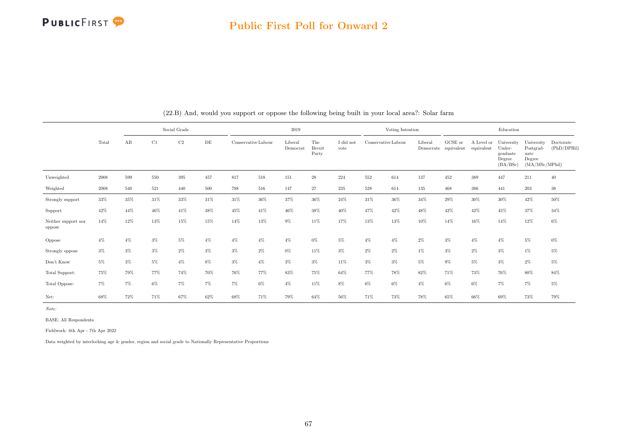

|                               |            |        |       | Social Grade |       |       |                     | 2019                |                               |                   |                     | Voting Intention |         |                                 |                          | Education                                              |                                                             |                          |
|-------------------------------|------------|--------|-------|--------------|-------|-------|---------------------|---------------------|-------------------------------|-------------------|---------------------|------------------|---------|---------------------------------|--------------------------|--------------------------------------------------------|-------------------------------------------------------------|--------------------------|
|                               | Total      | AB     | C1    | C2           | DE    |       | Conservative Labour | Liberal<br>Democrat | The<br><b>Brexit</b><br>Party | I did not<br>vote | Conservative Labour |                  | Liberal | GCSE or<br>Democrats equivalent | A Level or<br>equivalent | University<br>Under-<br>graduate<br>Degree<br>(BA/BSc) | University<br>Postgrad-<br>uate<br>Degree<br>(MA/MSc/MPhil) | Doctorate<br>(PhD/DPHil) |
| Unweighted                    | 2008       | 599    | 550   | 395          | 457   | 817   | 518                 | 151                 | $\sqrt{28}$                   | 224               | 552                 | 614              | 137     | 452                             | 389                      | 447                                                    | 211                                                         | 40                       |
| Weighted                      | $\,2008\,$ | 540    | 521   | 440          | 500   | 788   | 516                 | 147                 | 27                            | 235               | 528                 | 614              | 135     | 468                             | 386                      | 441                                                    | 203                                                         | $38\,$                   |
| Strongly support              | 33%        | $35\%$ | 31%   | 33%          | 31%   | 31%   | $36\%$              | $37\%$              | 36%                           | 24%               | 31%                 | 36%              | 34%     | 29%                             | $30\%$                   | $30\%$                                                 | 42%                                                         | $50\%$                   |
| Support                       | 42%        | 44%    | 46%   | 41%          | 38%   | 45%   | 41%                 | 46%                 | 38%                           | 40%               | 47%                 | 42%              | 48%     | 42%                             | 42%                      | 45%                                                    | 37%                                                         | 34%                      |
| Neither support nor<br>oppose | 14%        | 12%    | 13%   | 15%          | 15%   | 14%   | 13%                 | $9\%$               | 11%                           | 17%               | 13%                 | 13%              | 10%     | 14%                             | 16%                      | 14%                                                    | 12%                                                         | $6\%$                    |
| Oppose                        | $4\%$      | $4\%$  | 3%    | $5\%$        | $4\%$ | $4\%$ | $4\%$               | $4\%$               | $0\%$                         | 5%                | $4\%$               | $4\%$            | 2%      | $3\%$                           | $4\%$                    | $4\%$                                                  | $5\%$                                                       | $0\%$                    |
| Strongly oppose               | $3\%$      | $3\%$  | $3\%$ | $2\%$        | $3\%$ | $3\%$ | 2%                  | $0\%$               | 11%                           | $3\%$             | $2\%$               | $2\%$            | 1%      | $3\%$                           | $2\%$                    | $3\%$                                                  | $1\%$                                                       | $5\%$                    |
| Don't Know                    | $5\%$      | $3\%$  | 5%    | $4\%$        | 8%    | $3\%$ | $4\%$               | $3\%$               | $3\%$                         | 11%               | $3\%$               | $3\%$            | $5\%$   | $9\%$                           | 5%                       | $3\%$                                                  | $2\%$                                                       | $5\%$                    |
| Total Support:                | 75%        | 79%    | 77%   | 74%          | 70%   | 76%   | 77%                 | 83%                 | 75%                           | 64%               | 77%                 | 78%              | 82%     | 71%                             | 73%                      | 76%                                                    | 80%                                                         | 84%                      |
| Total Oppose:                 | 7%         | $7\%$  | 6%    | 7%           | 7%    | 7%    | 6%                  | $4\%$               | 11%                           | $8\%$             | $6\%$               | $6\%$            | $4\%$   | 6%                              | 6%                       | 7%                                                     | $7\%$                                                       | $5\%$                    |
| Net:                          | 68%        | 72%    | 71%   | 67%          | 62%   | 68%   | 71%                 | 79%                 | 64%                           | 56%               | 71%                 | 73%              | 78%     | 65%                             | 66%                      | 69%                                                    | 73%                                                         | 79%                      |

(22.B) And, would you support or oppose the following being built in your local area?: Solar farm

Note:

BASE: All Respondents

Fieldwork: 6th Apr - 7th Apr 2022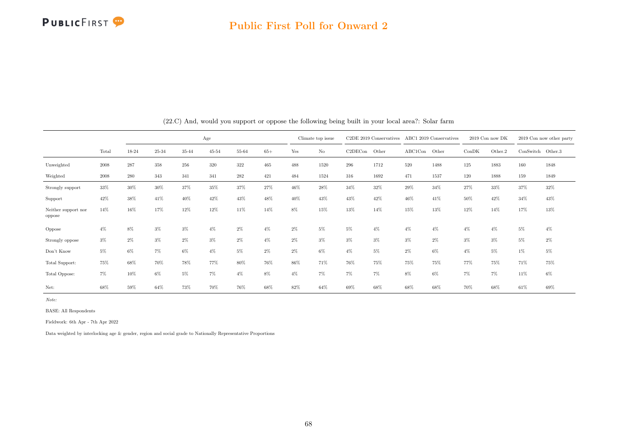

|                               |       |       |        |       | Age       |       |       |       | Climate top issue |         | C2DE 2019 Conservatives |         | ABC1 2019 Conservatives |        | 2019 Con now DK |                     | 2019 Con now other party |
|-------------------------------|-------|-------|--------|-------|-----------|-------|-------|-------|-------------------|---------|-------------------------|---------|-------------------------|--------|-----------------|---------------------|--------------------------|
|                               | Total | 18-24 | 25-34  | 35-44 | $45 - 54$ | 55-64 | $65+$ | Yes   | No                | C2DECon | Other                   | ABC1Con | Other                   | ConDK  | Other.2         | $ConSwitch$ Other.3 |                          |
| Unweighted                    | 2008  | 287   | 358    | 256   | 320       | 322   | 465   | 488   | 1520              | 296     | 1712                    | 520     | 1488                    | 125    | 1883            | 160                 | 1848                     |
| Weighted                      | 2008  | 280   | 343    | 341   | 341       | 282   | 421   | 484   | 1524              | 316     | 1692                    | 471     | 1537                    | 120    | 1888            | 159                 | 1849                     |
| Strongly support              | 33%   | 30%   | $30\%$ | 37%   | 35%       | 37%   | 27%   | 46%   | 28%               | 34%     | 32%                     | 29%     | 34%                     | $27\%$ | $33\%$          | 37%                 | 32%                      |
| Support                       | 42%   | 38%   | 41%    | 40%   | 42%       | 43%   | 48%   | 40%   | 43%               | 43%     | 42%                     | 46%     | 41%                     | 50%    | 42%             | 34%                 | 43%                      |
| Neither support nor<br>oppose | 14%   | 16%   | 17%    | 12%   | 12%       | 11%   | 14%   | 8%    | 15%               | 13%     | 14%                     | 15%     | 13%                     | 12%    | 14%             | 17%                 | 13%                      |
| Oppose                        | $4\%$ | 8%    | $3\%$  | $3\%$ | $4\%$     | $2\%$ | $4\%$ | $2\%$ | 5%                | 5%      | $4\%$                   | $4\%$   | $4\%$                   | $4\%$  | $4\%$           | $5\%$               | $4\%$                    |
| Strongly oppose               | $3\%$ | $2\%$ | $3\%$  | $2\%$ | $3\%$     | $2\%$ | $4\%$ | $2\%$ | $3\%$             | $3\%$   | $3\%$                   | $3\%$   | $2\%$                   | $3\%$  | 3%              | $5\%$               | $2\%$                    |
| Don't Know                    | $5\%$ | 6%    | 7%     | $6\%$ | $4\%$     | 5%    | $2\%$ | $2\%$ | $6\%$             | $4\%$   | 5%                      | $2\%$   | $6\%$                   | $4\%$  | 5%              | $1\%$               | 5%                       |
| Total Support:                | 75%   | 68%   | 70%    | 78%   | 77%       | 80%   | 76%   | 86%   | 71%               | 76%     | 75%                     | 75%     | 75%                     | 77%    | 75%             | 71%                 | 75%                      |
| Total Oppose:                 | 7%    | 10%   | 6%     | 5%    | 7%        | $4\%$ | 8%    | $4\%$ | $7\%$             | $7\%$   | 7%                      | 8%      | $6\%$                   | 7%     | 7%              | 11%                 | 6%                       |
| Net:                          | 68%   | 59%   | 64%    | 73%   | 70%       | 76%   | 68%   | 82%   | 64%               | 69%     | 68%                     | 68%     | 68%                     | 70%    | 68%             | 61%                 | 69%                      |

(22.C) And, would you support or oppose the following being built in your local area?: Solar farm

Note:

BASE: All Respondents

Fieldwork: 6th Apr - 7th Apr 2022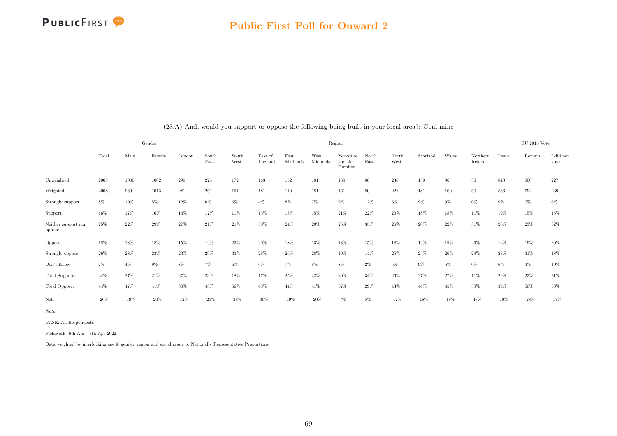

|                               |        |        | Gender |         |               |               |                    |                  |                  | Region                         |               |               |          |        |                     |        | EU 2016 Vote |                   |
|-------------------------------|--------|--------|--------|---------|---------------|---------------|--------------------|------------------|------------------|--------------------------------|---------------|---------------|----------|--------|---------------------|--------|--------------|-------------------|
|                               | Total  | Male   | Female | London  | South<br>East | South<br>West | East of<br>England | East<br>Midlands | West<br>Midlands | Yorkshire<br>and the<br>Humber | North<br>East | North<br>West | Scotland | Wales  | Northern<br>Ireland | Leave  | Remain       | I did not<br>vote |
| Unweighted                    | 2008   | 1000   | 1002   | $\,298$ | 274           | 172           | 163                | 152              | 181              | 168                            | $86\,$        | $238\,$       | 150      | 96     | $30\,$              | 840    | 800          | $227\,$           |
| Weighted                      | 2008   | 989    | 1013   | 281     | 261           | 161           | 181                | 140              | 181              | 161                            | 80            | 221           | 181      | 100    | 60                  | 836    | 794          | 239               |
| Strongly support              | $8\%$  | 10%    | 5%     | 12%     | 6%            | 6%            | $4\%$              | 8%               | $7\%$            | $9\%$                          | 12%           | 6%            | $9\%$    | $9\%$  | $0\%$               | 9%     | $7\%$        | $6\%$             |
| Support                       | 16%    | 17%    | 16%    | 14%     | 17%           | 11%           | 13%                | 17%              | 15%              | 21\%                           | 22%           | $20\%$        | 18%      | 18%    | 11%                 | 19%    | 15%          | 15%               |
| Neither support nor<br>oppose | 25%    | 22%    | 29%    | 27%     | 21%           | 21%           | 30%                | 24%              | 29%              | 25%                            | 35%           | 26%           | 20%      | 22%    | 31%                 | 26%    | 23%          | 32%               |
| Oppose                        | 18%    | 18%    | 18%    | 15%     | 19%           | 23%           | $20\%$             | $18\%$           | 13%              | 18%                            | 15%           | 18%           | 19%      | 19%    | $29\%$              | 16%    | $19\%$       | $20\%$            |
| Strongly oppose               | 26%    | 28%    | 23%    | 23%     | 29%           | 33%           | 28%                | $26\%$           | 28%              | 19%                            | 14%           | 25%           | 25%      | 26%    | 29%                 | 23%    | 31%          | 18%               |
| Don't Know                    | $7\%$  | $4\%$  | 9%     | 8%      | $7\%$         | 6%            | $6\%$              | 7%               | $8\%$            | $8\%$                          | $2\%$         | $5\%$         | $9\%$    | 5%     | $0\%$               | 6%     | $4\%$        | $10\%$            |
| Total Support:                | 24%    | 27%    | 21%    | 27%     | 23%           | 18%           | 17%                | 25%              | 22%              | 30%                            | 34%           | 26%           | 27%      | 27%    | 11%                 | 29%    | 23%          | 21%               |
| Total Oppose:                 | 44%    | 47%    | 41%    | 38%     | 48%           | 56%           | 48%                | 44%              | 41%              | 37%                            | 29%           | 43%           | 44%      | 45%    | 58%                 | 39%    | 50%          | 38%               |
| Net:                          | $-20%$ | $-19%$ | $-20%$ | $-12%$  | $-25%$        | $-38%$        | $-30\%$            | $-19\%$          | $-20%$           | $-7%$                          | 5%            | $-17%$        | $-18%$   | $-18%$ | $-47%$              | $-10%$ | $-28%$       | $-17%$            |

(23.A) And, would you support or oppose the following being built in your local area?: Coal mine

Note:

BASE: All Respondents

Fieldwork: 6th Apr - 7th Apr 2022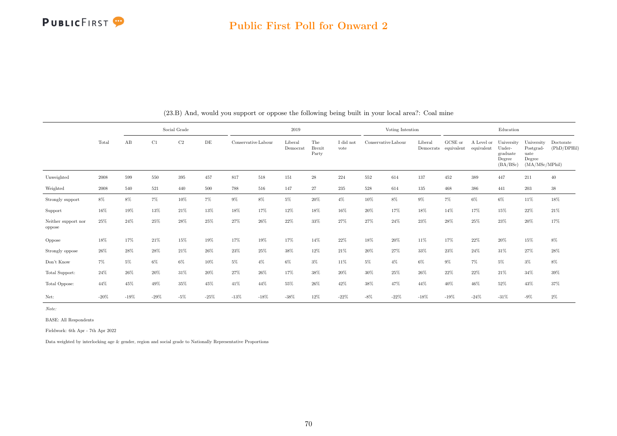

|                               |        |        |        | Social Grade |        |                     |        | 2019                |                               |                   |                     | Voting Intention |                      |                       |                          | Education                                              |                                                             |                          |
|-------------------------------|--------|--------|--------|--------------|--------|---------------------|--------|---------------------|-------------------------------|-------------------|---------------------|------------------|----------------------|-----------------------|--------------------------|--------------------------------------------------------|-------------------------------------------------------------|--------------------------|
|                               | Total  | AB     | C1     | C2           | DE     | Conservative Labour |        | Liberal<br>Democrat | The<br><b>Brexit</b><br>Party | I did not<br>vote | Conservative Labour |                  | Liberal<br>Democrats | GCSE or<br>equivalent | A Level or<br>equivalent | University<br>Under-<br>graduate<br>Degree<br>(BA/BSc) | University<br>Postgrad-<br>uate<br>Degree<br>(MA/MSc/MPhil) | Doctorate<br>(PhD/DPHil) |
| Unweighted                    | 2008   | 599    | 550    | 395          | 457    | 817                 | 518    | 151                 | $\sqrt{28}$                   | 224               | 552                 | 614              | 137                  | 452                   | 389                      | 447                                                    | 211                                                         | 40                       |
| Weighted                      | 2008   | 540    | 521    | 440          | 500    | 788                 | 516    | 147                 | 27                            | 235               | 528                 | 614              | 135                  | 468                   | 386                      | 441                                                    | 203                                                         | $38\,$                   |
| Strongly support              | $8\%$  | 8%     | 7%     | 10%          | $7\%$  | $9\%$               | $8\%$  | $5\%$               | 20%                           | $4\%$             | 10%                 | $8\%$            | 9%                   | $7\%$                 | $6\%$                    | $6\%$                                                  | $11\%$                                                      | $18\%$                   |
| Support                       | 16%    | 19%    | 13%    | 21%          | 13%    | 18%                 | 17%    | 12%                 | 18%                           | 16%               | 20%                 | 17%              | 18%                  | 14%                   | 17%                      | 15%                                                    | 22%                                                         | 21%                      |
| Neither support nor<br>oppose | 25%    | 24%    | 25%    | 28%          | $25\%$ | 27%                 | 26%    | 22%                 | 33%                           | 27%               | 27%                 | 24%              | 23%                  | 28%                   | 25%                      | 23%                                                    | $20\%$                                                      | 17%                      |
| Oppose                        | 18%    | 17%    | 21%    | 15%          | 19%    | 17%                 | 19%    | 17%                 | 14%                           | 22%               | 18%                 | 20%              | 11%                  | 17%                   | 22%                      | 20%                                                    | 15%                                                         | $8\%$                    |
| Strongly oppose               | 26%    | 28%    | 28%    | 21%          | 26%    | 23%                 | $25\%$ | 38%                 | 12%                           | 21%               | 20%                 | 27%              | 33%                  | 23%                   | 24%                      | 31%                                                    | 27%                                                         | 28%                      |
| Don't Know                    | $7\%$  | 5%     | 6%     | $6\%$        | 10%    | $5\%$               | $4\%$  | $6\%$               | $3\%$                         | 11%               | $5\%$               | $4\%$            | 6%                   | $9\%$                 | 7%                       | $5\%$                                                  | $3\%$                                                       | $8\%$                    |
| Total Support:                | 24%    | 26%    | 20%    | 31%          | 20%    | 27%                 | 26%    | 17%                 | 38%                           | 20%               | 30%                 | 25%              | 26%                  | 22%                   | 22%                      | 21%                                                    | 34%                                                         | 39%                      |
| Total Oppose:                 | 44%    | 45%    | 49%    | 35%          | 45%    | 41%                 | 44%    | 55%                 | 26%                           | 42%               | 38%                 | 47%              | 44%                  | 40%                   | 46%                      | 52%                                                    | 43%                                                         | 37%                      |
| Net:                          | $-20%$ | $-19%$ | $-29%$ | $-5%$        | $-25%$ | $-13%$              | $-18%$ | $-38%$              | 12%                           | $-22%$            | $-8\%$              | $-22%$           | $-18%$               | $-19%$                | $-24%$                   | $-31%$                                                 | $-9\%$                                                      | $2\%$                    |

(23.B) And, would you support or oppose the following being built in your local area?: Coal mine

Note:

BASE: All Respondents

Fieldwork: 6th Apr - 7th Apr 2022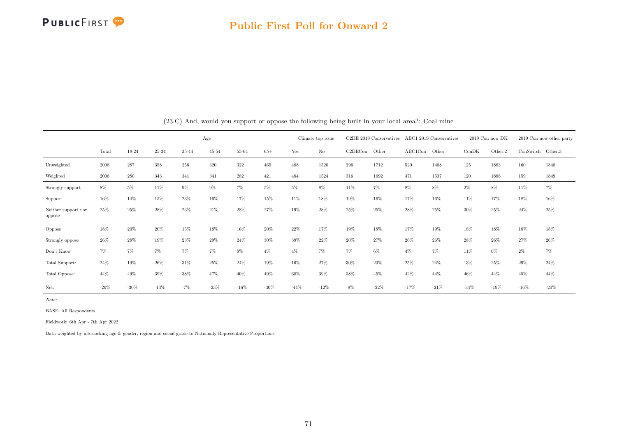

|                               |        | Age     |         |       |           |        |         | Climate top issue |        | $C2DE$ 2019 Conservatives |        | ABC1 2019 Conservatives |        | 2019 Con now DK |         | 2019 Con now other party |        |
|-------------------------------|--------|---------|---------|-------|-----------|--------|---------|-------------------|--------|---------------------------|--------|-------------------------|--------|-----------------|---------|--------------------------|--------|
|                               | Total  | 18-24   | 25-34   | 35-44 | $45 - 54$ | 55-64  | $65+$   | Yes               | No     | C2DECon                   | Other  | ABC1Con                 | Other  | ConDK           | Other.2 | $ConSwitch$ Other.3      |        |
| Unweighted                    | 2008   | 287     | 358     | 256   | 320       | 322    | 465     | 488               | 1520   | 296                       | 1712   | 520                     | 1488   | 125             | 1883    | 160                      | 1848   |
| Weighted                      | 2008   | 280     | 343     | 341   | 341       | 282    | 421     | 484               | 1524   | 316                       | 1692   | 471                     | 1537   | 120             | 1888    | 159                      | 1849   |
| Strongly support              | 8%     | $5\%$   | 11%     | $9\%$ | $9\%$     | 7%     | 5%      | 5%                | 8%     | 11%                       | 7%     | 8%                      | $8\%$  | $2\%$           | 8%      | 11%                      | $7\%$  |
| Support                       | 16%    | 14%     | 15%     | 23%   | 16%       | 17%    | 15%     | 11%               | 18%    | 19%                       | 16%    | 17%                     | 16%    | 11%             | 17%     | 18%                      | 16%    |
| Neither support nor<br>oppose | 25%    | 25%     | 28%     | 23%   | 21%       | 28%    | 27%     | 19%               | 28%    | 25%                       | 25%    | 28%                     | 25%    | 30%             | 25%     | 24%                      | 25%    |
| Oppose                        | 18%    | 20%     | 20%     | 15%   | 18%       | 16%    | $20\%$  | 22%               | 17%    | 19%                       | 18%    | 17%                     | 19%    | 18%             | 18%     | 18%                      | 18%    |
| Strongly oppose               | 26%    | 28%     | 19%     | 23%   | 29%       | 24%    | 30%     | 39%               | 22%    | 20%                       | 27%    | 26%                     | 26%    | $28\%$          | 26%     | 27%                      | 26%    |
| Don't Know                    | 7%     | $7\%$   | 7%      | $7\%$ | $7\%$     | 8%     | $4\%$   | $4\%$             | $7\%$  | $7\%$                     | $6\%$  | $4\%$                   | 7%     | 11%             | 6%      | $2\%$                    | $7\%$  |
| Total Support:                | 24%    | 19%     | 26%     | 31%   | 25%       | 24%    | 19%     | 16%               | 27%    | 30%                       | 23%    | 25%                     | 24%    | 13%             | 25%     | $29\%$                   | 24%    |
| Total Oppose:                 | 44%    | 49%     | 39%     | 38%   | 47%       | 40%    | 49%     | 60%               | 39%    | 38%                       | 45%    | 42%                     | 44%    | 46%             | 44%     | 45%                      | 44%    |
| Net:                          | $-20%$ | $-30\%$ | $-13\%$ | $-7%$ | $-23%$    | $-16%$ | $-30\%$ | $-44%$            | $-12%$ | $-8\%$                    | $-22%$ | $-17%$                  | $-21%$ | $-34%$          | $-19\%$ | $-16\%$                  | $-20%$ |

(23.C) And, would you support or oppose the following being built in your local area?: Coal mine

Note:

BASE: All Respondents

Fieldwork: 6th Apr - 7th Apr 2022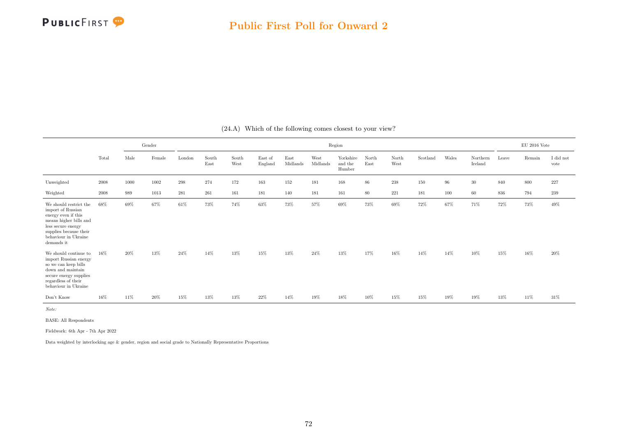

|                                                                                                                                                                                    |       |        | Gender |        |               |               |                    |                  |                  | Region                         |               |               |          |       |                     |        | EU 2016 Vote |                   |
|------------------------------------------------------------------------------------------------------------------------------------------------------------------------------------|-------|--------|--------|--------|---------------|---------------|--------------------|------------------|------------------|--------------------------------|---------------|---------------|----------|-------|---------------------|--------|--------------|-------------------|
|                                                                                                                                                                                    | Total | Male   | Female | London | South<br>East | South<br>West | East of<br>England | East<br>Midlands | West<br>Midlands | Yorkshire<br>and the<br>Humber | North<br>East | North<br>West | Scotland | Wales | Northern<br>Ireland | Leave  | Remain       | I did not<br>vote |
| Unweighted                                                                                                                                                                         | 2008  | 1000   | 1002   | 298    | 274           | 172           | 163                | 152              | 181              | 168                            | 86            | $238\,$       | 150      | 96    | $30\,$              | 840    | 800          | 227               |
| Weighted                                                                                                                                                                           | 2008  | 989    | 1013   | 281    | 261           | 161           | 181                | 140              | 181              | 161                            | 80            | 221           | 181      | 100   | 60                  | 836    | 794          | 239               |
| We should restrict the<br>import of Russian<br>energy even if this<br>means higher bills and<br>less secure energy<br>supplies because their<br>behaviour in Ukraine<br>demands it | 68%   | $69\%$ | 67%    | 61%    | $73\%$        | 74%           | 63%                | 73%              | $57\%$           | 69%                            | $73\%$        | 69%           | $72\%$   | 67%   | 71%                 | 72%    | 73%          | 49%               |
| We should continue to<br>import Russian energy<br>so we can keep bills<br>down and maintain<br>secure energy supplies<br>regardless of their<br>behaviour in Ukraine               | 16%   | 20%    | 13%    | 24%    | 14%           | 13%           | 15%                | 13%              | 24%              | 13%                            | 17%           | 16%           | 14%      | 14%   | 10%                 | 15%    | 16%          | 20%               |
| Don't Know                                                                                                                                                                         | 16%   | 11\%   | 20%    | 15%    | 13%           | 13%           | 22%                | $14\%$           | 19%              | 18%                            | 10%           | 15%           | 15%      | 19%   | 19%                 | $13\%$ | 11%          | $31\%$            |

(24.A) Which of the following comes closest to your view?

Note:

BASE: All Respondents

Fieldwork: 6th Apr - 7th Apr 2022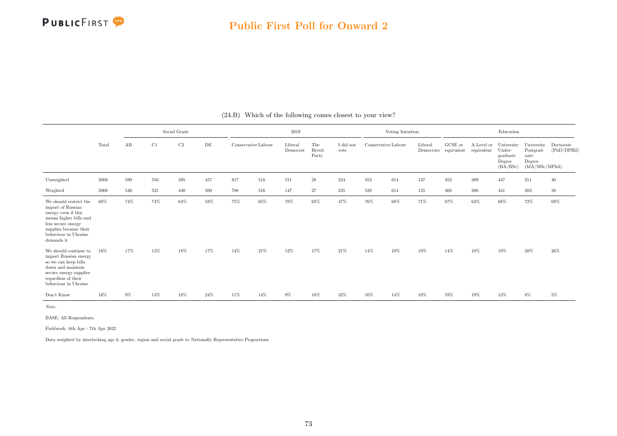|                                                                                                                                                                                    |       |       |     | Social Grade |     |                     |     | 2019                |                        |                   |                     | Voting Intention |         |                                 |            | Education                                                         |                                                             |                          |
|------------------------------------------------------------------------------------------------------------------------------------------------------------------------------------|-------|-------|-----|--------------|-----|---------------------|-----|---------------------|------------------------|-------------------|---------------------|------------------|---------|---------------------------------|------------|-------------------------------------------------------------------|-------------------------------------------------------------|--------------------------|
|                                                                                                                                                                                    | Total | AB    | C1  | $\rm{C2}$    | DE  | Conservative Labour |     | Liberal<br>Democrat | The<br>Brexit<br>Party | I did not<br>vote | Conservative Labour |                  | Liberal | GCSE or<br>Democrats equivalent | equivalent | A Level or University<br>Under-<br>graduate<br>Degree<br>(BA/BSc) | University<br>Postgrad-<br>uate<br>Degree<br>(MA/MSc/MPhil) | Doctorate<br>(PhD/DPHil) |
| Unweighted                                                                                                                                                                         | 2008  | 599   | 550 | 395          | 457 | 817                 | 518 | 151                 | $\sqrt{28}$            | 224               | 552                 | 614              | 137     | 452                             | 389        | 447                                                               | 211                                                         | 40                       |
| Weighted                                                                                                                                                                           | 2008  | 540   | 521 | 440          | 500 | 788                 | 516 | 147                 | 27                     | 235               | 528                 | 614              | 135     | 468                             | 386        | 441                                                               | 203                                                         | $38\,$                   |
| We should restrict the<br>import of Russian<br>energy even if this<br>means higher bills and<br>less secure energy<br>supplies because their<br>behaviour in Ukraine<br>demands it | 68%   | 74%   | 74% | 64%          | 58% | 75%                 | 65% | 78%                 | 65%                    | 47%               | 76%                 | 68%              | 71%     | 67%                             | 63%        | 68%                                                               | 72%                                                         | 69%                      |
| We should continue to<br>import Russian energy<br>so we can keep bills<br>down and maintain<br>secure energy supplies<br>regardless of their<br>behaviour in Ukraine               | 16%   | 17%   | 13% | 18%          | 17% | 14%                 | 21% | 12%                 | 17%                    | 21%               | 14%                 | 19%              | 19%     | 14%                             | 18%        | 19%                                                               | 20%                                                         | 26%                      |
| Don't Know                                                                                                                                                                         | 16%   | $9\%$ | 13% | 18%          | 24% | 11%                 | 14% | $9\%$               | 18%                    | 32%               | 10%                 | 14%              | 10%     | 19%                             | 19%        | 13%                                                               | 8%                                                          | $5\%$                    |

(24.B) Which of the following comes closest to your view?

Note:

BASE: All Respondents

Fieldwork: 6th Apr - 7th Apr 2022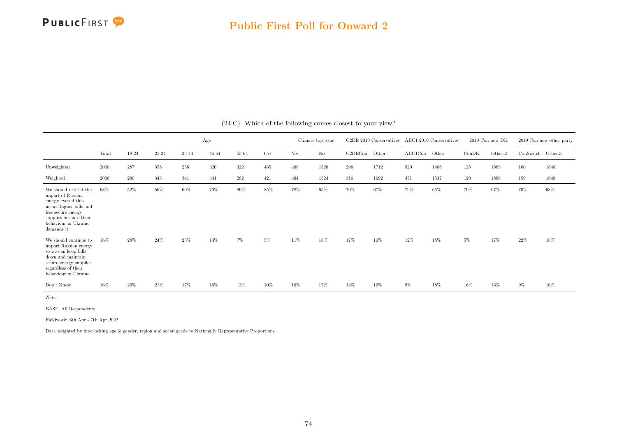

|                                                                                                                                                                                    |       |         |         |       | Age       |       |       |        | Climate top issue |         | C2DE 2019 Conservatives |         | ABC1 2019 Conservatives |       | 2019 Con now DK |                   | 2019 Con now other party |
|------------------------------------------------------------------------------------------------------------------------------------------------------------------------------------|-------|---------|---------|-------|-----------|-------|-------|--------|-------------------|---------|-------------------------|---------|-------------------------|-------|-----------------|-------------------|--------------------------|
|                                                                                                                                                                                    | Total | 18-24   | 25-34   | 35-44 | $45 - 54$ | 55-64 | $65+$ | Yes    | $\rm No$          | C2DECon | Other                   | ABC1Con | Other                   | ConDK | Other.2         | ConSwitch Other.3 |                          |
| Unweighted                                                                                                                                                                         | 2008  | $287\,$ | $358\,$ | 256   | 320       | 322   | 465   | 488    | 1520              | 296     | 1712                    | 520     | 1488                    | 125   | 1883            | 160               | 1848                     |
| Weighted                                                                                                                                                                           | 2008  | 280     | 343     | 341   | 341       | 282   | 421   | 484    | 1524              | 316     | 1692                    | 471     | 1537                    | 120   | 1888            | 159               | 1849                     |
| We should restrict the<br>import of Russian<br>energy even if this<br>means higher bills and<br>less secure energy<br>supplies because their<br>behaviour in Ukraine<br>demands it | 68%   | 52%     | $56\%$  | 60%   | 70%       | 80%   | 85%   | $78\%$ | 65%               | 70%     | 67%                     | 79%     | 65%                     | 79%   | 67%             | $70\%$            | $68\%$                   |
| We should continue to<br>import Russian energy<br>so we can keep bills<br>down and maintain<br>secure energy supplies<br>regardless of their<br>behaviour in Ukraine               | 16%   | 28%     | 24%     | 23%   | 14%       | $7\%$ | 5%    | 11%    | 18%               | 17%     | 16%                     | 12%     | 18%                     | 5%    | 17%             | 22%               | 16%                      |
| Don't Know                                                                                                                                                                         | 16%   | 20%     | 21%     | 17%   | 16%       | 13%   | 10%   | 10%    | 17%               | 13%     | $16\%$                  | 9%      | 18%                     | 16%   | 16%             | $9\%$             | 16%                      |

(24.C) Which of the following comes closest to your view?

Note:

BASE: All Respondents

Fieldwork: 6th Apr - 7th Apr 2022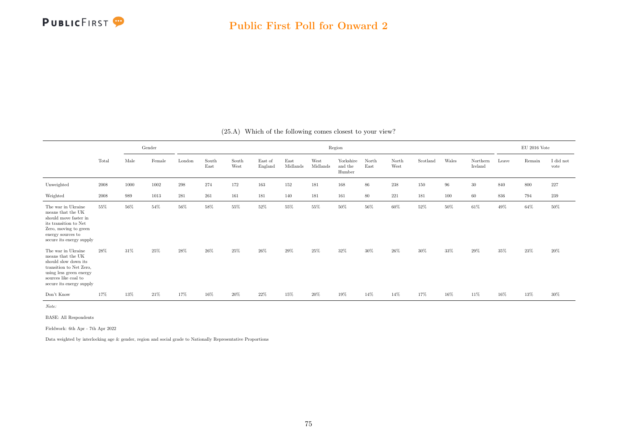|                                                                                                                                                                                 |       |      | Gender |        |               |               |                    |                  |                  | Region                         |               |               |          |        |                     |        | $\rm EU$ 2016 Vote |                   |
|---------------------------------------------------------------------------------------------------------------------------------------------------------------------------------|-------|------|--------|--------|---------------|---------------|--------------------|------------------|------------------|--------------------------------|---------------|---------------|----------|--------|---------------------|--------|--------------------|-------------------|
|                                                                                                                                                                                 | Total | Male | Female | London | South<br>East | South<br>West | East of<br>England | East<br>Midlands | West<br>Midlands | Yorkshire<br>and the<br>Humber | North<br>East | North<br>West | Scotland | Wales  | Northern<br>Ireland | Leave  | Remain             | I did not<br>vote |
| Unweighted                                                                                                                                                                      | 2008  | 1000 | 1002   | 298    | 274           | 172           | 163                | 152              | 181              | 168                            | $86\,$        | 238           | 150      | 96     | 30                  | 840    | 800                | 227               |
| Weighted                                                                                                                                                                        | 2008  | 989  | 1013   | 281    | 261           | 161           | 181                | 140              | 181              | 161                            | 80            | 221           | 181      | 100    | 60                  | 836    | 794                | 239               |
| The war in Ukraine<br>means that the UK<br>should move faster in<br>its transition to Net<br>Zero, moving to green<br>energy sources to<br>secure its energy supply             | 55%   | 56%  | 54%    | 56%    | 58%           | 55%           | $52\%$             | 55%              | 55%              | 50%                            | $56\%$        | $60\%$        | $52\%$   | $50\%$ | $61\%$              | $49\%$ | $64\%$             | 50%               |
| The war in Ukraine<br>means that the $\rm UK$<br>should slow down its<br>transition to Net Zero,<br>using less green energy<br>sources like coal to<br>secure its energy supply | 28%   | 31%  | 25%    | 28%    | 26%           | 25%           | 26%                | 29%              | 25%              | 32%                            | 30%           | 26%           | $30\%$   | 33%    | 29%                 | 35%    | 23%                | $20\%$            |
| Don't Know                                                                                                                                                                      | 17%   | 13%  | 21%    | 17%    | 16%           | 20%           | $22\%$             | 15%              | 20%              | 19%                            | 14%           | 14%           | 17%      | 16%    | 11%                 | 16%    | 13%                | $30\%$            |

(25.A) Which of the following comes closest to your view?

Note:

BASE: All Respondents

Fieldwork: 6th Apr - 7th Apr 2022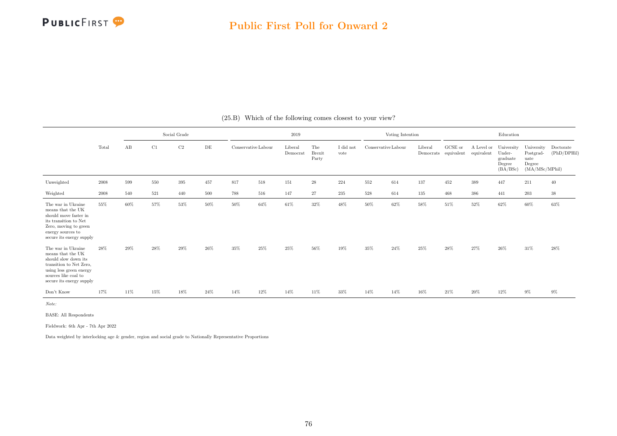|                                                                                                                                                                           |       |     |     | Social Grade |     |                     |     | 2019                |                               |                               |                     | Voting Intention |         |                                 |                          | Education                                              |                                                             |                          |
|---------------------------------------------------------------------------------------------------------------------------------------------------------------------------|-------|-----|-----|--------------|-----|---------------------|-----|---------------------|-------------------------------|-------------------------------|---------------------|------------------|---------|---------------------------------|--------------------------|--------------------------------------------------------|-------------------------------------------------------------|--------------------------|
|                                                                                                                                                                           | Total | AB  | C1  | C2           | DE  | Conservative Labour |     | Liberal<br>Democrat | The<br><b>Brexit</b><br>Party | $\rm I$ did $\rm not$<br>vote | Conservative Labour |                  | Liberal | GCSE or<br>Democrats equivalent | A Level or<br>equivalent | University<br>Under-<br>graduate<br>Degree<br>(BA/BSc) | University<br>Postgrad-<br>uate<br>Degree<br>(MA/MSc/MPhil) | Doctorate<br>(PhD/DPHil) |
| Unweighted                                                                                                                                                                | 2008  | 599 | 550 | 395          | 457 | 817                 | 518 | 151                 | $\sqrt{28}$                   | 224                           | 552                 | 614              | 137     | 452                             | 389                      | 447                                                    | 211                                                         | 40                       |
| Weighted                                                                                                                                                                  | 2008  | 540 | 521 | 440          | 500 | 788                 | 516 | 147                 | 27                            | 235                           | 528                 | 614              | 135     | 468                             | 386                      | 441                                                    | 203                                                         | $38\,$                   |
| The war in Ukraine<br>means that the UK<br>should move faster in<br>its transition to Net<br>Zero, moving to green<br>energy sources to<br>secure its energy supply       | 55%   | 60% | 57% | 53%          | 50% | 50%                 | 64% | $61\%$              | 32%                           | 48%                           | 50%                 | 62%              | 58%     | 51%                             | $52\%$                   | $62\%$                                                 | 60%                                                         | 63%                      |
| The war in Ukraine<br>means that the UK<br>should slow down its<br>transition to Net Zero,<br>using less green energy<br>sources like coal to<br>secure its energy supply | 28%   | 29% | 28% | 29%          | 26% | 35%                 | 25% | 25%                 | 56%                           | 19%                           | 35%                 | 24%              | 25%     | 28%                             | 27%                      | 26%                                                    | 31%                                                         | 28%                      |
| Don't Know                                                                                                                                                                | 17%   | 11% | 15% | 18%          | 24% | 14%                 | 12% | 14%                 | 11%                           | 33%                           | 14%                 | 14%              | 16%     | $21\%$                          | $20\%$                   | $12\%$                                                 | $9\%$                                                       | $9\%$                    |

(25.B) Which of the following comes closest to your view?

Note:

BASE: All Respondents

Fieldwork: 6th Apr - 7th Apr 2022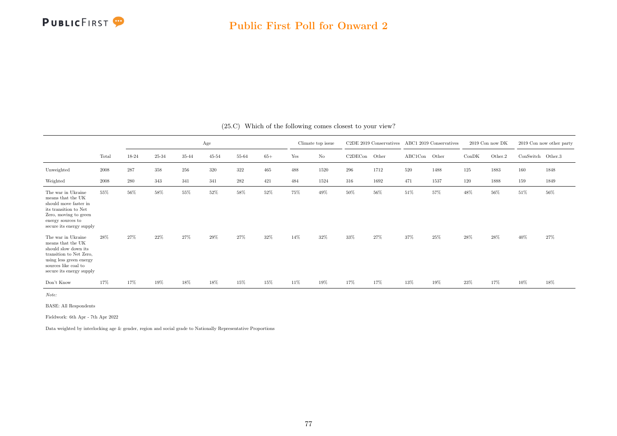

|                                                                                                                                                                                 |       |       |       |       | Age       |       |       |     | Climate top issue |         | C <sub>2</sub> DE 2019 Conservatives |         | ABC1 2019 Conservatives |       | 2019 Con now DK |                   | 2019 Con now other party |
|---------------------------------------------------------------------------------------------------------------------------------------------------------------------------------|-------|-------|-------|-------|-----------|-------|-------|-----|-------------------|---------|--------------------------------------|---------|-------------------------|-------|-----------------|-------------------|--------------------------|
|                                                                                                                                                                                 | Total | 18-24 | 25-34 | 35-44 | $45 - 54$ | 55-64 | $65+$ | Yes | $\rm No$          | C2DECon | Other                                | ABC1Con | Other                   | ConDK | Other.2         | ConSwitch Other.3 |                          |
| Unweighted                                                                                                                                                                      | 2008  | 287   | 358   | 256   | 320       | 322   | 465   | 488 | 1520              | 296     | 1712                                 | 520     | 1488                    | 125   | 1883            | 160               | 1848                     |
| Weighted                                                                                                                                                                        | 2008  | 280   | 343   | 341   | 341       | 282   | 421   | 484 | 1524              | 316     | 1692                                 | 471     | 1537                    | 120   | 1888            | 159               | 1849                     |
| The war in Ukraine<br>means that the UK<br>should move faster in<br>its transition to Net<br>Zero, moving to green<br>energy sources to<br>secure its energy supply             | 55%   | 56%   | 58%   | 55%   | 52%       | 58%   | 52%   | 75% | 49%               | 50%     | 56%                                  | 51%     | 57%                     | 48%   | $56\%$          | 51%               | 56%                      |
| The war in Ukraine<br>means that the $\rm UK$<br>should slow down its<br>transition to Net Zero,<br>using less green energy<br>sources like coal to<br>secure its energy supply | 28%   | 27%   | 22%   | 27%   | 29%       | 27%   | 32%   | 14% | 32%               | 33%     | 27%                                  | 37%     | 25%                     | 28%   | 28%             | 40%               | 27%                      |
| Don't Know                                                                                                                                                                      | 17%   | 17%   | 19%   | 18%   | 18%       | 15%   | 15%   | 11% | 19%               | 17%     | 17%                                  | 13%     | 19%                     | 23%   | 17%             | 10%               | 18%                      |

(25.C) Which of the following comes closest to your view?

Note:

BASE: All Respondents

Fieldwork: 6th Apr - 7th Apr 2022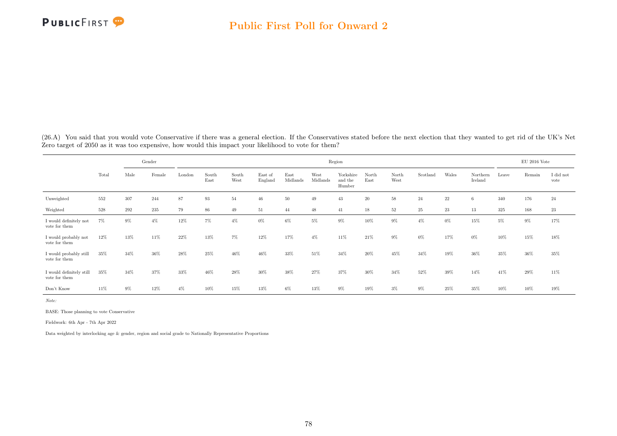

(26.A) You said that you would vote Conservative if there was a general election. If the Conservatives stated before the next election that they wanted to get rid of the UK's Net Zero target of 2050 as it was too expensive, how would this impact your likelihood to vote for them?

|                                           |       |       | Gender |        |               |               |                    |                  |                  | Region                         |               |               |          |        |                     |       | $\rm EU$ 2016 Vote |                   |
|-------------------------------------------|-------|-------|--------|--------|---------------|---------------|--------------------|------------------|------------------|--------------------------------|---------------|---------------|----------|--------|---------------------|-------|--------------------|-------------------|
|                                           | Total | Male  | Female | London | South<br>East | South<br>West | East of<br>England | East<br>Midlands | West<br>Midlands | Yorkshire<br>and the<br>Humber | North<br>East | North<br>West | Scotland | Wales  | Northern<br>Ireland | Leave | Remain             | I did not<br>vote |
| Unweighted                                | 552   | 307   | 244    | 87     | 93            | 54            | 46                 | $50\,$           | 49               | 43                             | 20            | 58            | 24       | $22\,$ | 6                   | 340   | 176                | 24                |
| Weighted                                  | 528   | 292   | 235    | 79     | 86            | 49            | 51                 | 44               | 48               | 41                             | 18            | $52\,$        | 25       | 23     | 13                  | 325   | 168                | $23\,$            |
| I would definitely not<br>vote for them   | $7\%$ | 9%    | $4\%$  | 12%    | $7\%$         | $4\%$         | $0\%$              | $6\%$            | 5%               | $9\%$                          | 10%           | $9\%$         | $4\%$    | $0\%$  | 15%                 | $5\%$ | $9\%$              | 17%               |
| I would probably not<br>vote for them     | 12%   | 13%   | 11%    | 22%    | 13%           | 7%            | $12\%$             | 17%              | $4\%$            | 11%                            | 21\%          | $9\%$         | $0\%$    | 17%    | $0\%$               | 10%   | 15%                | 18%               |
| I would probably still<br>vote for them   | 35%   | 34%   | 36%    | 28%    | 25%           | 46%           | 46%                | 33%              | 51%              | 34%                            | 20%           | 45%           | 34%      | 19%    | 36%                 | 35%   | 36%                | 35%               |
| I would definitely still<br>vote for them | 35%   | 34%   | 37%    | 33%    | 46%           | 28%           | $30\%$             | 38%              | 27%              | 37%                            | $30\%$        | 34%           | 52%      | 39%    | 14%                 | 41%   | 29%                | $11\%$            |
| Don't Know                                | 11%   | $9\%$ | 12%    | $4\%$  | 10%           | 15%           | 13%                | $6\%$            | $13\%$           | $9\%$                          | 19%           | $3\%$         | $9\%$    | 25%    | 35%                 | 10%   | $10\%$             | 19%               |

Note:

BASE: Those planning to vote Conservative

Fieldwork: 6th Apr - 7th Apr 2022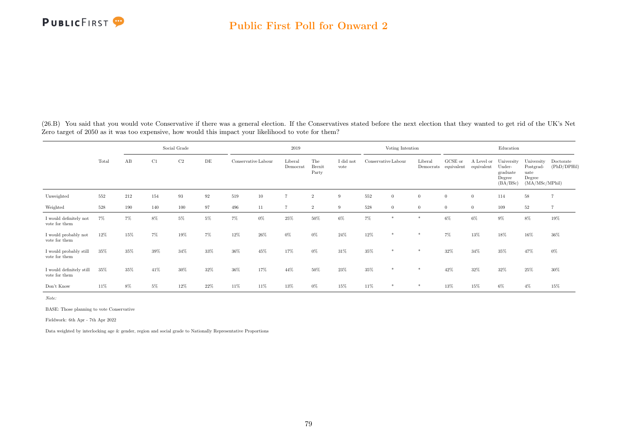(26.B) You said that you would vote Conservative if there was a general election. If the Conservatives stated before the next election that they wanted to get rid of the UK's Net Zero target of 2050 as it was too expensive, how would this impact your likelihood to vote for them?

|                                           |       |       | Social Grade<br>$\rm C2$<br>C1<br>DE |     |       |                     |                 | 2019                |                               |                   |                     | Voting Intention |                |                                 |                          | Education                                              |                                                              |                          |
|-------------------------------------------|-------|-------|--------------------------------------|-----|-------|---------------------|-----------------|---------------------|-------------------------------|-------------------|---------------------|------------------|----------------|---------------------------------|--------------------------|--------------------------------------------------------|--------------------------------------------------------------|--------------------------|
|                                           | Total | AB    |                                      |     |       | Conservative Labour |                 | Liberal<br>Democrat | The<br><b>Brexit</b><br>Party | I did not<br>vote | Conservative Labour |                  | Liberal        | GCSE or<br>Democrats equivalent | A Level or<br>equivalent | University<br>Under-<br>graduate<br>Degree<br>(BA/BSc) | University<br>Postgrad-<br>uate<br>Degree<br>(MA/MSc/MPhill) | Doctorate<br>(PhD/DPHil) |
| Unweighted                                | 552   | 212   | 154                                  | 93  | 92    | 519                 | 10 <sup>°</sup> | $\overline{7}$      | $\overline{2}$                | 9                 | 552                 | $\theta$         | $\overline{0}$ | $\theta$                        | $\theta$                 | 114                                                    | 58                                                           |                          |
| Weighted                                  | 528   | 190   | 140                                  | 100 | 97    | 496                 | 11              | $\overline{7}$      | $\overline{2}$                | -9                | 528                 | $\overline{0}$   | $\overline{0}$ | $\theta$                        | $\overline{0}$           | 109                                                    | 52                                                           |                          |
| I would definitely not<br>vote for them   | $7\%$ | $7\%$ | 8%                                   | 5%  | $5\%$ | $7\%$               | $0\%$           | 25%                 | $50\%$                        | $6\%$             | $7\%$               | $\frac{1}{2}$    | $\ast$         | $6\%$                           | $6\%$                    | $9\%$                                                  | $8\%$                                                        | 19%                      |
| I would probably not<br>vote for them     | 12%   | 15%   | 7%                                   | 19% | 7%    | 12%                 | 26%             | $0\%$               | 0%                            | 24%               | 12%                 | 米                | $\ast$         | 7%                              | 13%                      | 18%                                                    | 16%                                                          | 36%                      |
| I would probably still<br>vote for them   | 35%   | 35%   | 39%                                  | 34% | 33%   | 36%                 | 45%             | 17%                 | 0%                            | 31%               | 35%                 | 米                | $\ast$         | 32%                             | 34%                      | 35%                                                    | 47%                                                          | $0\%$                    |
| I would definitely still<br>vote for them | 35%   | 35%   | 41%                                  | 30% | 32%   | 36%                 | 17%             | 44%                 | 50%                           | 23%               | 35%                 | 米                | $\ast$         | 42%                             | 32%                      | 32%                                                    | 25%                                                          | 30%                      |
| Don't Know                                | 11%   | $8\%$ | 5%                                   | 12% | 22%   | 11%                 | 11%             | 13%                 | $0\%$                         | $15\%$            | 11%                 | 米                | *              | 13%                             | 15%                      | $6\%$                                                  | $4\%$                                                        | 15%                      |

Note:

BASE: Those planning to vote Conservative

Fieldwork: 6th Apr - 7th Apr 2022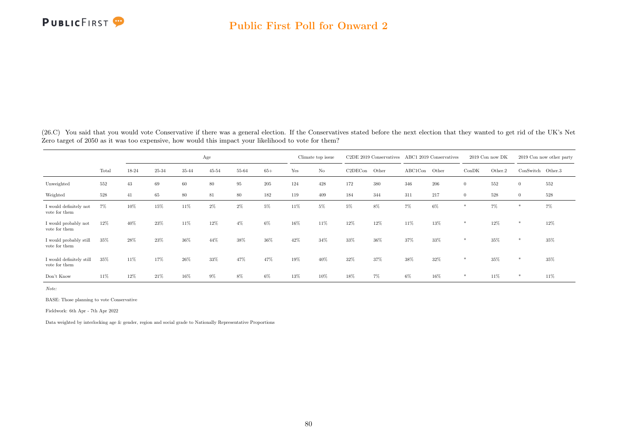

(26.C) You said that you would vote Conservative if there was a general election. If the Conservatives stated before the next election that they wanted to get rid of the UK's Net Zero target of 2050 as it was too expensive, how would this impact your likelihood to vote for them?

|                                           |       |       |        |       | Age   |       |       |     | Climate top issue |         | C2DE 2019 Conservatives |         | ABC1 2019 Conservatives |                | 2019 Con now DK |                   | 2019 Con now other party |
|-------------------------------------------|-------|-------|--------|-------|-------|-------|-------|-----|-------------------|---------|-------------------------|---------|-------------------------|----------------|-----------------|-------------------|--------------------------|
|                                           | Total | 18-24 | 25-34  | 35-44 | 45-54 | 55-64 | $65+$ | Yes | $\rm No$          | C2DECon | Other                   | ABC1Con | Other                   | ConDK          | Other.2         | ConSwitch Other.3 |                          |
| Unweighted                                | 552   | 43    | 69     | 60    | 80    | 95    | 205   | 124 | 428               | 172     | 380                     | 346     | 206                     |                | 552             | $\theta$          | 552                      |
| Weighted                                  | 528   | 41    | 65     | 80    | 81    | 80    | 182   | 119 | 409               | 184     | 344                     | 311     | 217                     | $\overline{0}$ | 528             | $\overline{0}$    | 528                      |
| I would definitely not<br>vote for them   | 7%    | 10%   | 15%    | 11%   | $2\%$ | $2\%$ | 5%    | 11% | 5%                | $5\%$   | 8%                      | 7%      | $6\%$                   |                | 7%              | $*$               | $7\%$                    |
| I would probably not<br>vote for them     | 12%   | 40%   | 23%    | 11%   | 12%   | $4\%$ | 6%    | 16% | 11%               | 12%     | 12%                     | 11%     | 13%                     | *              | 12%             | *                 | 12%                      |
| I would probably still<br>vote for them   | 35%   | 28%   | 23%    | 36%   | 44%   | 38%   | 36%   | 42% | 34%               | 33%     | 36%                     | 37%     | 33%                     | *              | 35%             | $*$               | 35%                      |
| I would definitely still<br>vote for them | 35%   | 11%   | 17%    | 26%   | 33%   | 47%   | 47%   | 19% | 40%               | 32%     | 37%                     | 38%     | 32%                     | *              | 35%             | $*$               | 35%                      |
| Don't Know                                | 11%   | 12%   | $21\%$ | 16%   | $9\%$ | 8%    | 6%    | 13% | 10%               | 18%     | $7\%$                   | 6%      | 16%                     | *              | 11%             | *                 | 11%                      |

Note:

BASE: Those planning to vote Conservative

Fieldwork: 6th Apr - 7th Apr 2022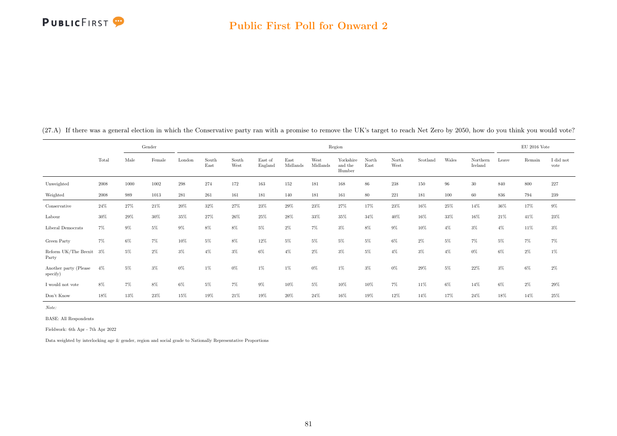

|  | (27.A) If there was a general election in which the Conservative party ran with a promise to remove the UK's target to reach Net Zero by 2050, how do you think you would vote? |  |
|--|---------------------------------------------------------------------------------------------------------------------------------------------------------------------------------|--|
|  |                                                                                                                                                                                 |  |

|                                   |            |       | Gender |        |               |               |                    |                  |                  | Region                         |               |               |          |       |                     |       | $EU$ 2016 Vote |                   |
|-----------------------------------|------------|-------|--------|--------|---------------|---------------|--------------------|------------------|------------------|--------------------------------|---------------|---------------|----------|-------|---------------------|-------|----------------|-------------------|
|                                   | Total      | Male  | Female | London | South<br>East | South<br>West | East of<br>England | East<br>Midlands | West<br>Midlands | Yorkshire<br>and the<br>Humber | North<br>East | North<br>West | Scotland | Wales | Northern<br>Ireland | Leave | Remain         | I did not<br>vote |
| Unweighted                        | 2008       | 1000  | 1002   | 298    | 274           | 172           | 163                | 152              | 181              | 168                            | 86            | 238           | 150      | 96    | 30                  | 840   | 800            | $227\,$           |
| Weighted                          | $\,2008\,$ | 989   | 1013   | 281    | 261           | 161           | 181                | 140              | 181              | 161                            | 80            | 221           | 181      | 100   | 60                  | 836   | 794            | 239               |
| Conservative                      | $24\%$     | 27%   | 21%    | 20%    | 32%           | 27%           | 23%                | $29\%$           | 23%              | 27%                            | 17%           | 23%           | 16%      | 25%   | 14%                 | 36%   | 17%            | $9\%$             |
| Labour                            | 30%        | 29%   | 30%    | $35\%$ | 27%           | 26%           | 25%                | $28\%$           | 33%              | 35%                            | 34%           | 40%           | 16%      | 33%   | 16%                 | 21%   | 41%            | $23\%$            |
| Liberal Democrats                 | $7\%$      | $9\%$ | $5\%$  | 9%     | 8%            | 8%            | 5%                 | 2%               | $7\%$            | $3\%$                          | 8%            | 9%            | 10%      | $4\%$ | $3\%$               | $4\%$ | 11%            | $3\%$             |
| Green Party                       | $7\%$      | $6\%$ | $7\%$  | 10%    | 5%            | 8%            | 12%                | 5%               | $5\%$            | $5\%$                          | 5%            | 6%            | $2\%$    | 5%    | $7\%$               | $5\%$ | $7\%$          | $7\%$             |
| Reform UK/The Brexit<br>Party     | $3\%$      | $5\%$ | $2\%$  | $3\%$  | $4\%$         | 3%            | 6%                 | $4\%$            | $2\%$            | $3\%$                          | $5\%$         | $4\%$         | $3\%$    | $4\%$ | $0\%$               | $6\%$ | $2\%$          | $1\%$             |
| Another party (Please<br>specify) | $4\%$      | $5\%$ | $3\%$  | $0\%$  | 1%            | $0\%$         | $1\%$              | $1\%$            | $0\%$            | $1\%$                          | $3\%$         | $0\%$         | 29%      | 5%    | 22%                 | $3\%$ | $6\%$          | $2\%$             |
| I would not vote                  | 8%         | 7%    | 8%     | $6\%$  | 5%            | 7%            | $9\%$              | $10\%$           | $5\%$            | 10%                            | 10%           | $7\%$         | 11%      | 6%    | 14%                 | $6\%$ | $2\%$          | $29\%$            |
| Don't Know                        | 18%        | 13%   | 23%    | 15%    | 19%           | 21%           | 19%                | 20%              | 24%              | 16%                            | 19%           | 12%           | 14%      | 17%   | 24%                 | 18%   | 14%            | 25%               |

Note:

BASE: All Respondents

Fieldwork: 6th Apr - 7th Apr 2022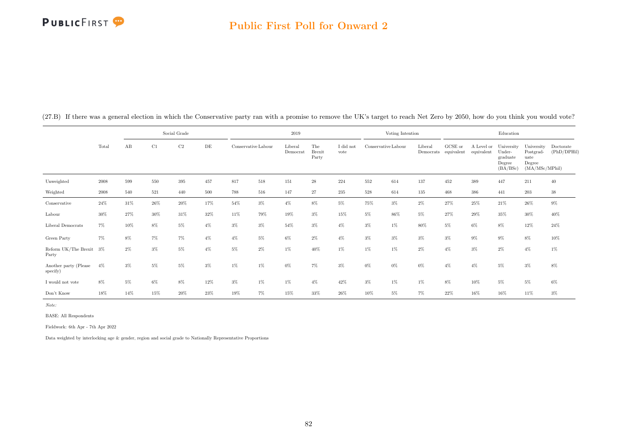## PUBLICFIRST<sup>9</sup>

## Public First Poll for Onward 2

|                                   |        |        |        | Social Grade |           |                     |       | 2019                |                               |                               |                     | Voting Intention |         |                                 |                          | Education                                              |                                                             |                          |
|-----------------------------------|--------|--------|--------|--------------|-----------|---------------------|-------|---------------------|-------------------------------|-------------------------------|---------------------|------------------|---------|---------------------------------|--------------------------|--------------------------------------------------------|-------------------------------------------------------------|--------------------------|
|                                   | Total  | AB     | C1     | $\rm C2$     | $\rm{DE}$ | Conservative Labour |       | Liberal<br>Democrat | The<br><b>Brexit</b><br>Party | $\rm I$ did $\rm not$<br>vote | Conservative Labour |                  | Liberal | GCSE or<br>Democrats equivalent | A Level or<br>equivalent | University<br>Under-<br>graduate<br>Degree<br>(BA/BSc) | University<br>Postgrad-<br>uate<br>Degree<br>(MA/MSc/MPhil) | Doctorate<br>(PhD/DPHil) |
| Unweighted                        | 2008   | 599    | 550    | 395          | 457       | 817                 | 518   | 151                 | $\sqrt{28}$                   | 224                           | 552                 | 614              | 137     | 452                             | 389                      | 447                                                    | 211                                                         | 40                       |
| Weighted                          | 2008   | 540    | 521    | 440          | 500       | 788                 | 516   | 147                 | 27                            | 235                           | 528                 | 614              | 135     | 468                             | 386                      | 441                                                    | $203\,$                                                     | $38\,$                   |
| Conservative                      | $24\%$ | $31\%$ | $26\%$ | 20%          | 17%       | 54%                 | 3%    | $4\%$               | 8%                            | $5\%$                         | $75\%$              | $3\%$            | $2\%$   | 27%                             | $25\%$                   | $21\%$                                                 | $26\%$                                                      | $9\%$                    |
| Labour                            | $30\%$ | 27%    | 30%    | 31%          | 32%       | 11%                 | 79%   | 19%                 | $3\%$                         | 15%                           | 5%                  | 86%              | 5%      | 27%                             | 29%                      | 35%                                                    | 30%                                                         | $40\%$                   |
| Liberal Democrats                 | $7\%$  | 10%    | 8%     | $5\%$        | $4\%$     | $3\%$               | 3%    | 54%                 | $3\%$                         | $4\%$                         | $3\%$               | $1\%$            | 80%     | $5\%$                           | 6%                       | $8\%$                                                  | 12%                                                         | $24\%$                   |
| Green Party                       | $7\%$  | 8%     | 7%     | 7%           | $4\%$     | $4\%$               | 5%    | 6%                  | $2\%$                         | $4\%$                         | 3%                  | $3\%$            | $3\%$   | $3\%$                           | $9\%$                    | $9\%$                                                  | $8\%$                                                       | $10\%$                   |
| Reform UK/The Brexit 3%<br>Party  |        | $2\%$  | $3\%$  | $5\%$        | $4\%$     | $5\%$               | $2\%$ | $1\%$               | 40%                           | $1\%$                         | $1\%$               | $1\%$            | $2\%$   | $4\%$                           | $3\%$                    | $2\%$                                                  | $4\%$                                                       | $1\%$                    |
| Another party (Please<br>specify) | $4\%$  | 3%     | 5%     | $5\%$        | $3\%$     | $1\%$               | $1\%$ | 0%                  | $7\%$                         | $3\%$                         | $0\%$               | 0%               | 0%      | $4\%$                           | $4\%$                    | 5%                                                     | $3\%$                                                       | $8\%$                    |
| I would not vote                  | $8\%$  | 5%     | 6%     | 8%           | 12%       | $3\%$               | 1%    | $1\%$               | $4\%$                         | 42%                           | $3\%$               | $1\%$            | 1%      | $8\%$                           | 10%                      | $5\%$                                                  | $5\%$                                                       | $6\%$                    |
| Don't Know                        | 18%    | 14%    | 15%    | 20%          | 23%       | 19%                 | 7%    | 15%                 | 33%                           | 26%                           | 10%                 | 5%               | 7%      | 22%                             | 16%                      | 16%                                                    | 11%                                                         | $3\%$                    |

(27.B) If there was a general election in which the Conservative party ran with a promise to remove the UK's target to reach Net Zero by 2050, how do you think you would vote?

Note:

BASE: All Respondents

Fieldwork: 6th Apr - 7th Apr 2022